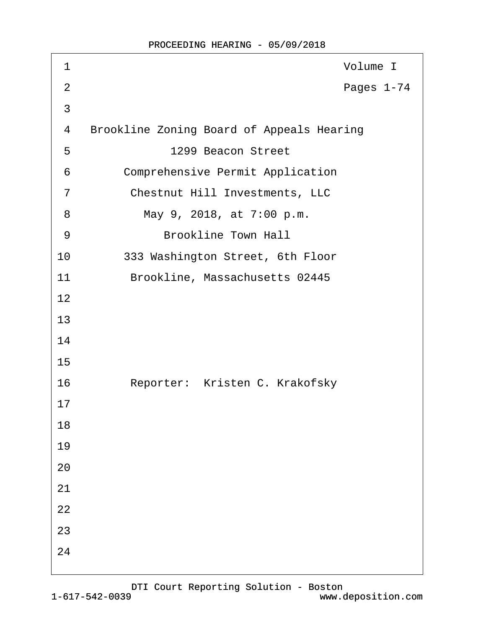| 1              | Volume I                                         |
|----------------|--------------------------------------------------|
| $\overline{2}$ | Pages 1-74                                       |
| 3              |                                                  |
| 4              | <b>Brookline Zoning Board of Appeals Hearing</b> |
| 5              | 1299 Beacon Street                               |
| 6              | <b>Comprehensive Permit Application</b>          |
| 7              | <b>Chestnut Hill Investments, LLC</b>            |
| 8              | May 9, 2018, at 7:00 p.m.                        |
| 9              | <b>Brookline Town Hall</b>                       |
| 10             | 333 Washington Street, 6th Floor                 |
| 11             | Brookline, Massachusetts 02445                   |
| 12             |                                                  |
| 13             |                                                  |
| 14             |                                                  |
| 15             |                                                  |
| 16             | Reporter: Kristen C. Krakofsky                   |
| 17             |                                                  |
| 18             |                                                  |
| 19             |                                                  |
| 20             |                                                  |
| 21             |                                                  |
| 22             |                                                  |
| 23             |                                                  |
| 24             |                                                  |
|                |                                                  |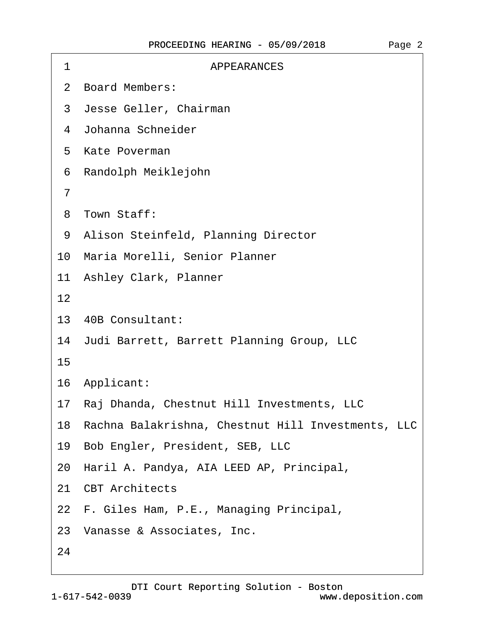| <b>APPEARANCES</b><br>1                               |
|-------------------------------------------------------|
| 2 Board Members:                                      |
| 3 Jesse Geller, Chairman                              |
| 4 Johanna Schneider                                   |
| 5 Kate Poverman                                       |
| Randolph Meiklejohn<br>6                              |
| 7                                                     |
| 8 Town Staff:                                         |
| 9 Alison Steinfeld, Planning Director                 |
| 10 Maria Morelli, Senior Planner                      |
| 11 Ashley Clark, Planner                              |
| 12                                                    |
| 13 40B Consultant:                                    |
| 14 Judi Barrett, Barrett Planning Group, LLC          |
| 15                                                    |
| 16 Applicant:                                         |
| 17 Raj Dhanda, Chestnut Hill Investments, LLC         |
| 18 Rachna Balakrishna, Chestnut Hill Investments, LLC |
| 19 Bob Engler, President, SEB, LLC                    |
| 20 Haril A. Pandya, AIA LEED AP, Principal,           |
| 21 CBT Architects                                     |
| 22 F. Giles Ham, P.E., Managing Principal,            |
| 23 Vanasse & Associates, Inc.                         |
| 24                                                    |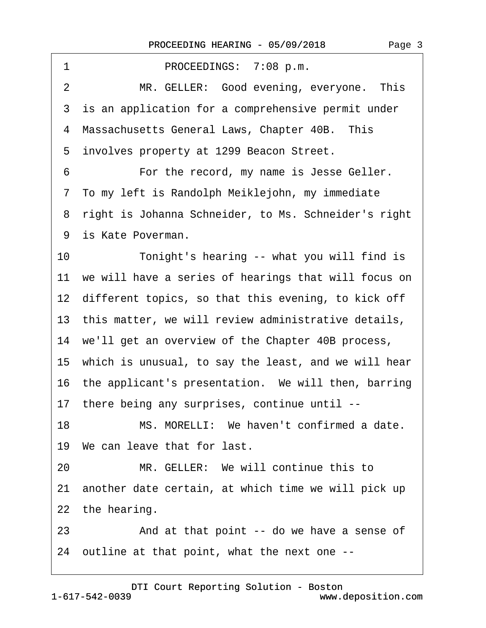1 PROCEEDINGS: 7:08 p.m. 2 MR. GELLER: Good evening, everyone. This 3 is an application for a comprehensive permit under 4 Massachusetts General Laws, Chapter 40B. This ·5· involves property at 1299 Beacon Street. 6 **• • • For the record, my name is Jesse Geller.** 7 To my left is Randolph Meiklejohn, my immediate 8 right is Johanna Schneider, to Ms. Schneider's right 9 is Kate Poverman. 10 Tonight's hearing -- what you will find is 11 we will have a series of hearings that will focus on 12 different topics, so that this evening, to kick off 13 this matter, we will review administrative details, 14 we'll get an overview of the Chapter 40B process, 15· which is unusual, to say the least, and we will hear 16 the applicant's presentation. We will then, barring 17· there being any surprises, continue until -- 18 MS. MORELLI: We haven't confirmed a date. 19 We can leave that for last. 20 MR. GELLER: We will continue this to 21 another date certain, at which time we will pick up 22 the hearing. 23 • And at that point -- do we have a sense of

24· outline at that point, what the next one --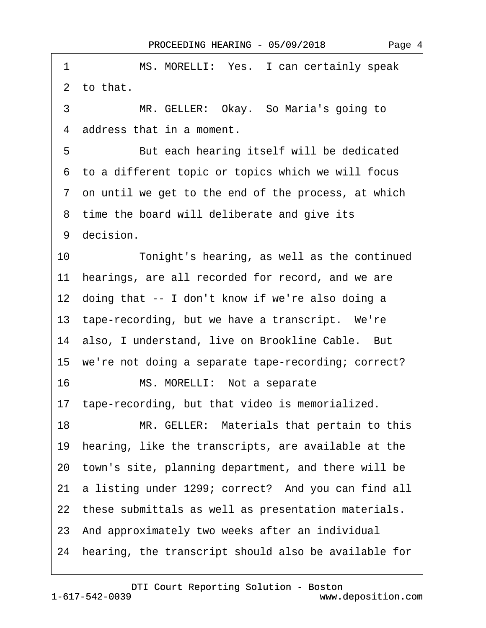| 1  | MS. MORELLI: Yes. I can certainly speak                 |
|----|---------------------------------------------------------|
|    | 2 to that.                                              |
| 3  | MR. GELLER: Okay. So Maria's going to                   |
|    | 4 address that in a moment.                             |
| 5  | But each hearing itself will be dedicated               |
|    | 6 to a different topic or topics which we will focus    |
|    | 7 on until we get to the end of the process, at which   |
|    | 8 time the board will deliberate and give its           |
|    | 9 decision.                                             |
| 10 | Tonight's hearing, as well as the continued             |
|    | 11 hearings, are all recorded for record, and we are    |
|    | 12 doing that -- I don't know if we're also doing a     |
|    | 13 tape-recording, but we have a transcript. We're      |
|    | 14 also, I understand, live on Brookline Cable. But     |
|    | 15 we're not doing a separate tape-recording; correct?  |
| 16 | MS. MORELLI: Not a separate                             |
|    | 17 tape-recording, but that video is memorialized.      |
| 18 | MR. GELLER: Materials that pertain to this              |
|    | 19 hearing, like the transcripts, are available at the  |
|    | 20 town's site, planning department, and there will be  |
|    | 21 a listing under 1299; correct? And you can find all  |
|    | 22 these submittals as well as presentation materials.  |
|    | 23 And approximately two weeks after an individual      |
|    | 24 hearing, the transcript should also be available for |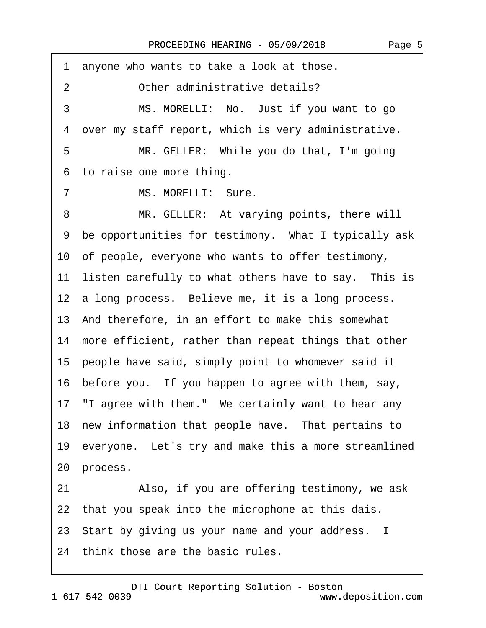·1· anyone who wants to take a look at those. 2 Other administrative details? 3 MS. MORELLI: No. Just if you want to go ·4· over my staff report, which is very administrative.

5 MR. GELLER: While you do that, I'm going 6 to raise one more thing.

7 MS. MORELLI: Sure.

8 MR. GELLER: At varying points, there will ·9· be opportunities for testimony.· What I typically ask 10· of people, everyone who wants to offer testimony, 11 listen carefully to what others have to say. This is 12 a long process. Believe me, it is a long process. 13· And therefore, in an effort to make this somewhat 14 more efficient, rather than repeat things that other 15· people have said, simply point to whomever said it 16· before you.· If you happen to agree with them, say, 17 "I agree with them." We certainly want to hear any 18 new information that people have. That pertains to 19 everyone. Let's try and make this a more streamlined 20 process.

21 • Also, if you are offering testimony, we ask 22 that you speak into the microphone at this dais. 23· Start by giving us your name and your address. I

24 think those are the basic rules.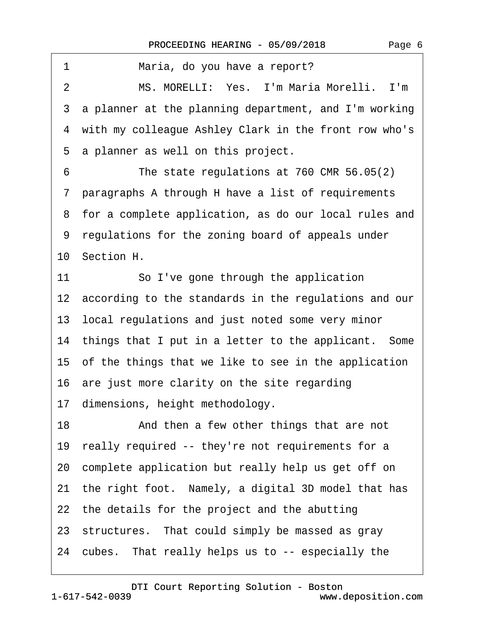| 1<br>Maria, do you have a report?                        |
|----------------------------------------------------------|
| MS. MORELLI: Yes. I'm Maria Morelli. I'm<br>2            |
| 3 a planner at the planning department, and I'm working  |
| 4 with my colleague Ashley Clark in the front row who's  |
| a planner as well on this project.<br>5                  |
| The state regulations at 760 CMR 56.05(2)<br>6           |
| 7 paragraphs A through H have a list of requirements     |
| 8 for a complete application, as do our local rules and  |
| 9 regulations for the zoning board of appeals under      |
| 10 Section H.                                            |
| 11<br>So I've gone through the application               |
| 12 according to the standards in the regulations and our |
| 13 local regulations and just noted some very minor      |
| 14 things that I put in a letter to the applicant. Some  |
| 15 of the things that we like to see in the application  |
| 16 are just more clarity on the site regarding           |
| 17 dimensions, height methodology.                       |
| 18<br>And then a few other things that are not           |
| 19 really required -- they're not requirements for a     |
| 20 complete application but really help us get off on    |
| 21 the right foot. Namely, a digital 3D model that has   |
| 22 the details for the project and the abutting          |
| 23 structures. That could simply be massed as gray       |
| 24 cubes. That really helps us to -- especially the      |
|                                                          |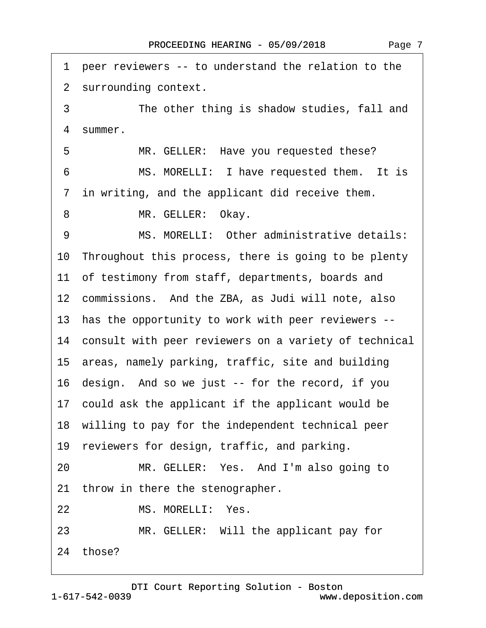| peer reviewers -- to understand the relation to the<br>1 |
|----------------------------------------------------------|
| 2 surrounding context.                                   |
| 3<br>The other thing is shadow studies, fall and         |
| 4 summer.                                                |
| 5<br>MR. GELLER: Have you requested these?               |
| MS. MORELLI: I have requested them. It is<br>6           |
| 7 in writing, and the applicant did receive them.        |
| MR. GELLER: Okay.<br>8                                   |
| MS. MORELLI: Other administrative details:<br>9          |
| 10 Throughout this process, there is going to be plenty  |
| 11 of testimony from staff, departments, boards and      |
| 12 commissions. And the ZBA, as Judi will note, also     |
| 13 has the opportunity to work with peer reviewers --    |
| 14 consult with peer reviewers on a variety of technical |
| 15 areas, namely parking, traffic, site and building     |
| 16 design. And so we just -- for the record, if you      |
| 17 could ask the applicant if the applicant would be     |
| 18 willing to pay for the independent technical peer     |
| 19 reviewers for design, traffic, and parking.           |
| MR. GELLER: Yes. And I'm also going to<br>20             |
| 21 throw in there the stenographer.                      |
| MS. MORELLI: Yes.<br>22                                  |
| MR. GELLER: Will the applicant pay for<br>23             |
| 24 those?                                                |

Page 7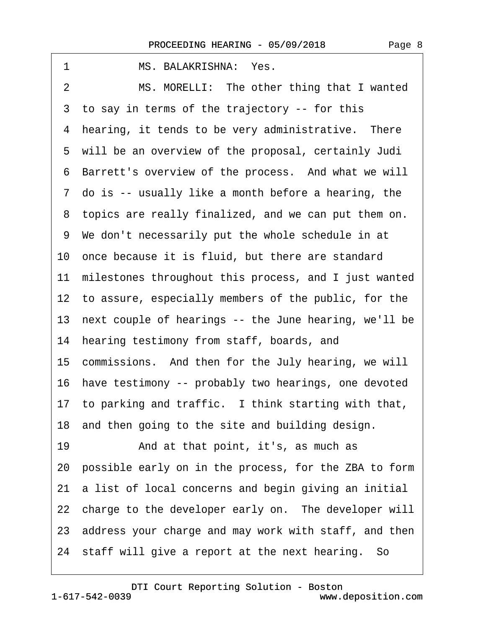| MS. BALAKRISHNA: Yes.<br>1                               |
|----------------------------------------------------------|
| MS. MORELLI: The other thing that I wanted<br>2          |
| 3 to say in terms of the trajectory -- for this          |
| 4 hearing, it tends to be very administrative. There     |
| 5 will be an overview of the proposal, certainly Judi    |
| 6 Barrett's overview of the process. And what we will    |
| 7 do is -- usually like a month before a hearing, the    |
| 8 topics are really finalized, and we can put them on.   |
| 9 We don't necessarily put the whole schedule in at      |
| 10 once because it is fluid, but there are standard      |
| 11 milestones throughout this process, and I just wanted |
| 12 to assure, especially members of the public, for the  |
| 13 next couple of hearings -- the June hearing, we'll be |
| 14 hearing testimony from staff, boards, and             |
| 15 commissions. And then for the July hearing, we will   |
| 16 have testimony -- probably two hearings, one devoted  |
| 17 to parking and traffic. I think starting with that,   |
| 18 and then going to the site and building design.       |
| And at that point, it's, as much as<br>19                |
| 20 possible early on in the process, for the ZBA to form |
| 21 a list of local concerns and begin giving an initial  |
| 22 charge to the developer early on. The developer will  |
| 23 address your charge and may work with staff, and then |
| 24 staff will give a report at the next hearing. So      |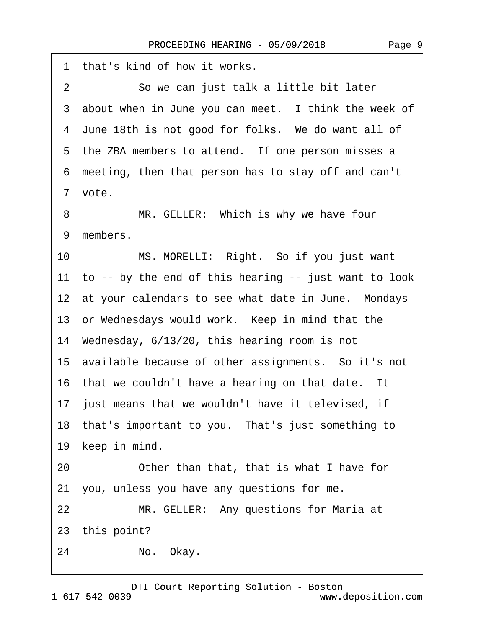·1· that's kind of how it works. 2 So we can just talk a little bit later 3 about when in June you can meet. I think the week of 4 June 18th is not good for folks. We do want all of 5 the ZBA members to attend. If one person misses a ·6· meeting, then that person has to stay off and can't 7 vote. 8 MR. GELLER: Which is why we have four 9 members. 10 MS. MORELLI: Right. So if you just want 11 to -- by the end of this hearing -- just want to look 12 at your calendars to see what date in June. Mondays 13 or Wednesdays would work. Keep in mind that the 14· Wednesday, 6/13/20, this hearing room is not 15· available because of other assignments.· So it's not 16 that we couldn't have a hearing on that date. It 17 just means that we wouldn't have it televised, if 18· that's important to you.· That's just something to 19 keep in mind. 20 **• Other than that, that is what I have for** 21· you, unless you have any questions for me. 22 MR. GELLER: Any questions for Maria at 23 this point? 24 · · No. Okay.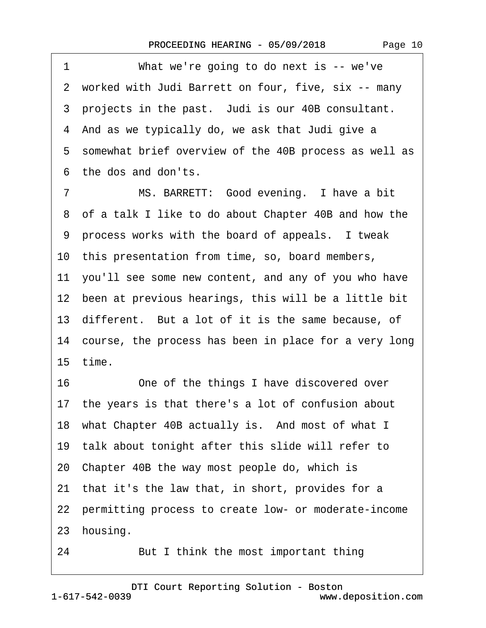1 What we're going to do next is -- we've ·2· worked with Judi Barrett on four, five, six -- many 3 projects in the past. Judi is our 40B consultant. 4 And as we typically do, we ask that Judi give a 5 somewhat brief overview of the 40B process as well as ·6· the dos and don'ts.

7 MS. BARRETT: Good evening. I have a bit ·8· of a talk I like to do about Chapter 40B and how the ·9· process works with the board of appeals.· I tweak 10· this presentation from time, so, board members, 11 you'll see some new content, and any of you who have 12 been at previous hearings, this will be a little bit 13 different. But a lot of it is the same because, of 14 course, the process has been in place for a very long 15· time. 16 One of the things I have discovered over

17· the years is that there's a lot of confusion about

18 what Chapter 40B actually is. And most of what I

19· talk about tonight after this slide will refer to

20· Chapter 40B the way most people do, which is

21 that it's the law that, in short, provides for a

22 permitting process to create low- or moderate-income

23 housing.

24 But I think the most important thing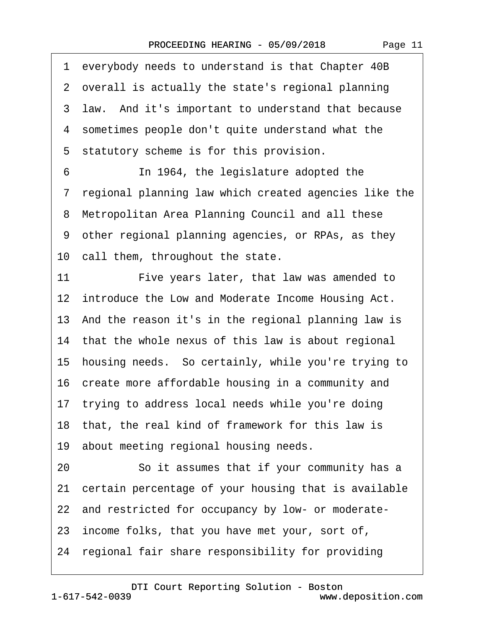·1· everybody needs to understand is that Chapter 40B 2 overall is actually the state's regional planning 3 law. And it's important to understand that because ·4· sometimes people don't quite understand what the 5 statutory scheme is for this provision. 6 **In 1964, the legislature adopted the** ·7· regional planning law which created agencies like the 8 Metropolitan Area Planning Council and all these ·9· other regional planning agencies, or RPAs, as they 10 call them, throughout the state. 11 Five years later, that law was amended to 12 introduce the Low and Moderate Income Housing Act. 13· And the reason it's in the regional planning law is 14 that the whole nexus of this law is about regional 15· housing needs.· So certainly, while you're trying to 16· create more affordable housing in a community and 17 trying to address local needs while you're doing 18 that, the real kind of framework for this law is 19 about meeting regional housing needs. 20 **· · · So it assumes that if your community has a** 21 certain percentage of your housing that is available 22 and restricted for occupancy by low- or moderate-23 income folks, that you have met your, sort of, 24· regional fair share responsibility for providing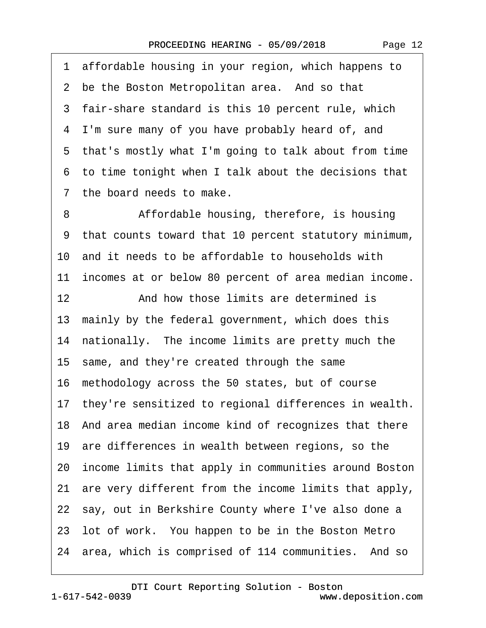·1· affordable housing in your region, which happens to 2 be the Boston Metropolitan area. And so that 3 fair-share standard is this 10 percent rule, which ·4· I'm sure many of you have probably heard of, and ·5· that's mostly what I'm going to talk about from time ·6· to time tonight when I talk about the decisions that ·7· the board needs to make. 8 Affordable housing, therefore, is housing ·9· that counts toward that 10 percent statutory minimum, 10· and it needs to be affordable to households with 11 incomes at or below 80 percent of area median income. 12· · · · · ·And how those limits are determined is 13 mainly by the federal government, which does this 14 nationally. The income limits are pretty much the 15· same, and they're created through the same 16· methodology across the 50 states, but of course 17 they're sensitized to regional differences in wealth. 18· And area median income kind of recognizes that there 19 are differences in wealth between regions, so the 20· income limits that apply in communities around Boston 21 are very different from the income limits that apply, 22 say, out in Berkshire County where I've also done a 23· lot of work.· You happen to be in the Boston Metro 24 area, which is comprised of 114 communities. And so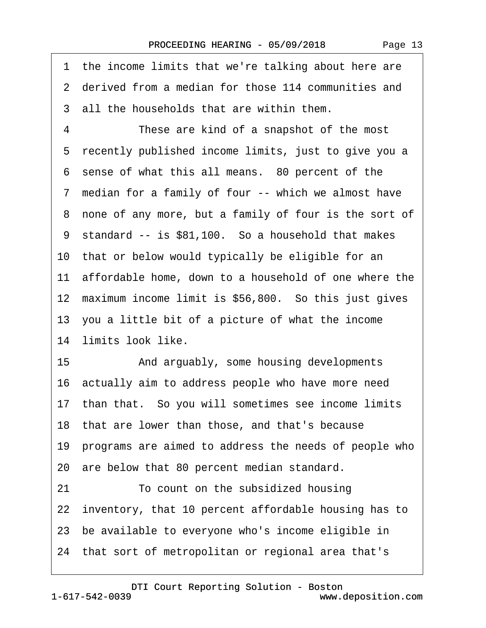1 the income limits that we're talking about here are ·2· derived from a median for those 114 communities and 3 all the households that are within them. 4 These are kind of a snapshot of the most 5 recently published income limits, just to give you a 6 sense of what this all means. 80 percent of the 7 median for a family of four -- which we almost have 8 none of any more, but a family of four is the sort of 9 standard -- is \$81,100. So a household that makes 10 that or below would typically be eligible for an 11 affordable home, down to a household of one where the 12 maximum income limit is \$56,800. So this just gives 13· you a little bit of a picture of what the income 14 limits look like. 15 • **And arguably, some housing developments** 16 actually aim to address people who have more need 17 than that. So you will sometimes see income limits 18 that are lower than those, and that's because 19· programs are aimed to address the needs of people who 20· are below that 80 percent median standard. 21· · · · · ·To count on the subsidized housing 22 inventory, that 10 percent affordable housing has to

- 23 be available to everyone who's income eligible in
- 24· that sort of metropolitan or regional area that's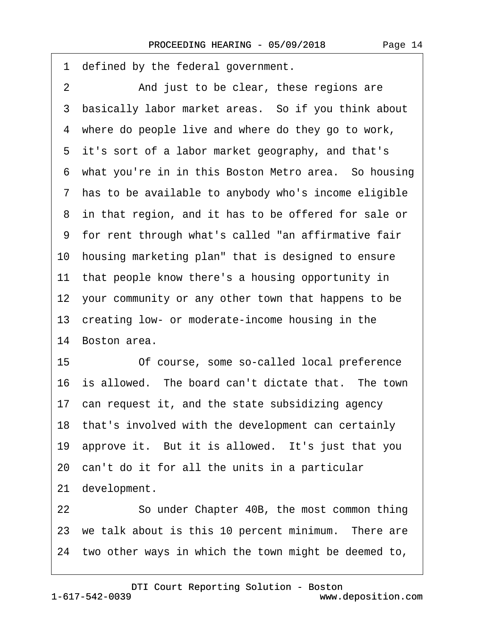1 defined by the federal government. 2 And just to be clear, these regions are 3 basically labor market areas. So if you think about 4 where do people live and where do they go to work, 5 it's sort of a labor market geography, and that's 6 what you're in in this Boston Metro area. So housing 7 has to be available to anybody who's income eligible 8 in that region, and it has to be offered for sale or ·9· for rent through what's called "an affirmative fair 10 housing marketing plan" that is designed to ensure 11 that people know there's a housing opportunity in 12 your community or any other town that happens to be 13 creating low- or moderate-income housing in the 14 Boston area. 15 **• Of course, some so-called local preference** 16 is allowed. The board can't dictate that. The town 17 can request it, and the state subsidizing agency 18 that's involved with the development can certainly 19 approve it. But it is allowed. It's just that you 20· can't do it for all the units in a particular 21 development. 22 So under Chapter 40B, the most common thing 23 we talk about is this 10 percent minimum. There are 24 two other ways in which the town might be deemed to,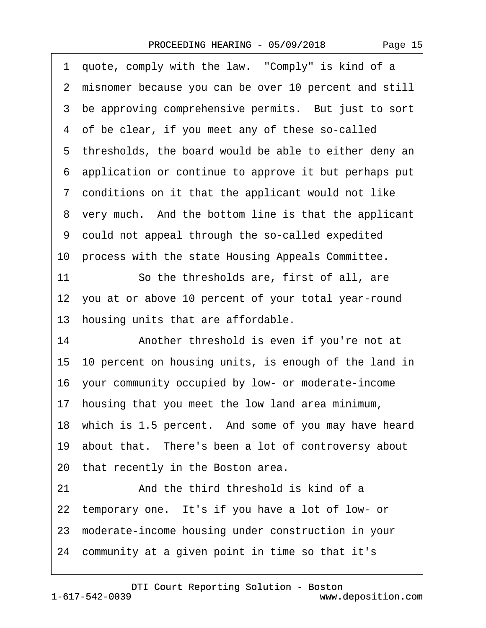|  | Page 15 |
|--|---------|
|--|---------|

|    | 1 quote, comply with the law. "Comply" is kind of a      |
|----|----------------------------------------------------------|
|    | 2 misnomer because you can be over 10 percent and still  |
|    | 3 be approving comprehensive permits. But just to sort   |
|    | 4 of be clear, if you meet any of these so-called        |
|    | 5 thresholds, the board would be able to either deny an  |
|    | 6 application or continue to approve it but perhaps put  |
|    | 7 conditions on it that the applicant would not like     |
|    | 8 very much. And the bottom line is that the applicant   |
|    | 9 could not appeal through the so-called expedited       |
|    | 10 process with the state Housing Appeals Committee.     |
| 11 | So the thresholds are, first of all, are                 |
|    | 12 you at or above 10 percent of your total year-round   |
|    | 13 housing units that are affordable.                    |
| 14 | Another threshold is even if you're not at               |
|    | 15 10 percent on housing units, is enough of the land in |
|    | 16 your community occupied by low- or moderate-income    |
|    | 17 housing that you meet the low land area minimum,      |
|    | 18 which is 1.5 percent. And some of you may have heard  |
|    | 19 about that. There's been a lot of controversy about   |
|    | 20 that recently in the Boston area.                     |
| 21 | And the third threshold is kind of a                     |
|    | 22 temporary one. It's if you have a lot of low- or      |
|    | 23 moderate-income housing under construction in your    |
|    | 24 community at a given point in time so that it's       |
|    |                                                          |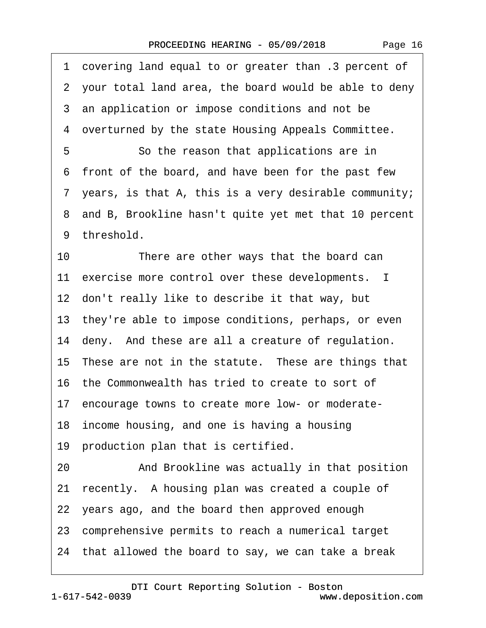·1· covering land equal to or greater than .3 percent of ·2· your total land area, the board would be able to deny 3 an application or impose conditions and not be ·4· overturned by the state Housing Appeals Committee. 5 **• So the reason that applications are in** ·6· front of the board, and have been for the past few ·7· years, is that A, this is a very desirable community; 8 and B, Brookline hasn't quite yet met that 10 percent 9 threshold. 10 There are other ways that the board can 11 exercise more control over these developments. I 12 don't really like to describe it that way, but 13· they're able to impose conditions, perhaps, or even 14 deny. And these are all a creature of regulation. 15 These are not in the statute. These are things that 16· the Commonwealth has tried to create to sort of 17 encourage towns to create more low- or moderate-18· income housing, and one is having a housing 19 production plan that is certified. 20 • **And Brookline was actually in that position** 21 recently. A housing plan was created a couple of 22 years ago, and the board then approved enough 23· comprehensive permits to reach a numerical target 24· that allowed the board to say, we can take a break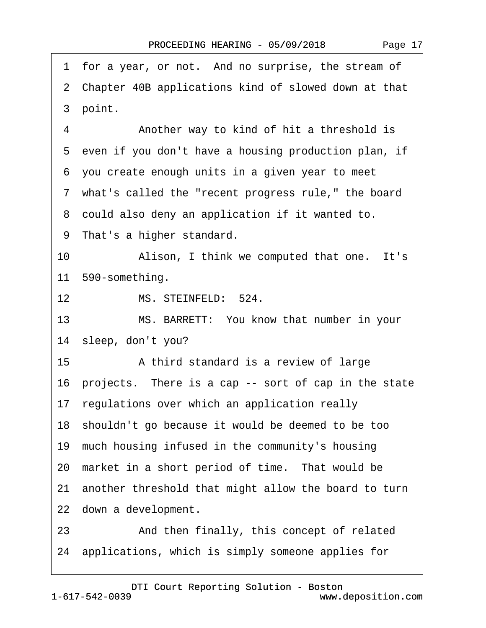|                  | 1 for a year, or not. And no surprise, the stream of    |
|------------------|---------------------------------------------------------|
|                  | 2 Chapter 40B applications kind of slowed down at that  |
|                  | 3 point.                                                |
| 4                | Another way to kind of hit a threshold is               |
|                  | 5 even if you don't have a housing production plan, if  |
|                  | 6 you create enough units in a given year to meet       |
|                  | 7 what's called the "recent progress rule," the board   |
|                  | 8 could also deny an application if it wanted to.       |
|                  | 9 That's a higher standard.                             |
| 10               | Alison, I think we computed that one. It's              |
|                  | 11 590-something.                                       |
| 12 <sub>2</sub>  | MS. STEINFELD: 524.                                     |
| 13               | MS. BARRETT: You know that number in your               |
|                  | 14 sleep, don't you?                                    |
| 15 <sub>15</sub> | A third standard is a review of large                   |
|                  | 16 projects. There is a cap -- sort of cap in the state |
|                  | 17 regulations over which an application really         |
|                  | 18 shouldn't go because it would be deemed to be too    |
|                  | 19 much housing infused in the community's housing      |
|                  | 20 market in a short period of time. That would be      |
|                  | 21 another threshold that might allow the board to turn |
|                  | 22 down a development.                                  |
| 23               | And then finally, this concept of related               |
|                  | 24 applications, which is simply someone applies for    |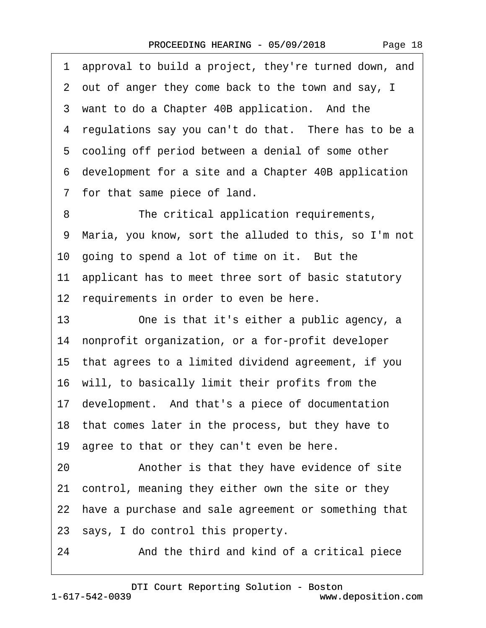Page 18

·1· approval to build a project, they're turned down, and ·2· out of anger they come back to the town and say, I 3 want to do a Chapter 40B application. And the 4 regulations say you can't do that. There has to be a 5 cooling off period between a denial of some other ·6· development for a site and a Chapter 40B application 7 for that same piece of land. 8 The critical application requirements, ·9· Maria, you know, sort the alluded to this, so I'm not 10 going to spend a lot of time on it. But the 11 applicant has to meet three sort of basic statutory 12 requirements in order to even be here. 13 One is that it's either a public agency, a 14 nonprofit organization, or a for-profit developer 15· that agrees to a limited dividend agreement, if you 16· will, to basically limit their profits from the 17· development.· And that's a piece of documentation 18 that comes later in the process, but they have to 19 agree to that or they can't even be here. 20 • **Another is that they have evidence of site** 21· control, meaning they either own the site or they 22 have a purchase and sale agreement or something that 23· says, I do control this property. 24 • **And the third and kind of a critical piece**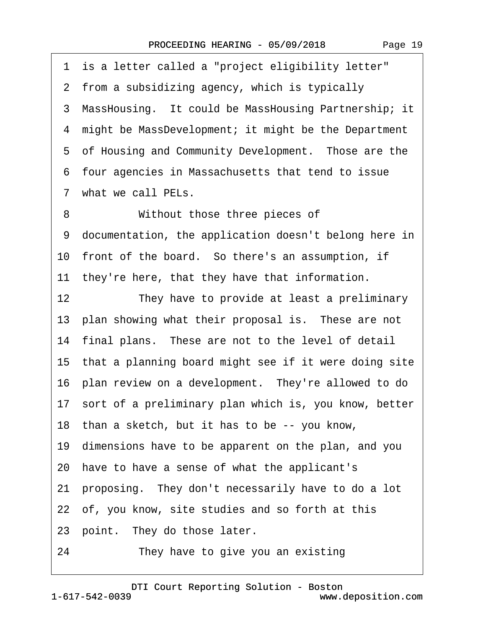| 1  | is a letter called a "project eligibility letter"        |
|----|----------------------------------------------------------|
|    | 2 from a subsidizing agency, which is typically          |
|    | 3 MassHousing. It could be MassHousing Partnership; it   |
|    | 4 might be MassDevelopment; it might be the Department   |
|    | 5 of Housing and Community Development. Those are the    |
|    | 6 four agencies in Massachusetts that tend to issue      |
|    | 7 what we call PELs.                                     |
| 8  | Without those three pieces of                            |
| 9  | documentation, the application doesn't belong here in    |
|    | 10 front of the board. So there's an assumption, if      |
|    | 11 they're here, that they have that information.        |
| 12 | They have to provide at least a preliminary              |
|    | 13 plan showing what their proposal is. These are not    |
|    | 14 final plans. These are not to the level of detail     |
|    | 15 that a planning board might see if it were doing site |
|    | 16 plan review on a development. They're allowed to do   |
|    | 17 sort of a preliminary plan which is, you know, better |
|    | 18 than a sketch, but it has to be -- you know,          |
|    | 19 dimensions have to be apparent on the plan, and you   |
|    | 20 have to have a sense of what the applicant's          |
|    | 21 proposing. They don't necessarily have to do a lot    |
|    | 22 of, you know, site studies and so forth at this       |
|    | 23 point. They do those later.                           |
| 24 | They have to give you an existing                        |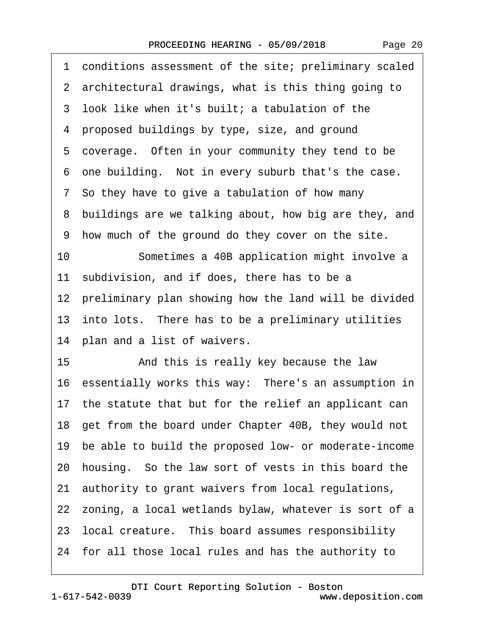| Page 20 |
|---------|
|         |

|    | 1 conditions assessment of the site; preliminary scaled  |
|----|----------------------------------------------------------|
|    | 2 architectural drawings, what is this thing going to    |
|    | 3 look like when it's built; a tabulation of the         |
|    | 4 proposed buildings by type, size, and ground           |
|    | 5 coverage. Often in your community they tend to be      |
|    | 6 one building. Not in every suburb that's the case.     |
|    | 7 So they have to give a tabulation of how many          |
|    | 8 buildings are we talking about, how big are they, and  |
|    | 9 how much of the ground do they cover on the site.      |
| 10 | Sometimes a 40B application might involve a              |
|    | 11 subdivision, and if does, there has to be a           |
|    | 12 preliminary plan showing how the land will be divided |
|    | 13 into lots. There has to be a preliminary utilities    |
|    | 14 plan and a list of waivers.                           |
| 15 | And this is really key because the law                   |
|    | 16 essentially works this way: There's an assumption in  |
|    | 17 the statute that but for the relief an applicant can  |
|    | 18 get from the board under Chapter 40B, they would not  |
|    | 19 be able to build the proposed low- or moderate-income |
|    | 20 housing. So the law sort of vests in this board the   |
|    | 21 authority to grant waivers from local regulations,    |
|    | 22 zoning, a local wetlands bylaw, whatever is sort of a |
|    | 23 local creature. This board assumes responsibility     |
|    | 24 for all those local rules and has the authority to    |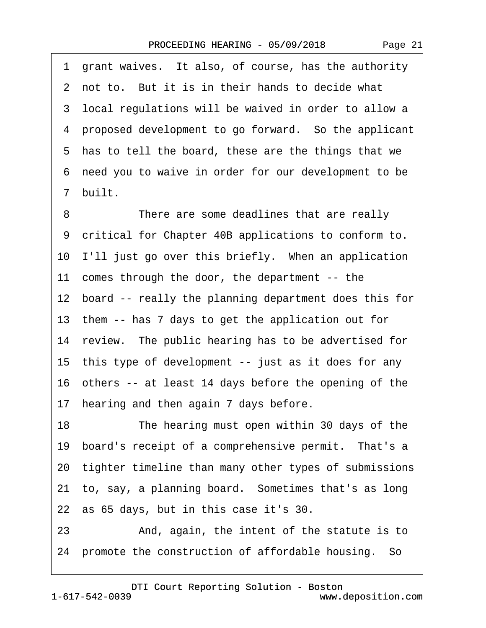·1· grant waives.· It also, of course, has the authority 2 not to. But it is in their hands to decide what 3 local regulations will be waived in order to allow a ·4· proposed development to go forward.· So the applicant 5 has to tell the board, these are the things that we ·6· need you to waive in order for our development to be ·7· built.

8 There are some deadlines that are really ·9· critical for Chapter 40B applications to conform to. 10 I'll just go over this briefly. When an application 11 comes through the door, the department -- the 12 board -- really the planning department does this for 13· them -- has 7 days to get the application out for 14 review. The public hearing has to be advertised for 15 this type of development -- just as it does for any 16· others -- at least 14 days before the opening of the 17 hearing and then again 7 days before. 18 The hearing must open within 30 days of the 19 board's receipt of a comprehensive permit. That's a 20· tighter timeline than many other types of submissions

21 to, say, a planning board. Sometimes that's as long

22· as 65 days, but in this case it's 30.

23 • And, again, the intent of the statute is to 24· promote the construction of affordable housing.· So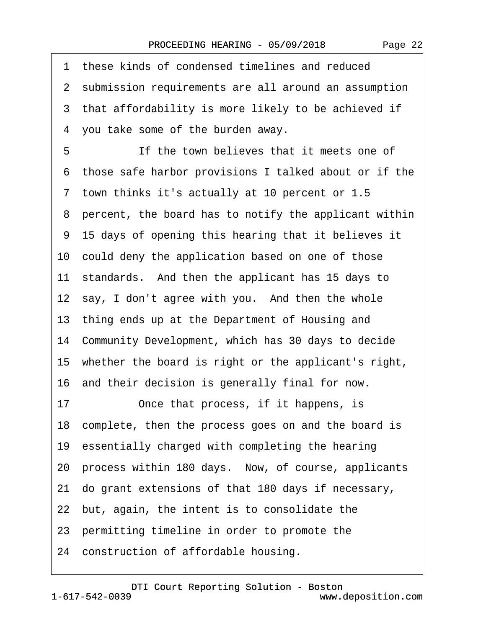| Page 22 |  |
|---------|--|
|---------|--|

|    | 1 these kinds of condensed timelines and reduced        |
|----|---------------------------------------------------------|
|    | 2 submission requirements are all around an assumption  |
|    | 3 that affordability is more likely to be achieved if   |
|    | 4 you take some of the burden away.                     |
| 5  | If the town believes that it meets one of               |
|    | 6 those safe harbor provisions I talked about or if the |
|    | 7 town thinks it's actually at 10 percent or 1.5        |
|    | 8 percent, the board has to notify the applicant within |
|    | 9 15 days of opening this hearing that it believes it   |
|    | 10 could deny the application based on one of those     |
|    | 11 standards. And then the applicant has 15 days to     |
|    | 12 say, I don't agree with you. And then the whole      |
|    | 13 thing ends up at the Department of Housing and       |
|    | 14 Community Development, which has 30 days to decide   |
|    | 15 whether the board is right or the applicant's right, |
|    | 16 and their decision is generally final for now.       |
| 17 | Once that process, if it happens, is                    |
|    | 18 complete, then the process goes on and the board is  |
|    | 19 essentially charged with completing the hearing      |
|    | 20 process within 180 days. Now, of course, applicants  |
|    | 21 do grant extensions of that 180 days if necessary,   |
|    | 22 but, again, the intent is to consolidate the         |
|    | 23 permitting timeline in order to promote the          |
|    | 24 construction of affordable housing.                  |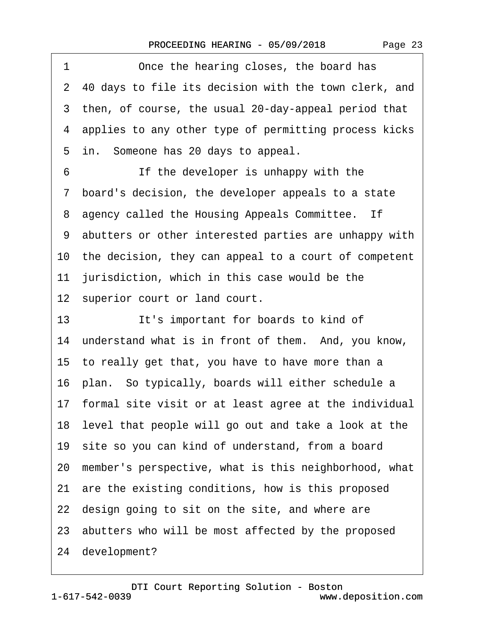| 1<br>Once the hearing closes, the board has              |
|----------------------------------------------------------|
| 2 40 days to file its decision with the town clerk, and  |
| 3 then, of course, the usual 20-day-appeal period that   |
| 4 applies to any other type of permitting process kicks  |
| 5 in. Someone has 20 days to appeal.                     |
| If the developer is unhappy with the<br>6                |
| 7 board's decision, the developer appeals to a state     |
| 8 agency called the Housing Appeals Committee. If        |
| 9 abutters or other interested parties are unhappy with  |
| 10 the decision, they can appeal to a court of competent |
| 11 jurisdiction, which in this case would be the         |
| 12 superior court or land court.                         |
| It's important for boards to kind of<br>13               |
| 14 understand what is in front of them. And, you know,   |
| 15 to really get that, you have to have more than a      |
| 16 plan. So typically, boards will either schedule a     |
| 17 formal site visit or at least agree at the individual |
| 18 level that people will go out and take a look at the  |
| 19 site so you can kind of understand, from a board      |
| 20 member's perspective, what is this neighborhood, what |
| 21 are the existing conditions, how is this proposed     |
| 22 design going to sit on the site, and where are        |
| 23 abutters who will be most affected by the proposed    |
| 24 development?                                          |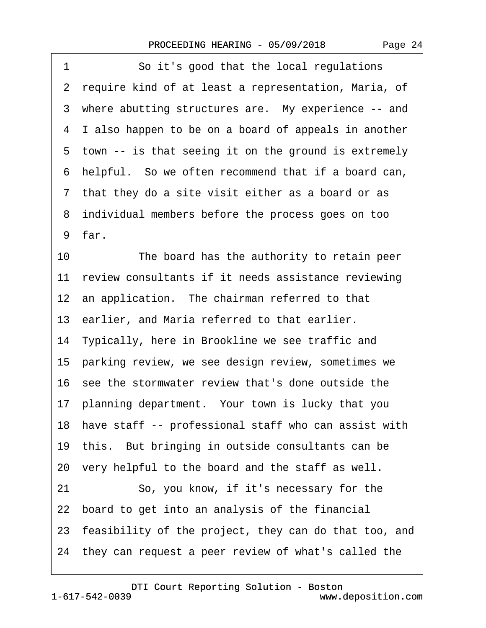| So it's good that the local regulations<br>1             |
|----------------------------------------------------------|
| 2 require kind of at least a representation, Maria, of   |
| 3 where abutting structures are. My experience -- and    |
| 4 I also happen to be on a board of appeals in another   |
| 5 town -- is that seeing it on the ground is extremely   |
| 6 helpful. So we often recommend that if a board can,    |
| 7 that they do a site visit either as a board or as      |
| 8 individual members before the process goes on too      |
| 9 far.                                                   |
| 10<br>The board has the authority to retain peer         |
| 11 review consultants if it needs assistance reviewing   |
| 12 an application. The chairman referred to that         |
| 13 earlier, and Maria referred to that earlier.          |
| 14 Typically, here in Brookline we see traffic and       |
| 15 parking review, we see design review, sometimes we    |
| 16 see the stormwater review that's done outside the     |
| 17 planning department. Your town is lucky that you      |
| 18 have staff -- professional staff who can assist with  |
| 19 this. But bringing in outside consultants can be      |
| 20 very helpful to the board and the staff as well.      |
| So, you know, if it's necessary for the<br>21            |
| 22 board to get into an analysis of the financial        |
| 23 feasibility of the project, they can do that too, and |
| 24 they can request a peer review of what's called the   |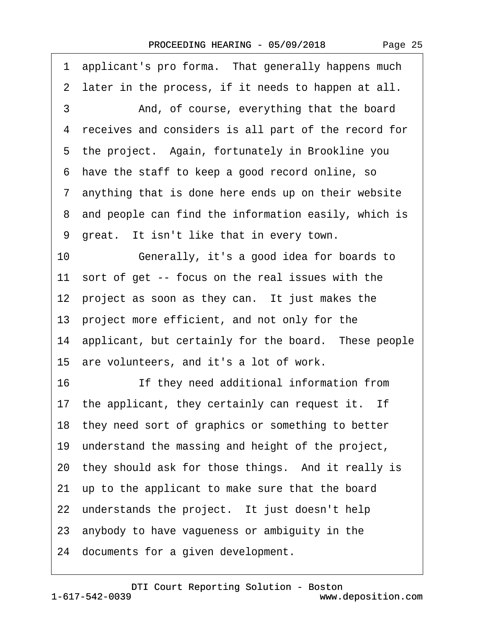Page 25

1 applicant's pro forma. That generally happens much 2 later in the process, if it needs to happen at all. 3 And, of course, everything that the board ·4· receives and considers is all part of the record for 5 the project. Again, fortunately in Brookline you ·6· have the staff to keep a good record online, so ·7· anything that is done here ends up on their website 8 and people can find the information easily, which is 9 great. It isn't like that in every town. 10· · · · · ·Generally, it's a good idea for boards to 11 sort of get -- focus on the real issues with the 12 project as soon as they can. It just makes the 13· project more efficient, and not only for the 14 applicant, but certainly for the board. These people 15 are volunteers, and it's a lot of work. 16 **If they need additional information from** 17 the applicant, they certainly can request it. If 18 they need sort of graphics or something to better 19· understand the massing and height of the project, 20 they should ask for those things. And it really is 21· up to the applicant to make sure that the board 22 understands the project. It just doesn't help 23· anybody to have vagueness or ambiguity in the 24 documents for a given development.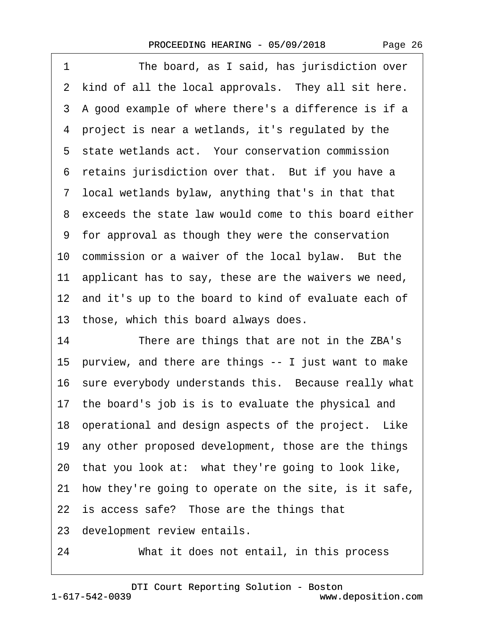| Page 26 |  |
|---------|--|
|---------|--|

| The board, as I said, has jurisdiction over<br>1         |
|----------------------------------------------------------|
| 2 kind of all the local approvals. They all sit here.    |
| 3 A good example of where there's a difference is if a   |
| 4 project is near a wetlands, it's regulated by the      |
| 5 state wetlands act. Your conservation commission       |
| 6 retains jurisdiction over that. But if you have a      |
| 7 local wetlands bylaw, anything that's in that that     |
| 8 exceeds the state law would come to this board either  |
| 9 for approval as though they were the conservation      |
| 10 commission or a waiver of the local bylaw. But the    |
| 11 applicant has to say, these are the waivers we need,  |
| 12 and it's up to the board to kind of evaluate each of  |
| 13 those, which this board always does.                  |
| 14<br>There are things that are not in the ZBA's         |
| 15 purview, and there are things -- I just want to make  |
| 16 sure everybody understands this. Because really what  |
| 17 the board's job is is to evaluate the physical and    |
| 18 operational and design aspects of the project. Like   |
| 19 any other proposed development, those are the things  |
| 20 that you look at: what they're going to look like,    |
| 21 how they're going to operate on the site, is it safe, |
| 22 is access safe? Those are the things that             |
| 23 development review entails.                           |
| What it does not entail, in this process<br>24           |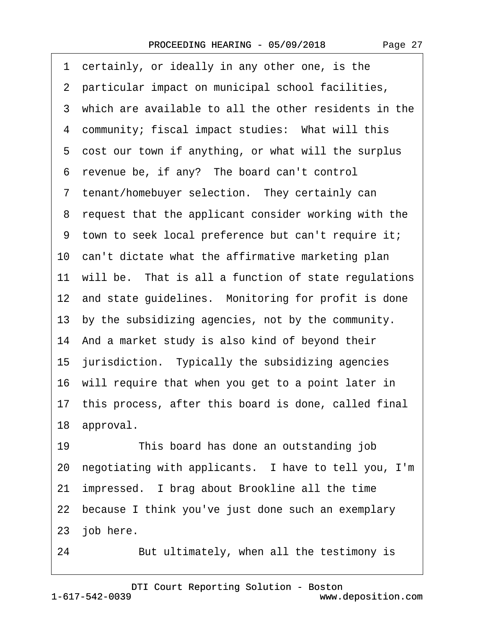1 certainly, or ideally in any other one, is the 2 particular impact on municipal school facilities, 3 which are available to all the other residents in the 4 community; fiscal impact studies: What will this 5 cost our town if anything, or what will the surplus 6 revenue be, if any? The board can't control 7 tenant/homebuyer selection. They certainly can 8 request that the applicant consider working with the ·9· town to seek local preference but can't require it; 10 can't dictate what the affirmative marketing plan 11 will be. That is all a function of state regulations 12 and state guidelines. Monitoring for profit is done 13 by the subsidizing agencies, not by the community. 14· And a market study is also kind of beyond their 15 jurisdiction. Typically the subsidizing agencies 16· will require that when you get to a point later in 17· this process, after this board is done, called final 18 approval. 19 This board has done an outstanding job

20 negotiating with applicants. I have to tell you, I'm

21 impressed. I brag about Brookline all the time

22 because I think you've just done such an exemplary

23 job here.

24 But ultimately, when all the testimony is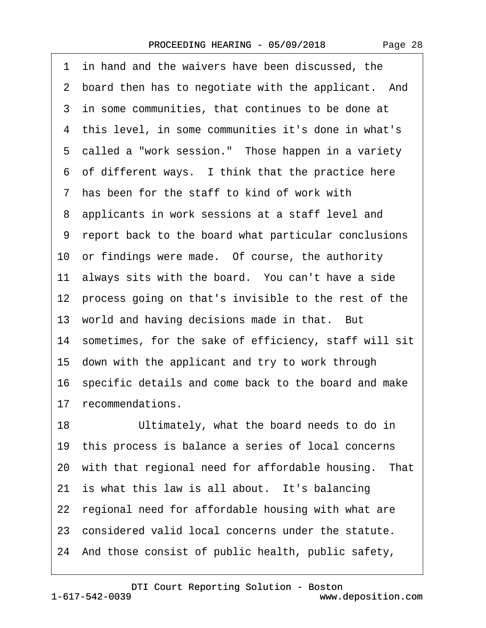Page 28

1 in hand and the waivers have been discussed, the 2 board then has to negotiate with the applicant. And 3 in some communities, that continues to be done at 4 this level, in some communities it's done in what's 5 called a "work session." Those happen in a variety 6 of different ways. I think that the practice here ·7· has been for the staff to kind of work with ·8· applicants in work sessions at a staff level and ·9· report back to the board what particular conclusions 10 or findings were made. Of course, the authority 11 always sits with the board. You can't have a side 12 process going on that's invisible to the rest of the 13 world and having decisions made in that. But 14 sometimes, for the sake of efficiency, staff will sit 15· down with the applicant and try to work through 16 specific details and come back to the board and make 17 recommendations. 18 Ultimately, what the board needs to do in 19· this process is balance a series of local concerns 20 with that regional need for affordable housing. That 21 is what this law is all about. It's balancing 22 regional need for affordable housing with what are 23 considered valid local concerns under the statute. 24· And those consist of public health, public safety,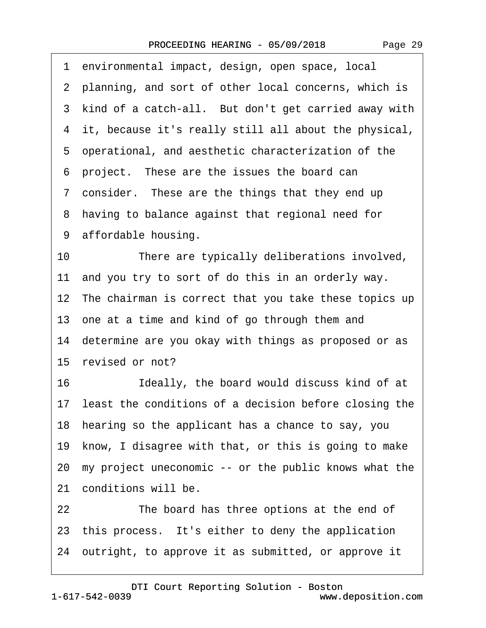| Page 29 |  |
|---------|--|
|---------|--|

|    | 1 environmental impact, design, open space, local        |
|----|----------------------------------------------------------|
|    | 2 planning, and sort of other local concerns, which is   |
|    | 3 kind of a catch-all. But don't get carried away with   |
|    | 4 it, because it's really still all about the physical,  |
|    | 5 operational, and aesthetic characterization of the     |
|    | 6 project. These are the issues the board can            |
|    | 7 consider. These are the things that they end up        |
|    | 8 having to balance against that regional need for       |
|    | 9 affordable housing.                                    |
| 10 | There are typically deliberations involved,              |
|    | 11 and you try to sort of do this in an orderly way.     |
|    | 12 The chairman is correct that you take these topics up |
|    | 13 one at a time and kind of go through them and         |
|    | 14 determine are you okay with things as proposed or as  |
|    | 15 revised or not?                                       |
| 16 | Ideally, the board would discuss kind of at              |
|    | 17 least the conditions of a decision before closing the |
|    | 18 hearing so the applicant has a chance to say, you     |
|    | 19 know, I disagree with that, or this is going to make  |
|    | 20 my project uneconomic -- or the public knows what the |
|    | 21 conditions will be.                                   |
| 22 | The board has three options at the end of                |
|    | 23 this process. It's either to deny the application     |
|    | 24 outright, to approve it as submitted, or approve it   |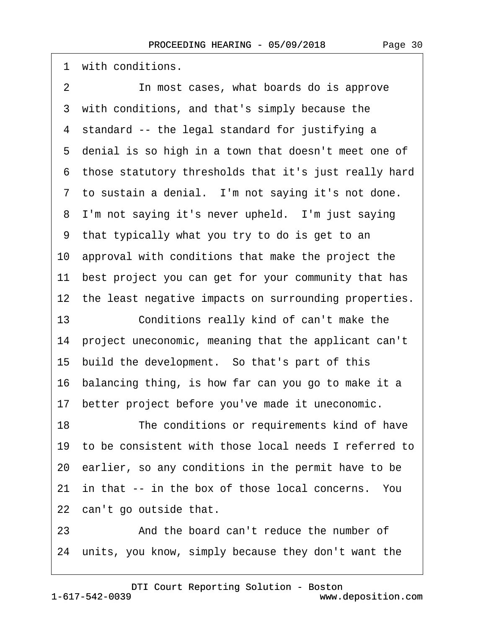1 with conditions.

2 **In most cases, what boards do is approve** 3 with conditions, and that's simply because the 4 standard -- the legal standard for justifying a 5 denial is so high in a town that doesn't meet one of ·6· those statutory thresholds that it's just really hard 7 to sustain a denial. I'm not saying it's not done. 8 I'm not saying it's never upheld. I'm just saying ·9· that typically what you try to do is get to an 10· approval with conditions that make the project the 11 best project you can get for your community that has 12 the least negative impacts on surrounding properties. 13 **Conditions really kind of can't make the** 14 project uneconomic, meaning that the applicant can't 15 build the development. So that's part of this 16· balancing thing, is how far can you go to make it a 17 better project before you've made it uneconomic. 18 The conditions or requirements kind of have 19· to be consistent with those local needs I referred to 20· earlier, so any conditions in the permit have to be 21 in that -- in the box of those local concerns. You 22 can't go outside that.

23 And the board can't reduce the number of 24· units, you know, simply because they don't want the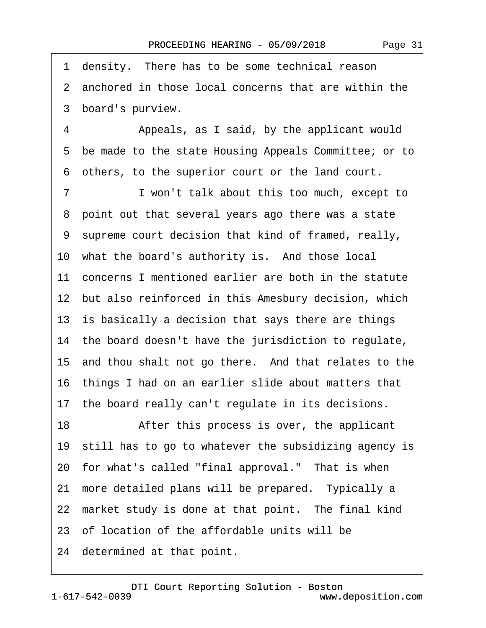1 density. There has to be some technical reason 2 anchored in those local concerns that are within the 3 board's purview. 4 • • Appeals, as I said, by the applicant would ·5· be made to the state Housing Appeals Committee; or to ·6· others, to the superior court or the land court. 7 I won't talk about this too much, except to 8 point out that several years ago there was a state ·9· supreme court decision that kind of framed, really, 10 what the board's authority is. And those local 11 concerns I mentioned earlier are both in the statute 12 but also reinforced in this Amesbury decision, which 13 is basically a decision that says there are things 14 the board doesn't have the jurisdiction to regulate, 15 and thou shalt not go there. And that relates to the 16· things I had on an earlier slide about matters that 17· the board really can't regulate in its decisions. 18 • After this process is over, the applicant 19 still has to go to whatever the subsidizing agency is 20 for what's called "final approval." That is when 21 more detailed plans will be prepared. Typically a 22 market study is done at that point. The final kind 23· of location of the affordable units will be 24 determined at that point.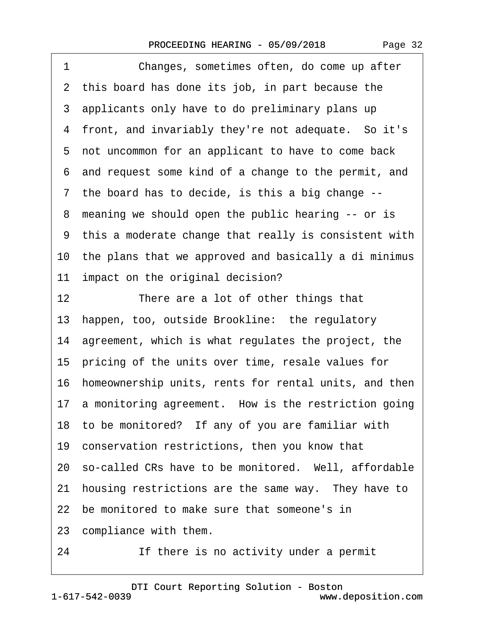| Page 32 |  |
|---------|--|
|---------|--|

| 1  | Changes, sometimes often, do come up after               |
|----|----------------------------------------------------------|
|    | 2 this board has done its job, in part because the       |
|    | 3 applicants only have to do preliminary plans up        |
|    | 4 front, and invariably they're not adequate. So it's    |
|    | 5 not uncommon for an applicant to have to come back     |
|    | 6 and request some kind of a change to the permit, and   |
|    | 7 the board has to decide, is this a big change --       |
|    | 8 meaning we should open the public hearing -- or is     |
|    | 9 this a moderate change that really is consistent with  |
|    | 10 the plans that we approved and basically a di minimus |
|    | 11 impact on the original decision?                      |
| 12 | There are a lot of other things that                     |
|    | 13 happen, too, outside Brookline: the regulatory        |
|    | 14 agreement, which is what regulates the project, the   |
|    | 15 pricing of the units over time, resale values for     |
|    | 16 homeownership units, rents for rental units, and then |
|    | 17 a monitoring agreement. How is the restriction going  |
|    | 18 to be monitored? If any of you are familiar with      |
|    | 19 conservation restrictions, then you know that         |
|    | 20 so-called CRs have to be monitored. Well, affordable  |
|    | 21 housing restrictions are the same way. They have to   |
|    | 22 be monitored to make sure that someone's in           |
|    | 23 compliance with them.                                 |
|    |                                                          |

24 If there is no activity under a permit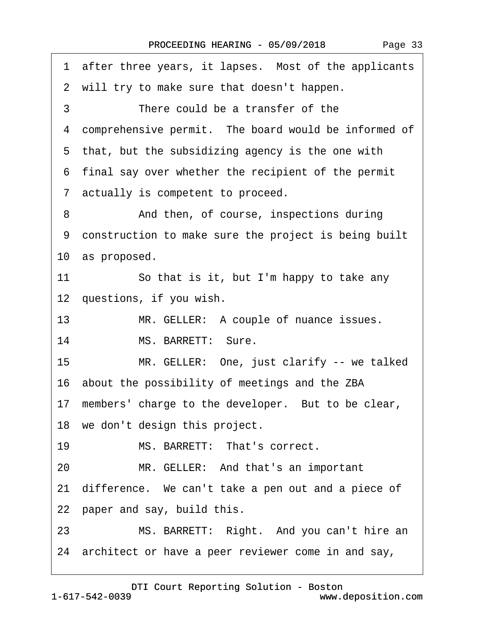|    | 1 after three years, it lapses. Most of the applicants |
|----|--------------------------------------------------------|
|    | 2 will try to make sure that doesn't happen.           |
| 3  | There could be a transfer of the                       |
|    | 4 comprehensive permit. The board would be informed of |
|    | 5 that, but the subsidizing agency is the one with     |
|    | 6 final say over whether the recipient of the permit   |
|    | 7 actually is competent to proceed.                    |
| 8  | And then, of course, inspections during                |
|    | 9 construction to make sure the project is being built |
|    | 10 as proposed.                                        |
| 11 | So that is it, but I'm happy to take any               |
|    | 12 questions, if you wish.                             |
| 13 | MR. GELLER: A couple of nuance issues.                 |
| 14 | MS. BARRETT: Sure.                                     |
| 15 | MR. GELLER: One, just clarify -- we talked             |
|    | 16 about the possibility of meetings and the ZBA       |
|    | 17 members' charge to the developer. But to be clear,  |
|    | 18 we don't design this project.                       |
| 19 | MS. BARRETT: That's correct.                           |
| 20 | MR. GELLER: And that's an important                    |
|    | 21 difference. We can't take a pen out and a piece of  |
|    | 22 paper and say, build this.                          |
| 23 | MS. BARRETT: Right. And you can't hire an              |
|    | 24 architect or have a peer reviewer come in and say,  |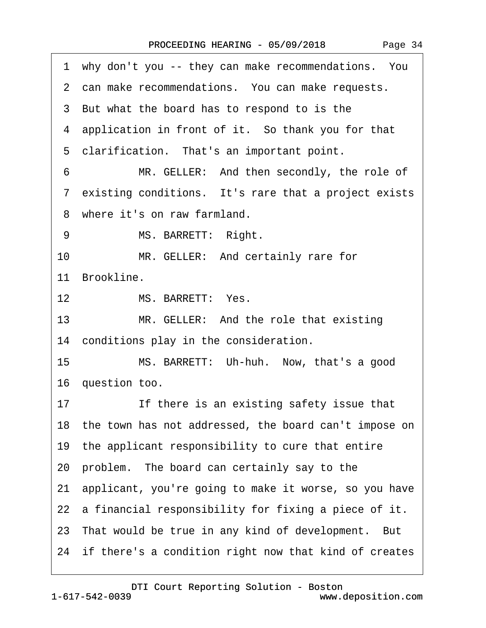| 1 why don't you -- they can make recommendations. You    |
|----------------------------------------------------------|
| 2 can make recommendations. You can make requests.       |
| 3 But what the board has to respond to is the            |
| 4 application in front of it. So thank you for that      |
| 5 clarification. That's an important point.              |
| 6<br>MR. GELLER: And then secondly, the role of          |
| 7 existing conditions. It's rare that a project exists   |
| 8 where it's on raw farmland.                            |
| MS. BARRETT: Right.<br>9                                 |
| 10 <sup>°</sup><br>MR. GELLER: And certainly rare for    |
| 11 Brookline.                                            |
| MS. BARRETT: Yes.<br>12 <sup>2</sup>                     |
| 13<br>MR. GELLER: And the role that existing             |
| 14 conditions play in the consideration.                 |
| MS. BARRETT: Uh-huh. Now, that's a good<br>15            |
| 16 question too.                                         |
| 17<br>If there is an existing safety issue that          |
| 18 the town has not addressed, the board can't impose on |
| 19 the applicant responsibility to cure that entire      |
| 20 problem. The board can certainly say to the           |
| 21 applicant, you're going to make it worse, so you have |
| 22 a financial responsibility for fixing a piece of it.  |
| 23 That would be true in any kind of development. But    |
| 24 if there's a condition right now that kind of creates |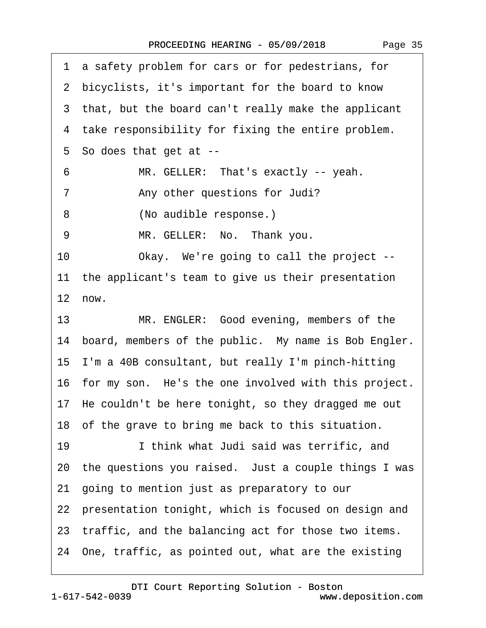·1· a safety problem for cars or for pedestrians, for 2 bicyclists, it's important for the board to know 3 that, but the board can't really make the applicant 4 take responsibility for fixing the entire problem. 5 So does that get at --6 MR. GELLER: That's exactly -- yeah. 7 • **Any other questions for Judi?** 8 (No audible response.) 9 MR. GELLER: No. Thank you. 10 Okay. We're going to call the project --11 the applicant's team to give us their presentation  $12$  now. 13 MR. ENGLER: Good evening, members of the 14 board, members of the public. My name is Bob Engler. 15· I'm a 40B consultant, but really I'm pinch-hitting 16 for my son. He's the one involved with this project. 17· He couldn't be here tonight, so they dragged me out 18 of the grave to bring me back to this situation. 19· · · · · ·I think what Judi said was terrific, and 20· the questions you raised.· Just a couple things I was 21· going to mention just as preparatory to our 22 presentation tonight, which is focused on design and 23 traffic, and the balancing act for those two items. 24· One, traffic, as pointed out, what are the existing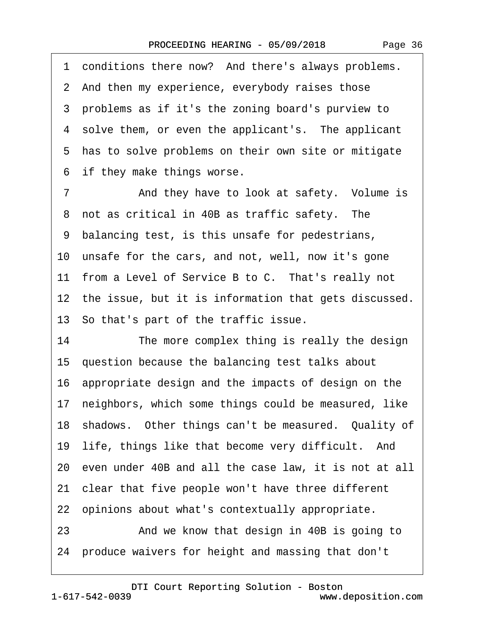1 conditions there now? And there's always problems. 2 And then my experience, everybody raises those ·3· problems as if it's the zoning board's purview to 4 solve them, or even the applicant's. The applicant 5 has to solve problems on their own site or mitigate 6 if they make things worse.

7 • And they have to look at safety. Volume is 8 not as critical in 40B as traffic safety. The ·9· balancing test, is this unsafe for pedestrians, 10 unsafe for the cars, and not, well, now it's gone 11 from a Level of Service B to C. That's really not 12 the issue, but it is information that gets discussed. 13· So that's part of the traffic issue. 14 The more complex thing is really the design

15 question because the balancing test talks about 16· appropriate design and the impacts of design on the

17 neighbors, which some things could be measured, like

18 shadows. Other things can't be measured. Quality of

19 life, things like that become very difficult. And

20· even under 40B and all the case law, it is not at all

21· clear that five people won't have three different

22 opinions about what's contextually appropriate.

23 • And we know that design in 40B is going to 24· produce waivers for height and massing that don't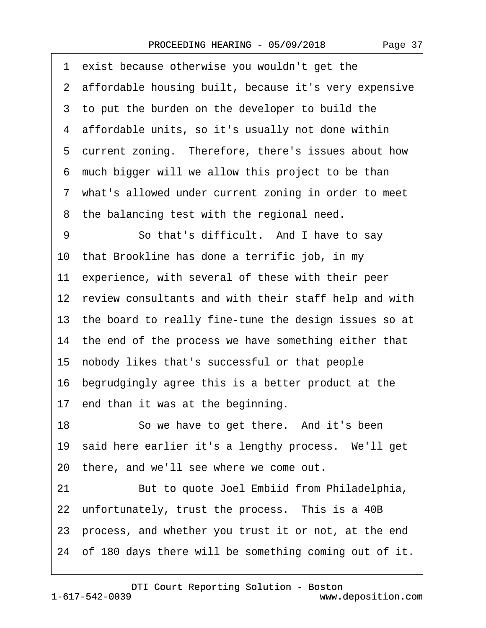| exist because otherwise you wouldn't get the<br>1        |
|----------------------------------------------------------|
| 2 affordable housing built, because it's very expensive  |
| 3 to put the burden on the developer to build the        |
| 4 affordable units, so it's usually not done within      |
| 5 current zoning. Therefore, there's issues about how    |
| 6 much bigger will we allow this project to be than      |
| 7 what's allowed under current zoning in order to meet   |
| 8 the balancing test with the regional need.             |
| 9<br>So that's difficult. And I have to say              |
| 10 that Brookline has done a terrific job, in my         |
| 11 experience, with several of these with their peer     |
| 12 review consultants and with their staff help and with |
| 13 the board to really fine-tune the design issues so at |
| 14 the end of the process we have something either that  |
| 15 nobody likes that's successful or that people         |
| 16 begrudgingly agree this is a better product at the    |
| 17 end than it was at the beginning.                     |
| 18<br>So we have to get there. And it's been             |
| 19 said here earlier it's a lengthy process. We'll get   |
| 20 there, and we'll see where we come out.               |
| 21<br>But to quote Joel Embiid from Philadelphia,        |
| 22 unfortunately, trust the process. This is a 40B       |
| 23 process, and whether you trust it or not, at the end  |
| 24 of 180 days there will be something coming out of it. |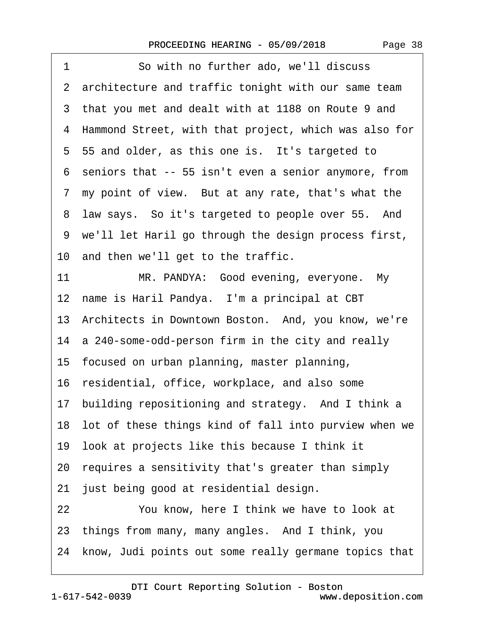| 1<br>So with no further ado, we'll discuss               |
|----------------------------------------------------------|
| 2 architecture and traffic tonight with our same team    |
| 3 that you met and dealt with at 1188 on Route 9 and     |
| 4 Hammond Street, with that project, which was also for  |
| 5 55 and older, as this one is. It's targeted to         |
| 6 seniors that -- 55 isn't even a senior anymore, from   |
| 7 my point of view. But at any rate, that's what the     |
| law says. So it's targeted to people over 55. And<br>8   |
| 9 we'll let Haril go through the design process first,   |
| 10 and then we'll get to the traffic.                    |
| MR. PANDYA: Good evening, everyone. My<br>11             |
| 12 name is Haril Pandya. I'm a principal at CBT          |
| 13 Architects in Downtown Boston. And, you know, we're   |
| 14 a 240-some-odd-person firm in the city and really     |
| 15 focused on urban planning, master planning,           |
| 16 residential, office, workplace, and also some         |
| 17 building repositioning and strategy. And I think a    |
| 18 lot of these things kind of fall into purview when we |
| 19 look at projects like this because I think it         |
| 20 requires a sensitivity that's greater than simply     |
| 21 just being good at residential design.                |
| 22<br>You know, here I think we have to look at          |
| 23 things from many, many angles. And I think, you       |
| 24 know, Judi points out some really germane topics that |
|                                                          |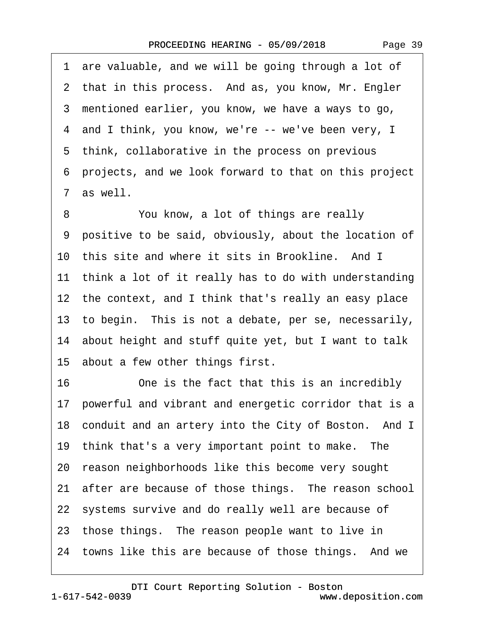1 are valuable, and we will be going through a lot of 2 that in this process. And as, you know, Mr. Engler ·3· mentioned earlier, you know, we have a ways to go, 4 and I think, you know, we're -- we've been very, I 5 think, collaborative in the process on previous ·6· projects, and we look forward to that on this project 7 as well. 8 You know, a lot of things are really ·9· positive to be said, obviously, about the location of 10 this site and where it sits in Brookline. And I 11 think a lot of it really has to do with understanding 12 the context, and I think that's really an easy place

13 to begin. This is not a debate, per se, necessarily,

14· about height and stuff quite yet, but I want to talk

15 about a few other things first.

16 One is the fact that this is an incredibly 17 powerful and vibrant and energetic corridor that is a 18 conduit and an artery into the City of Boston. And I 19 think that's a very important point to make. The 20 reason neighborhoods like this become very sought 21 after are because of those things. The reason school 22 systems survive and do really well are because of 23 those things. The reason people want to live in 24 towns like this are because of those things. And we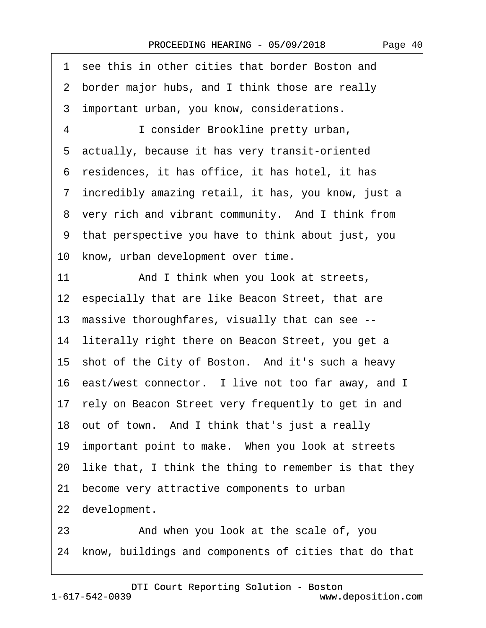| 1 see this in other cities that border Boston and           |  |  |  |
|-------------------------------------------------------------|--|--|--|
| 2 border major hubs, and I think those are really           |  |  |  |
| 3 important urban, you know, considerations.                |  |  |  |
| 4<br>I consider Brookline pretty urban,                     |  |  |  |
| 5 actually, because it has very transit-oriented            |  |  |  |
| 6 residences, it has office, it has hotel, it has           |  |  |  |
| 7 incredibly amazing retail, it has, you know, just a       |  |  |  |
| 8 very rich and vibrant community. And I think from         |  |  |  |
| 9 that perspective you have to think about just, you        |  |  |  |
| 10 know, urban development over time.                       |  |  |  |
| 11<br>And I think when you look at streets,                 |  |  |  |
| 12 especially that are like Beacon Street, that are         |  |  |  |
| 13 massive thoroughfares, visually that can see --          |  |  |  |
| 14 literally right there on Beacon Street, you get a        |  |  |  |
| 15 shot of the City of Boston. And it's such a heavy        |  |  |  |
| 16 east/west connector. I live not too far away, and I      |  |  |  |
| 17 rely on Beacon Street very frequently to get in and      |  |  |  |
| 18 out of town. And I think that's just a really            |  |  |  |
| 19 important point to make. When you look at streets        |  |  |  |
| like that, I think the thing to remember is that they<br>20 |  |  |  |
| 21 become very attractive components to urban               |  |  |  |
| 22 development.                                             |  |  |  |
| 23<br>And when you look at the scale of, you                |  |  |  |

24 know, buildings and components of cities that do that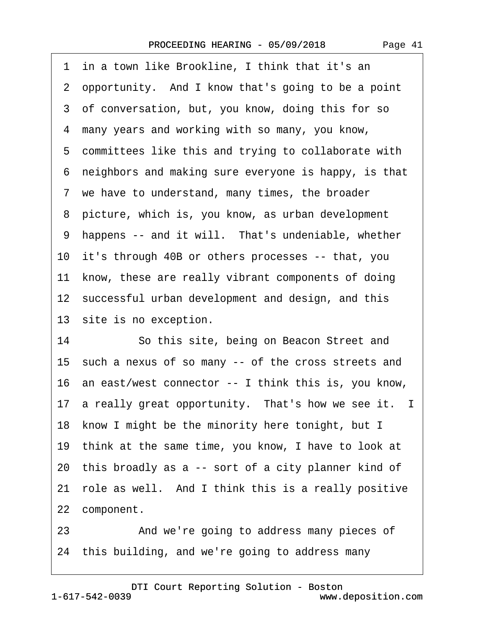·1· in a town like Brookline, I think that it's an ·2· opportunity.· And I know that's going to be a point 3 of conversation, but, you know, doing this for so 4 many years and working with so many, you know, 5 committees like this and trying to collaborate with ·6· neighbors and making sure everyone is happy, is that 7 we have to understand, many times, the broader 8 picture, which is, you know, as urban development 9 happens -- and it will. That's undeniable, whether 10 it's through 40B or others processes -- that, you 11 know, these are really vibrant components of doing 12 successful urban development and design, and this 13 site is no exception. 14 So this site, being on Beacon Street and

15 such a nexus of so many -- of the cross streets and 16· an east/west connector -- I think this is, you know, 17 a really great opportunity. That's how we see it. I 18 know I might be the minority here tonight, but I 19· think at the same time, you know, I have to look at 20· this broadly as a -- sort of a city planner kind of 21 role as well. And I think this is a really positive 22 component.

23 • 23 **And we're going to address many pieces of** 24· this building, and we're going to address many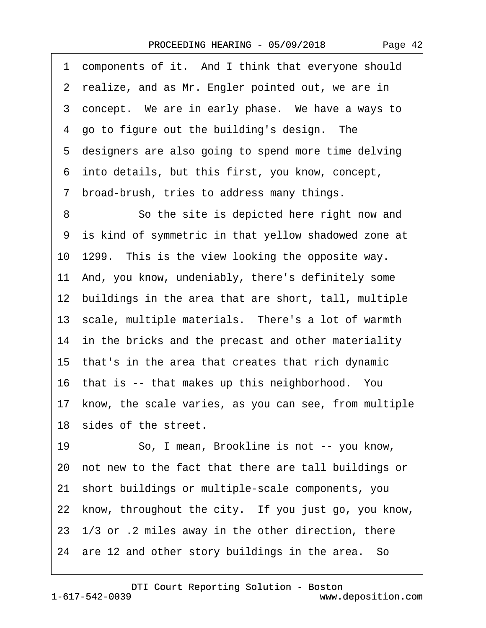1 components of it. And I think that everyone should 2 realize, and as Mr. Engler pointed out, we are in 3 concept. We are in early phase. We have a ways to 4 go to figure out the building's design. The 5 designers are also going to spend more time delving ·6· into details, but this first, you know, concept, ·7· broad-brush, tries to address many things. 8 So the site is depicted here right now and ·9· is kind of symmetric in that yellow shadowed zone at 10–1299. This is the view looking the opposite way. 11· And, you know, undeniably, there's definitely some 12 buildings in the area that are short, tall, multiple 13· scale, multiple materials.· There's a lot of warmth 14 in the bricks and the precast and other materiality 15· that's in the area that creates that rich dynamic 16 that is -- that makes up this neighborhood. You 17 know, the scale varies, as you can see, from multiple 18 sides of the street. 19 · · So, I mean, Brookline is not -- you know, 20· not new to the fact that there are tall buildings or 21· short buildings or multiple-scale components, you 22 know, throughout the city. If you just go, you know, 23· 1/3 or .2 miles away in the other direction, there 24 are 12 and other story buildings in the area. So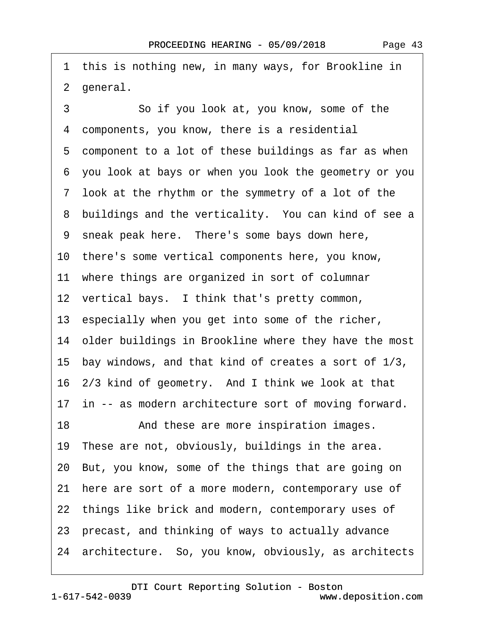1 this is nothing new, in many ways, for Brookline in 2 general.

3 **3** · · · So if you look at, you know, some of the 4 components, you know, there is a residential 5 component to a lot of these buildings as far as when ·6· you look at bays or when you look the geometry or you ·7· look at the rhythm or the symmetry of a lot of the 8 buildings and the verticality. You can kind of see a 9 sneak peak here. There's some bays down here, 10· there's some vertical components here, you know, 11 where things are organized in sort of columnar 12 vertical bays. I think that's pretty common, 13 especially when you get into some of the richer, 14 older buildings in Brookline where they have the most 15· bay windows, and that kind of creates a sort of 1/3, 16· 2/3 kind of geometry.· And I think we look at that 17 in -- as modern architecture sort of moving forward. 18 • And these are more inspiration images. 19 These are not, obviously, buildings in the area. 20· But, you know, some of the things that are going on 21 here are sort of a more modern, contemporary use of 22 things like brick and modern, contemporary uses of 23· precast, and thinking of ways to actually advance 24 architecture. So, you know, obviously, as architects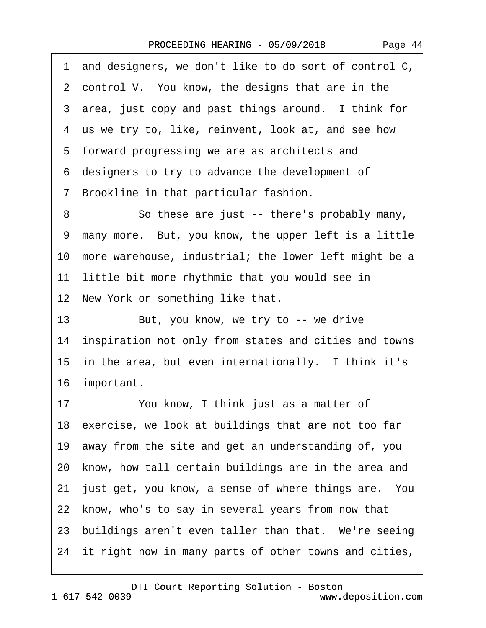·1· and designers, we don't like to do sort of control C, 2 control V. You know, the designs that are in the 3 area, just copy and past things around. I think for 4 us we try to, like, reinvent, look at, and see how 5 forward progressing we are as architects and ·6· designers to try to advance the development of ·7· Brookline in that particular fashion. 8 So these are just -- there's probably many, ·9· many more.· But, you know, the upper left is a little 10 more warehouse, industrial; the lower left might be a 11 little bit more rhythmic that you would see in 12 New York or something like that. 13 But, you know, we try to -- we drive 14 inspiration not only from states and cities and towns 15 in the area, but even internationally. I think it's 16 important. 17 You know, I think just as a matter of 18 exercise, we look at buildings that are not too far 19· away from the site and get an understanding of, you 20 know, how tall certain buildings are in the area and 21 just get, you know, a sense of where things are. You 22 know, who's to say in several years from now that 23 buildings aren't even taller than that. We're seeing 24 it right now in many parts of other towns and cities,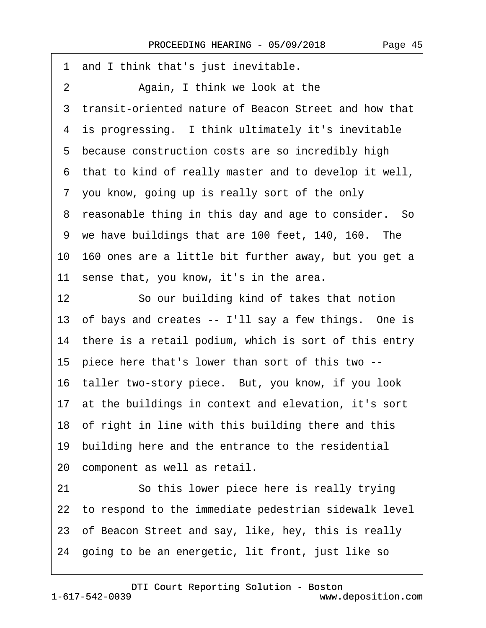·1· and I think that's just inevitable. 2 Again, I think we look at the 3 transit-oriented nature of Beacon Street and how that 4 is progressing. I think ultimately it's inevitable 5 because construction costs are so incredibly high ·6· that to kind of really master and to develop it well, 7 you know, going up is really sort of the only 8 reasonable thing in this day and age to consider. So 9 we have buildings that are 100 feet, 140, 160. The 10· 160 ones are a little bit further away, but you get a 11 sense that, you know, it's in the area. 12 So our building kind of takes that notion 13 of bays and creates -- I'll say a few things. One is 14 there is a retail podium, which is sort of this entry 15· piece here that's lower than sort of this two -- 16 taller two-story piece. But, you know, if you look 17 at the buildings in context and elevation, it's sort 18· of right in line with this building there and this 19 building here and the entrance to the residential 20 component as well as retail. 21 So this lower piece here is really trying 22 to respond to the immediate pedestrian sidewalk level 23 of Beacon Street and say, like, hey, this is really 24· going to be an energetic, lit front, just like so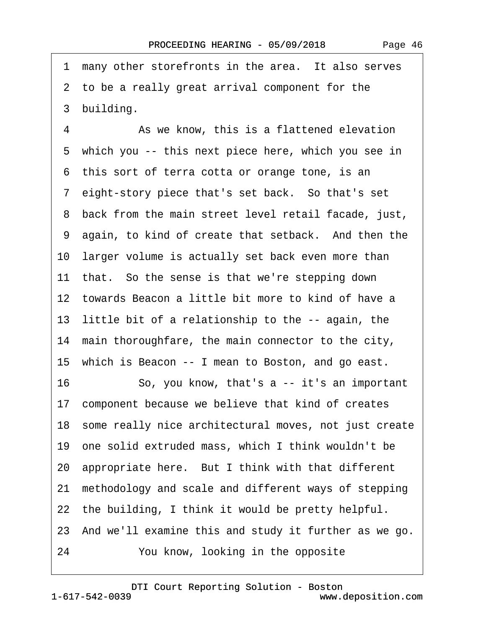1 many other storefronts in the area. It also serves 2 to be a really great arrival component for the 3 building. 4 • As we know, this is a flattened elevation 5 which you -- this next piece here, which you see in 6 this sort of terra cotta or orange tone, is an ·7· eight-story piece that's set back.· So that's set ·8· back from the main street level retail facade, just, 9 again, to kind of create that setback. And then the 10 larger volume is actually set back even more than 11 that. So the sense is that we're stepping down 12 towards Beacon a little bit more to kind of have a 13 little bit of a relationship to the -- again, the 14 main thoroughfare, the main connector to the city, 15· which is Beacon -- I mean to Boston, and go east. 16 So, you know, that's a -- it's an important 17 component because we believe that kind of creates 18· some really nice architectural moves, not just create 19· one solid extruded mass, which I think wouldn't be 20 appropriate here. But I think with that different 21· methodology and scale and different ways of stepping 22 the building, I think it would be pretty helpful. 23· And we'll examine this and study it further as we go. 24 You know, looking in the opposite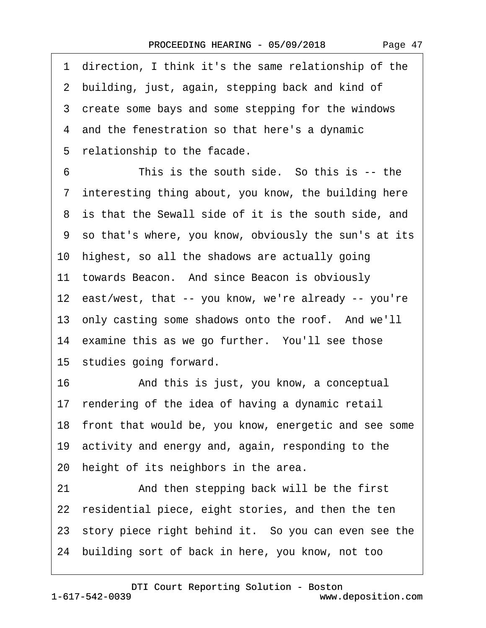·1· direction, I think it's the same relationship of the 2 building, just, again, stepping back and kind of 3 create some bays and some stepping for the windows 4 and the fenestration so that here's a dynamic 5 relationship to the facade. 6 This is the south side. So this is -- the 7 interesting thing about, you know, the building here 8 is that the Sewall side of it is the south side, and ·9· so that's where, you know, obviously the sun's at its 10 highest, so all the shadows are actually going 11 towards Beacon. And since Beacon is obviously 12 east/west, that -- you know, we're already -- you're 13 only casting some shadows onto the roof. And we'll 14 examine this as we go further. You'll see those 15 studies going forward. 16· · · · · ·And this is just, you know, a conceptual 17 rendering of the idea of having a dynamic retail 18 front that would be, you know, energetic and see some 19· activity and energy and, again, responding to the 20 height of its neighbors in the area. 21 And then stepping back will be the first 22 residential piece, eight stories, and then the ten 23 story piece right behind it. So you can even see the 24· building sort of back in here, you know, not too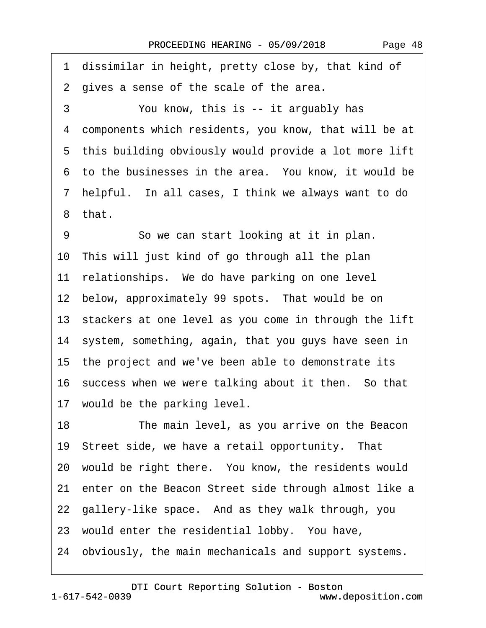1 dissimilar in height, pretty close by, that kind of 2 gives a sense of the scale of the area. 3 You know, this is -- it arguably has ·4· components which residents, you know, that will be at 5 this building obviously would provide a lot more lift 6 to the businesses in the area. You know, it would be ·7· helpful.· In all cases, I think we always want to do ·8· that. 9 So we can start looking at it in plan. 10· This will just kind of go through all the plan 11 relationships. We do have parking on one level 12 below, approximately 99 spots. That would be on 13 stackers at one level as you come in through the lift 14 system, something, again, that you guys have seen in 15· the project and we've been able to demonstrate its 16 success when we were talking about it then. So that 17 would be the parking level. 18 The main level, as you arrive on the Beacon 19 Street side, we have a retail opportunity. That 20 would be right there. You know, the residents would 21 enter on the Beacon Street side through almost like a 22 gallery-like space. And as they walk through, you 23 would enter the residential lobby. You have, 24· obviously, the main mechanicals and support systems.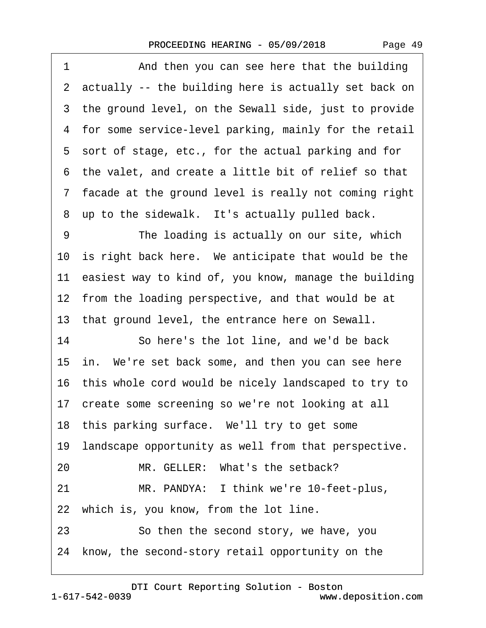1 And then you can see here that the building 2 actually -- the building here is actually set back on 3 the ground level, on the Sewall side, just to provide 4 for some service-level parking, mainly for the retail ·5· sort of stage, etc., for the actual parking and for ·6· the valet, and create a little bit of relief so that ·7· facade at the ground level is really not coming right 8 up to the sidewalk. It's actually pulled back. 9 The loading is actually on our site, which 10 is right back here. We anticipate that would be the 11 easiest way to kind of, you know, manage the building 12 from the loading perspective, and that would be at 13 that ground level, the entrance here on Sewall. 14 So here's the lot line, and we'd be back 15 in. We're set back some, and then you can see here 16· this whole cord would be nicely landscaped to try to 17 create some screening so we're not looking at all 18 this parking surface. We'll try to get some 19 landscape opportunity as well from that perspective. 20 MR. GELLER: What's the setback? 21 MR. PANDYA: I think we're 10-feet-plus, 22 which is, you know, from the lot line. 23 **· · · So then the second story, we have, you** 24 know, the second-story retail opportunity on the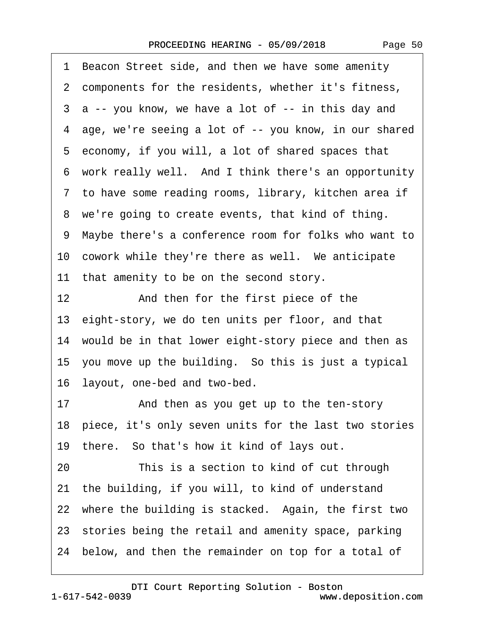| Page 50 |  |
|---------|--|
|---------|--|

|                   | 1 Beacon Street side, and then we have some amenity      |
|-------------------|----------------------------------------------------------|
|                   | 2 components for the residents, whether it's fitness,    |
|                   | 3 a -- you know, we have a lot of -- in this day and     |
|                   | 4 age, we're seeing a lot of -- you know, in our shared  |
|                   | 5 economy, if you will, a lot of shared spaces that      |
|                   | 6 work really well. And I think there's an opportunity   |
|                   | 7 to have some reading rooms, library, kitchen area if   |
|                   | 8 we're going to create events, that kind of thing.      |
|                   | 9 Maybe there's a conference room for folks who want to  |
|                   | 10 cowork while they're there as well. We anticipate     |
|                   | 11 that amenity to be on the second story.               |
| $12 \overline{ }$ | And then for the first piece of the                      |
|                   | 13 eight-story, we do ten units per floor, and that      |
|                   | 14 would be in that lower eight-story piece and then as  |
|                   | 15 you move up the building. So this is just a typical   |
|                   | 16 layout, one-bed and two-bed.                          |
| 17                | And then as you get up to the ten-story                  |
|                   | 18 piece, it's only seven units for the last two stories |
|                   | 19 there. So that's how it kind of lays out.             |
| 20                | This is a section to kind of cut through                 |
|                   | 21 the building, if you will, to kind of understand      |
|                   | 22 where the building is stacked. Again, the first two   |
|                   | 23 stories being the retail and amenity space, parking   |
|                   | 24 below, and then the remainder on top for a total of   |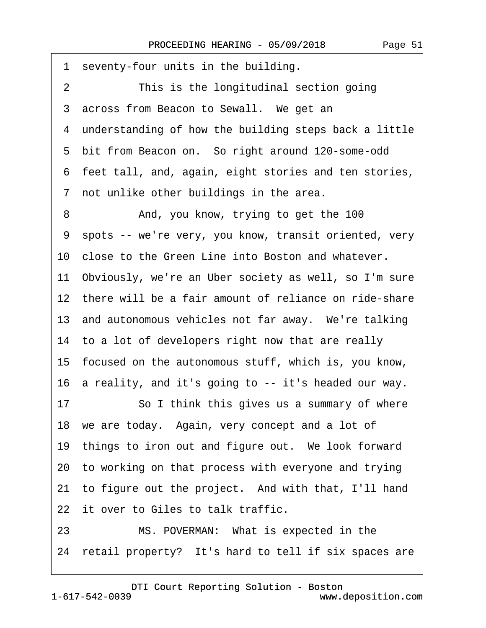| seventy-four units in the building.<br>1                   |  |  |
|------------------------------------------------------------|--|--|
| This is the longitudinal section going<br>2                |  |  |
| across from Beacon to Sewall. We get an<br>3               |  |  |
| 4 understanding of how the building steps back a little    |  |  |
| 5 bit from Beacon on. So right around 120-some-odd         |  |  |
| 6 feet tall, and, again, eight stories and ten stories,    |  |  |
| 7 not unlike other buildings in the area.                  |  |  |
| And, you know, trying to get the 100<br>8                  |  |  |
| spots -- we're very, you know, transit oriented, very<br>9 |  |  |
| 10 close to the Green Line into Boston and whatever.       |  |  |
| 11 Obviously, we're an Uber society as well, so I'm sure   |  |  |
| 12 there will be a fair amount of reliance on ride-share   |  |  |
| 13 and autonomous vehicles not far away. We're talking     |  |  |
| 14 to a lot of developers right now that are really        |  |  |
| 15 focused on the autonomous stuff, which is, you know,    |  |  |
| 16 a reality, and it's going to -- it's headed our way.    |  |  |
| 17<br>So I think this gives us a summary of where          |  |  |
| 18 we are today. Again, very concept and a lot of          |  |  |
| 19 things to iron out and figure out. We look forward      |  |  |
| 20 to working on that process with everyone and trying     |  |  |
| 21 to figure out the project. And with that, I'll hand     |  |  |
| 22 it over to Giles to talk traffic.                       |  |  |
| MS. POVERMAN: What is expected in the<br>23                |  |  |
| 24 retail property? It's hard to tell if six spaces are    |  |  |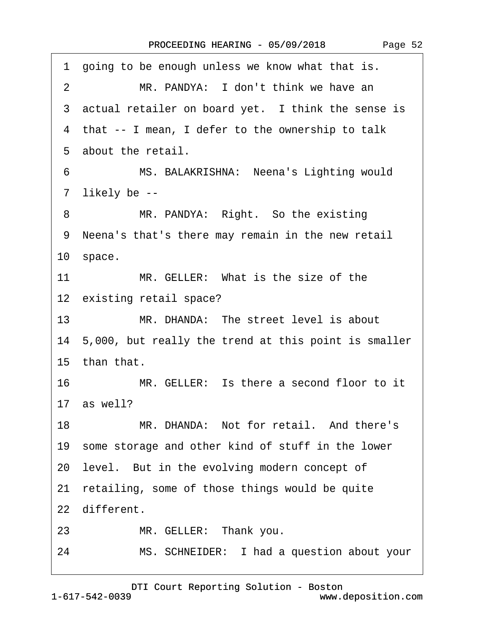1 going to be enough unless we know what that is. 2 MR. PANDYA: I don't think we have an 3 actual retailer on board yet. I think the sense is 4 that -- I mean, I defer to the ownership to talk 5 about the retail. 6 MS. BALAKRISHNA: Neena's Lighting would 7 likely be --8 MR. PANDYA: Right. So the existing ·9· Neena's that's there may remain in the new retail 10 space. 11 MR. GELLER: What is the size of the 12 existing retail space? 13 MR. DHANDA: The street level is about 14· 5,000, but really the trend at this point is smaller 15· than that. 16 MR. GELLER: Is there a second floor to it 17 as well? 18 MR. DHANDA: Not for retail. And there's 19· some storage and other kind of stuff in the lower 20 level. But in the evolving modern concept of 21 retailing, some of those things would be quite 22 different. 23 MR. GELLER: Thank you. 24 MS. SCHNEIDER: I had a question about your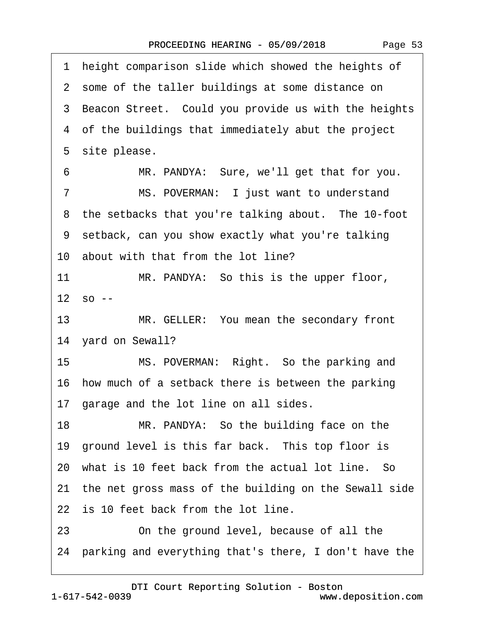1 height comparison slide which showed the heights of 2 some of the taller buildings at some distance on 3 Beacon Street. Could you provide us with the heights ·4· of the buildings that immediately abut the project 5 site please. 6 MR. PANDYA: Sure, we'll get that for you. 7 MS. POVERMAN: I just want to understand 8 the setbacks that you're talking about. The 10-foot ·9· setback, can you show exactly what you're talking 10 about with that from the lot line? 11 MR. PANDYA: So this is the upper floor,  $12$  so  $-$ 13 MR. GELLER: You mean the secondary front 14 yard on Sewall? 15 MS. POVERMAN: Right. So the parking and 16 how much of a setback there is between the parking 17 garage and the lot line on all sides. 18 MR. PANDYA: So the building face on the 19 ground level is this far back. This top floor is 20 what is 10 feet back from the actual lot line. So 21· the net gross mass of the building on the Sewall side 22 is 10 feet back from the lot line. 23 **Deta Contiangled Contingle Continuity** Continuity Continuity Continuity Continuity Continuity Continuity Continuity Continuity Continuity Continuity Continuity Continuity Continuity Continuity Continuity Continuity Con 24· parking and everything that's there, I don't have the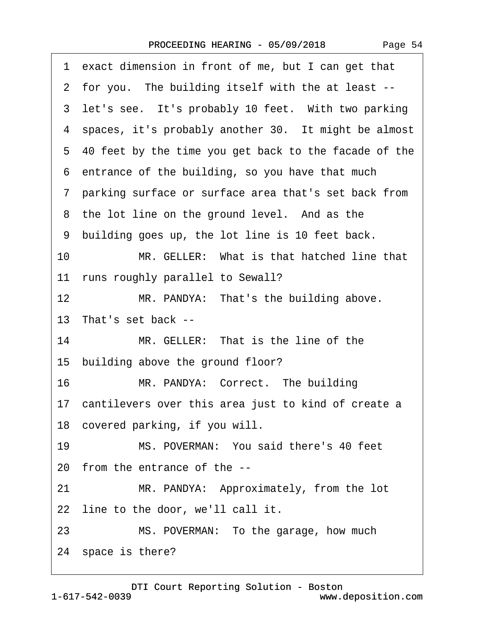| 1 exact dimension in front of me, but I can get that      |
|-----------------------------------------------------------|
| 2 for you. The building itself with the at least --       |
| 3 let's see. It's probably 10 feet. With two parking      |
| 4 spaces, it's probably another 30. It might be almost    |
| 5 40 feet by the time you get back to the facade of the   |
| 6 entrance of the building, so you have that much         |
| 7 parking surface or surface area that's set back from    |
| 8 the lot line on the ground level. And as the            |
| 9 building goes up, the lot line is 10 feet back.         |
| 10<br>MR. GELLER: What is that hatched line that          |
| 11 runs roughly parallel to Sewall?                       |
| 12 <sup>2</sup><br>MR. PANDYA: That's the building above. |
| 13 That's set back --                                     |
| 14<br>MR. GELLER: That is the line of the                 |
| 15 building above the ground floor?                       |
| 16<br>MR. PANDYA: Correct. The building                   |
| 17 cantilevers over this area just to kind of create a    |
| 18 covered parking, if you will.                          |
| MS. POVERMAN: You said there's 40 feet<br>19              |
| 20 from the entrance of the --                            |
| MR. PANDYA: Approximately, from the lot<br>21             |
| 22 line to the door, we'll call it.                       |
| MS. POVERMAN: To the garage, how much<br>23               |
| 24 space is there?                                        |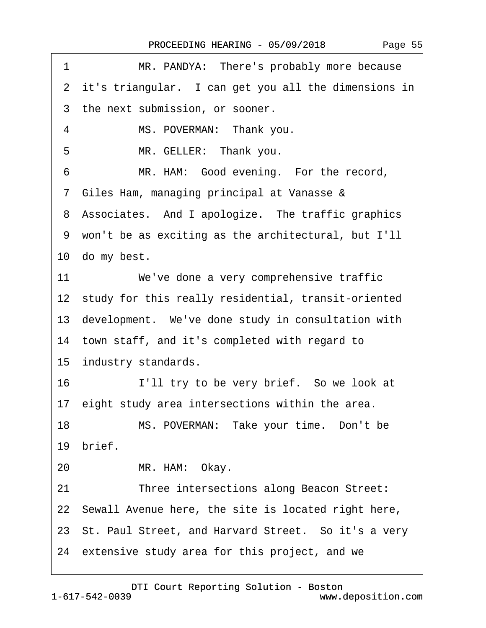| 1<br>MR. PANDYA: There's probably more because         |  |  |
|--------------------------------------------------------|--|--|
| 2 it's triangular. I can get you all the dimensions in |  |  |
| 3 the next submission, or sooner.                      |  |  |
| MS. POVERMAN: Thank you.<br>4                          |  |  |
| 5<br>MR. GELLER: Thank you.                            |  |  |
| MR. HAM: Good evening. For the record,<br>6            |  |  |
| 7 Giles Ham, managing principal at Vanasse &           |  |  |
| 8 Associates. And I apologize. The traffic graphics    |  |  |
| 9 won't be as exciting as the architectural, but I'll  |  |  |
| 10 do my best.                                         |  |  |
| 11<br>We've done a very comprehensive traffic          |  |  |
| 12 study for this really residential, transit-oriented |  |  |
| 13 development. We've done study in consultation with  |  |  |
| 14 town staff, and it's completed with regard to       |  |  |
| 15 industry standards.                                 |  |  |
| 16<br>I'll try to be very brief. So we look at         |  |  |
| 17 eight study area intersections within the area.     |  |  |
| 18<br>MS. POVERMAN: Take your time. Don't be           |  |  |
| 19 brief.                                              |  |  |
| MR. HAM: Okay.<br>20                                   |  |  |
| 21<br>Three intersections along Beacon Street:         |  |  |
| 22 Sewall Avenue here, the site is located right here, |  |  |
| 23 St. Paul Street, and Harvard Street. So it's a very |  |  |
| 24 extensive study area for this project, and we       |  |  |
|                                                        |  |  |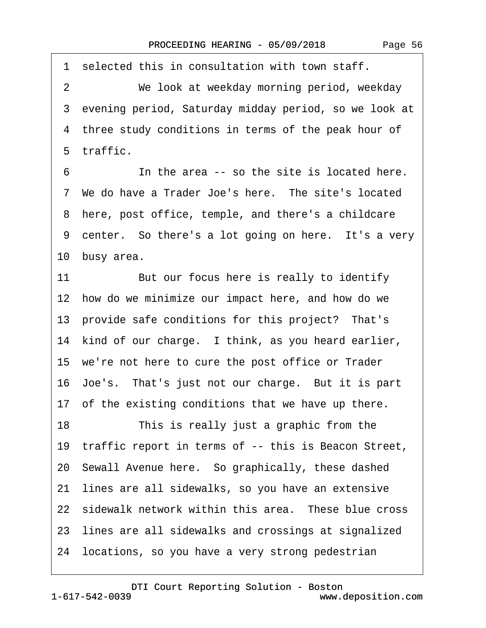1 selected this in consultation with town staff. 2 We look at weekday morning period, weekday 3 evening period, Saturday midday period, so we look at 4 three study conditions in terms of the peak hour of ·5· traffic. ·6· · · · · ·In the area -- so the site is located here. 7 We do have a Trader Joe's here. The site's located 8 here, post office, temple, and there's a childcare 9 center. So there's a lot going on here. It's a very 10 busy area. 11 But our focus here is really to identify 12 how do we minimize our impact here, and how do we 13 provide safe conditions for this project? That's 14 kind of our charge. I think, as you heard earlier, 15· we're not here to cure the post office or Trader 16· Joe's.· That's just not our charge.· But it is part 17 of the existing conditions that we have up there. 18 This is really just a graphic from the 19 traffic report in terms of -- this is Beacon Street, 20· Sewall Avenue here.· So graphically, these dashed 21 lines are all sidewalks, so you have an extensive 22 sidewalk network within this area. These blue cross 23 lines are all sidewalks and crossings at signalized 24· locations, so you have a very strong pedestrian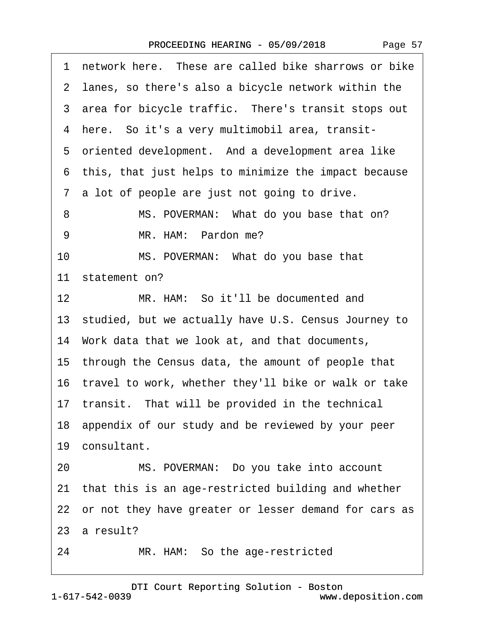| Page 57 |  |
|---------|--|
|---------|--|

|    | 1 network here. These are called bike sharrows or bike   |
|----|----------------------------------------------------------|
|    | 2 lanes, so there's also a bicycle network within the    |
|    | 3 area for bicycle traffic. There's transit stops out    |
|    | 4 here. So it's a very multimobil area, transit-         |
|    | 5 oriented development. And a development area like      |
|    | 6 this, that just helps to minimize the impact because   |
|    | 7 a lot of people are just not going to drive.           |
| 8  | MS. POVERMAN: What do you base that on?                  |
| 9  | MR. HAM: Pardon me?                                      |
| 10 | MS. POVERMAN: What do you base that                      |
|    | 11 statement on?                                         |
| 12 | MR. HAM: So it'll be documented and                      |
|    | 13 studied, but we actually have U.S. Census Journey to  |
|    | 14 Work data that we look at, and that documents,        |
|    | 15 through the Census data, the amount of people that    |
|    | 16 travel to work, whether they'll bike or walk or take  |
|    | 17 transit. That will be provided in the technical       |
|    | 18 appendix of our study and be reviewed by your peer    |
|    | 19 consultant.                                           |
| 20 | MS. POVERMAN: Do you take into account                   |
|    | 21 that this is an age-restricted building and whether   |
|    | 22 or not they have greater or lesser demand for cars as |
|    | 23 a result?                                             |
| 24 | MR. HAM: So the age-restricted                           |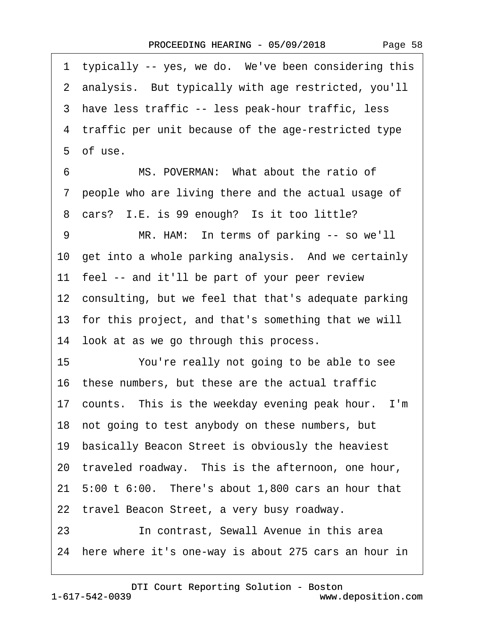1 typically -- yes, we do. We've been considering this ·2· analysis.· But typically with age restricted, you'll ·3· have less traffic -- less peak-hour traffic, less 4 traffic per unit because of the age-restricted type 5 of use. 6 MS. POVERMAN: What about the ratio of ·7· people who are living there and the actual usage of 8 cars? I.E. is 99 enough? Is it too little? 9 MR. HAM: In terms of parking -- so we'll 10 get into a whole parking analysis. And we certainly 11 feel -- and it'll be part of your peer review 12 consulting, but we feel that that's adequate parking 13· for this project, and that's something that we will 14 look at as we go through this process. 15 You're really not going to be able to see 16· these numbers, but these are the actual traffic 17 counts. This is the weekday evening peak hour. I'm 18· not going to test anybody on these numbers, but 19 basically Beacon Street is obviously the heaviest 20 traveled roadway. This is the afternoon, one hour, 21· 5:00 t 6:00.· There's about 1,800 cars an hour that 22 travel Beacon Street, a very busy roadway. 23· · · · · ·In contrast, Sewall Avenue in this area 24 here where it's one-way is about 275 cars an hour in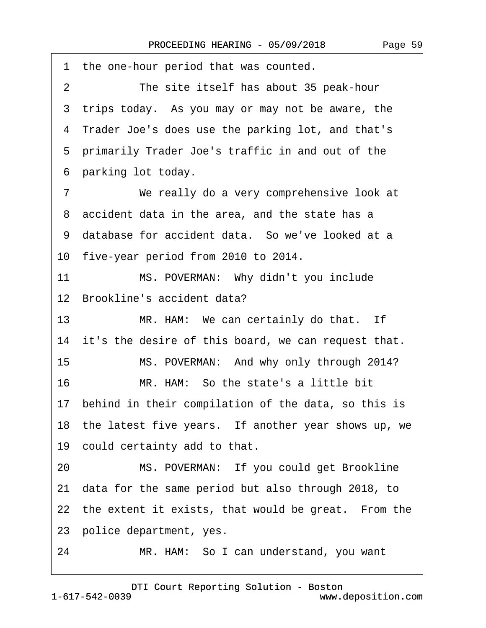1 the one-hour period that was counted. 2 The site itself has about 35 peak-hour 3 trips today. As you may or may not be aware, the ·4· Trader Joe's does use the parking lot, and that's 5 primarily Trader Joe's traffic in and out of the ·6· parking lot today. 7 We really do a very comprehensive look at 8 accident data in the area, and the state has a 9 database for accident data. So we've looked at a 10 five-year period from 2010 to 2014. 11 MS. POVERMAN: Why didn't you include 12 Brookline's accident data? 13 MR. HAM: We can certainly do that. If 14 it's the desire of this board, we can request that. 15 MS. POVERMAN: And why only through 2014? 16 MR. HAM: So the state's a little bit 17· behind in their compilation of the data, so this is 18 the latest five years. If another year shows up, we 19 could certainty add to that. 20 MS. POVERMAN: If you could get Brookline 21· data for the same period but also through 2018, to 22 the extent it exists, that would be great. From the 23 police department, yes. 24 MR. HAM: So I can understand, you want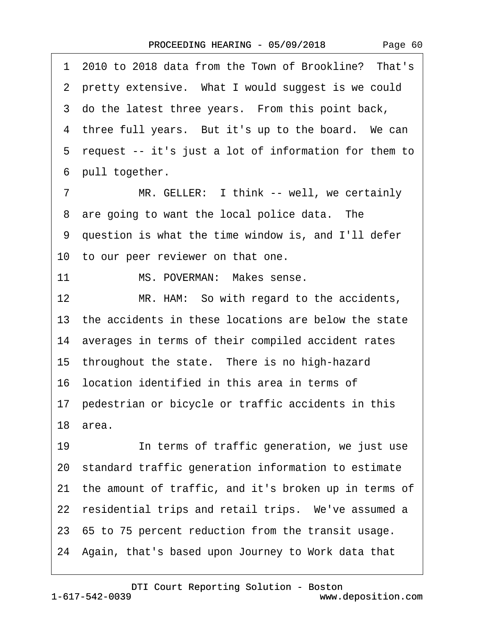·1· 2010 to 2018 data from the Town of Brookline?· That's 2 pretty extensive. What I would suggest is we could 3 do the latest three years. From this point back, 4 three full years. But it's up to the board. We can 5 request -- it's just a lot of information for them to 6 pull together. 7 MR. GELLER: I think -- well, we certainly 8 are going to want the local police data. The ·9· question is what the time window is, and I'll defer 10 to our peer reviewer on that one. 11 MS. POVERMAN: Makes sense. 12 MR. HAM: So with regard to the accidents, 13 the accidents in these locations are below the state 14· averages in terms of their compiled accident rates 15 throughout the state. There is no high-hazard 16· location identified in this area in terms of 17 pedestrian or bicycle or traffic accidents in this 18· area. 19 **In terms of traffic generation, we just use** 20· standard traffic generation information to estimate 21 the amount of traffic, and it's broken up in terms of 22 residential trips and retail trips. We've assumed a 23· 65 to 75 percent reduction from the transit usage. 24· Again, that's based upon Journey to Work data that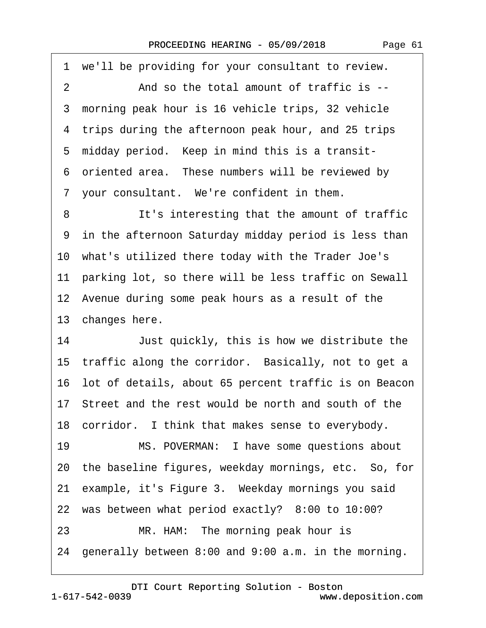·1· we'll be providing for your consultant to review. 2 And so the total amount of traffic is --3 morning peak hour is 16 vehicle trips, 32 vehicle 4 trips during the afternoon peak hour, and 25 trips 5 midday period. Keep in mind this is a transit-6 oriented area. These numbers will be reviewed by 7 your consultant. We're confident in them. 8 It's interesting that the amount of traffic 9 in the afternoon Saturday midday period is less than 10· what's utilized there today with the Trader Joe's 11 parking lot, so there will be less traffic on Sewall 12 Avenue during some peak hours as a result of the 13 changes here. 14 Just quickly, this is how we distribute the 15 traffic along the corridor. Basically, not to get a 16· lot of details, about 65 percent traffic is on Beacon 17· Street and the rest would be north and south of the 18 corridor. I think that makes sense to everybody. 19 MS. POVERMAN: I have some questions about 20· the baseline figures, weekday mornings, etc.· So, for 21 example, it's Figure 3. Weekday mornings you said 22 was between what period exactly? 8:00 to 10:00? 23 MR. HAM: The morning peak hour is 24· generally between 8:00 and 9:00 a.m. in the morning.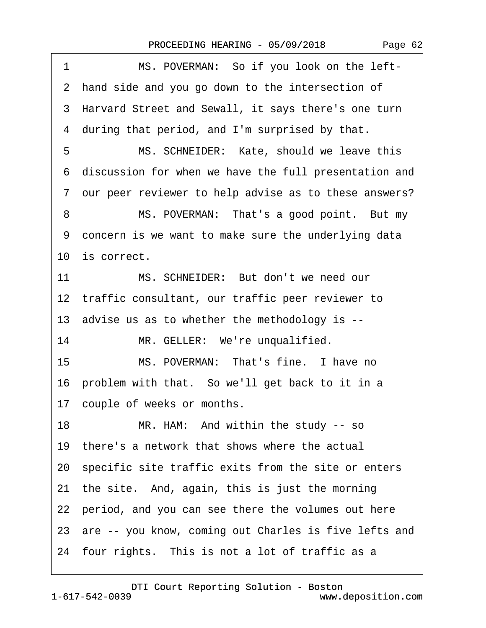|  | Page 62 |  |
|--|---------|--|
|--|---------|--|

1 MS. POVERMAN: So if you look on the left-2 hand side and you go down to the intersection of 3 Harvard Street and Sewall, it says there's one turn 4 during that period, and I'm surprised by that. 5 MS. SCHNEIDER: Kate, should we leave this ·6· discussion for when we have the full presentation and ·7· our peer reviewer to help advise as to these answers? 8 MS. POVERMAN: That's a good point. But my ·9· concern is we want to make sure the underlying data 10 is correct. 11 MS. SCHNEIDER: But don't we need our 12 traffic consultant, our traffic peer reviewer to 13· advise us as to whether the methodology is -- 14 MR. GELLER: We're unqualified. 15 MS. POVERMAN: That's fine. I have no 16 problem with that. So we'll get back to it in a 17 couple of weeks or months. 18 MR. HAM: And within the study -- so 19 there's a network that shows where the actual 20· specific site traffic exits from the site or enters 21 the site. And, again, this is just the morning 22 period, and you can see there the volumes out here 23 are -- you know, coming out Charles is five lefts and 24 four rights. This is not a lot of traffic as a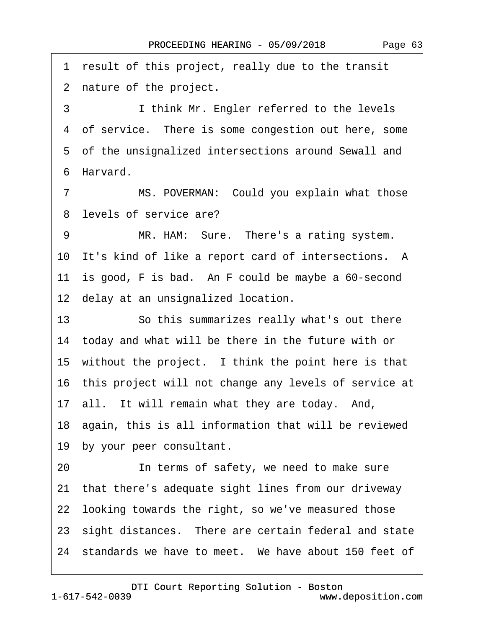·1· result of this project, really due to the transit 2 nature of the project. 3 I think Mr. Engler referred to the levels 4 of service. There is some congestion out here, some 5 of the unsignalized intersections around Sewall and ·6· Harvard. 7 MS. POVERMAN: Could you explain what those 8 levels of service are? 9 MR. HAM: Sure. There's a rating system. 10 It's kind of like a report card of intersections. A 11 is good, F is bad. An F could be maybe a 60-second 12 delay at an unsignalized location. 13 **· · · So this summarizes really what's out there** 14 today and what will be there in the future with or 15 without the project. I think the point here is that 16· this project will not change any levels of service at 17 all. It will remain what they are today. And, 18· again, this is all information that will be reviewed 19 by your peer consultant. 20 **In terms of safety, we need to make sure** 21· that there's adequate sight lines from our driveway 22· looking towards the right, so we've measured those 23 sight distances. There are certain federal and state 24 standards we have to meet. We have about 150 feet of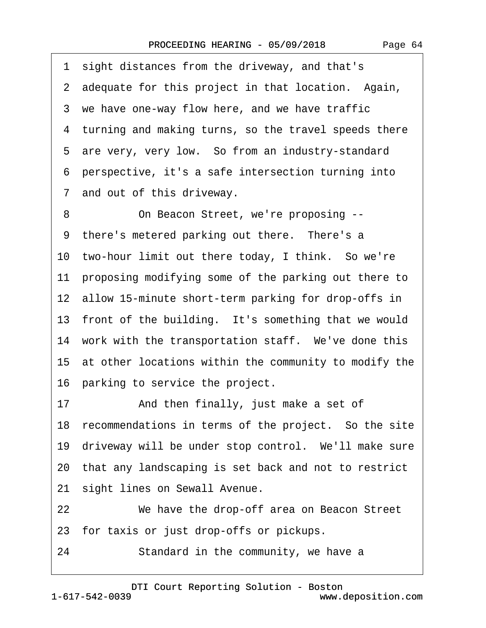·1· sight distances from the driveway, and that's 2 adequate for this project in that location. Again, 3 we have one-way flow here, and we have traffic 4 turning and making turns, so the travel speeds there 5 are very, very low. So from an industry-standard ·6· perspective, it's a safe intersection turning into ·7· and out of this driveway.

8 On Beacon Street, we're proposing --9 there's metered parking out there. There's a 10 two-hour limit out there today, I think. So we're 11 proposing modifying some of the parking out there to 12 allow 15-minute short-term parking for drop-offs in 13 front of the building. It's something that we would 14 work with the transportation staff. We've done this 15· at other locations within the community to modify the 16 parking to service the project.

17 • And then finally, just make a set of 18 recommendations in terms of the project. So the site 19 driveway will be under stop control. We'll make sure 20· that any landscaping is set back and not to restrict 21 sight lines on Sewall Avenue.

22 We have the drop-off area on Beacon Street 23· for taxis or just drop-offs or pickups.

24 Standard in the community, we have a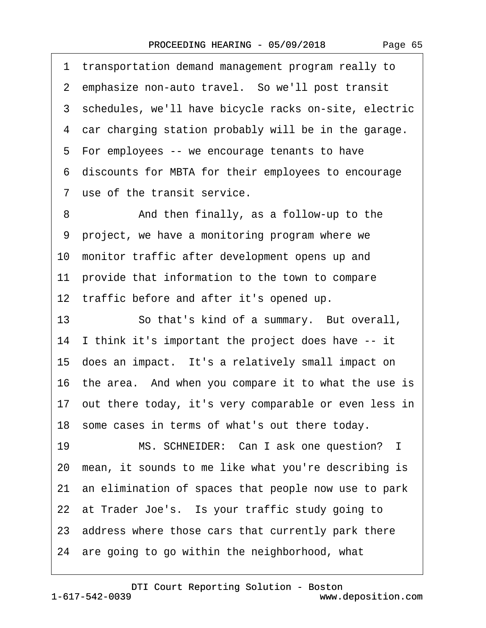·1· transportation demand management program really to 2 emphasize non-auto travel. So we'll post transit 3 schedules, we'll have bicycle racks on-site, electric 4 car charging station probably will be in the garage. 5 For employees -- we encourage tenants to have ·6· discounts for MBTA for their employees to encourage 7 use of the transit service.

8 **8** • **And then finally, as a follow-up to the** ·9· project, we have a monitoring program where we 10 monitor traffic after development opens up and 11 provide that information to the town to compare 12 traffic before and after it's opened up.

13 **· · · · So that's kind of a summary.** But overall, 14· I think it's important the project does have -- it 15 does an impact. It's a relatively small impact on 16· the area.· And when you compare it to what the use is 17· out there today, it's very comparable or even less in 18 some cases in terms of what's out there today. 19 MS. SCHNEIDER: Can I ask one question? I

20· mean, it sounds to me like what you're describing is 21· an elimination of spaces that people now use to park 22 at Trader Joe's. Is your traffic study going to

23· address where those cars that currently park there

24· are going to go within the neighborhood, what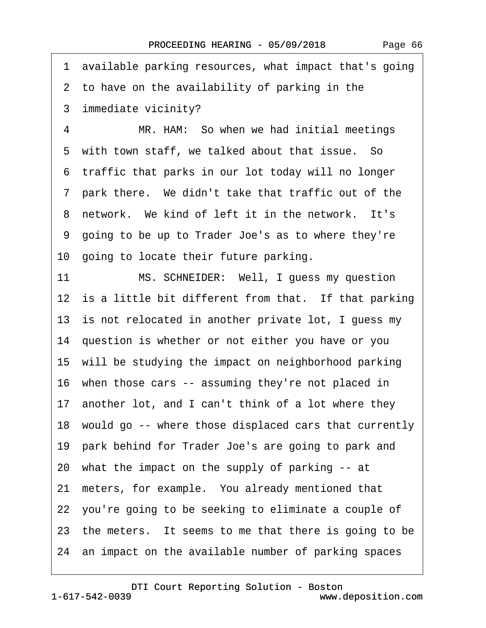·1· available parking resources, what impact that's going 2 to have on the availability of parking in the ·3· immediate vicinity? 4 MR. HAM: So when we had initial meetings 5 with town staff, we talked about that issue. So ·6· traffic that parks in our lot today will no longer ·7· park there.· We didn't take that traffic out of the 8 network. We kind of left it in the network. It's ·9· going to be up to Trader Joe's as to where they're 10· going to locate their future parking. 11 MS. SCHNEIDER: Well, I guess my question 12 is a little bit different from that. If that parking 13 is not relocated in another private lot, I guess my 14· question is whether or not either you have or you 15· will be studying the impact on neighborhood parking 16 when those cars -- assuming they're not placed in 17 another lot, and I can't think of a lot where they 18· would go -- where those displaced cars that currently 19· park behind for Trader Joe's are going to park and 20· what the impact on the supply of parking -- at 21 meters, for example. You already mentioned that 22· you're going to be seeking to eliminate a couple of 23 the meters. It seems to me that there is going to be 24 an impact on the available number of parking spaces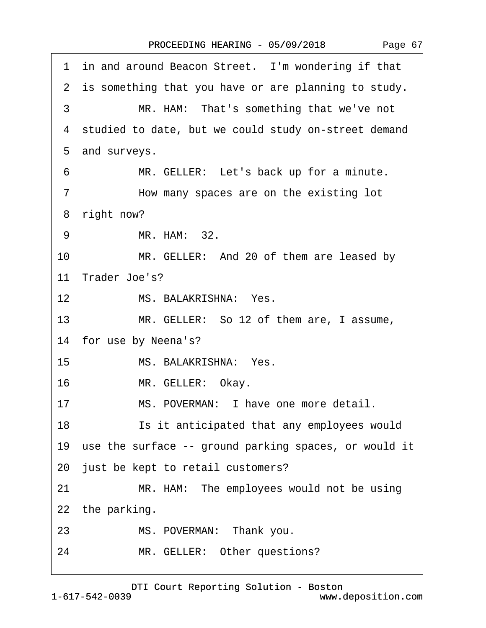|  | Page 67 |  |
|--|---------|--|
|--|---------|--|

| 1 in and around Beacon Street. I'm wondering if that      |
|-----------------------------------------------------------|
| 2 is something that you have or are planning to study.    |
| MR. HAM: That's something that we've not<br>3             |
| 4 studied to date, but we could study on-street demand    |
| 5 and surveys.                                            |
| MR. GELLER: Let's back up for a minute.<br>6              |
| How many spaces are on the existing lot<br>$\overline{7}$ |
| right now?<br>8                                           |
| MR. HAM: 32.<br>9                                         |
| 10<br>MR. GELLER: And 20 of them are leased by            |
| 11 Trader Joe's?                                          |
| MS. BALAKRISHNA: Yes.<br>12 <sup>2</sup>                  |
| 13<br>MR. GELLER: So 12 of them are, I assume,            |
| 14 for use by Neena's?                                    |
| MS. BALAKRISHNA: Yes.<br>15                               |
| 16<br>MR. GELLER: Okay.                                   |
| MS. POVERMAN: I have one more detail.<br>17               |
| 18<br>Is it anticipated that any employees would          |
| 19 use the surface -- ground parking spaces, or would it  |
| 20 just be kept to retail customers?                      |
| 21<br>MR. HAM: The employees would not be using           |
| 22 the parking.                                           |
| 23<br>MS. POVERMAN: Thank you.                            |
| MR. GELLER: Other questions?<br>24                        |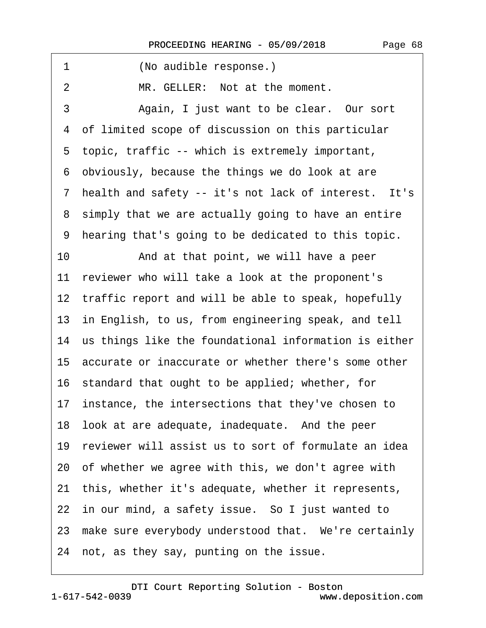1 (No audible response.) 2 MR. GELLER: Not at the moment. 3 Again, I just want to be clear. Our sort 4 of limited scope of discussion on this particular ·5· topic, traffic -- which is extremely important, ·6· obviously, because the things we do look at are 7 health and safety -- it's not lack of interest. It's 8 simply that we are actually going to have an entire ·9· hearing that's going to be dedicated to this topic. 10 • And at that point, we will have a peer 11 reviewer who will take a look at the proponent's 12 traffic report and will be able to speak, hopefully 13 in English, to us, from engineering speak, and tell 14 us things like the foundational information is either 15· accurate or inaccurate or whether there's some other 16· standard that ought to be applied; whether, for 17 instance, the intersections that they've chosen to 18 look at are adequate, inadequate. And the peer 19 reviewer will assist us to sort of formulate an idea 20· of whether we agree with this, we don't agree with 21· this, whether it's adequate, whether it represents, 22 in our mind, a safety issue. So I just wanted to 23 make sure everybody understood that. We're certainly 24 not, as they say, punting on the issue.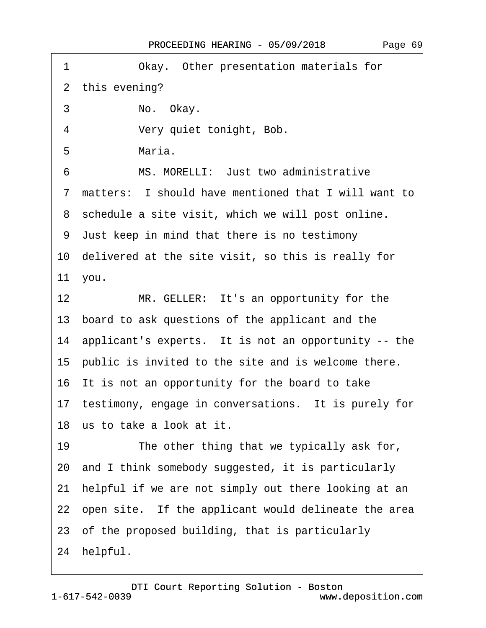| 1<br>Okay. Other presentation materials for                |
|------------------------------------------------------------|
| 2 this evening?                                            |
| 3<br>No. Okay.                                             |
| 4<br>Very quiet tonight, Bob.                              |
| Maria.<br>5                                                |
| MS. MORELLI: Just two administrative<br>6                  |
| matters: I should have mentioned that I will want to<br>7  |
| 8 schedule a site visit, which we will post online.        |
| 9 Just keep in mind that there is no testimony             |
| 10 delivered at the site visit, so this is really for      |
| 11 you.                                                    |
| 12 <sup>2</sup><br>MR. GELLER: It's an opportunity for the |
| 13 board to ask questions of the applicant and the         |
| 14 applicant's experts. It is not an opportunity -- the    |
| 15 public is invited to the site and is welcome there.     |
| 16 It is not an opportunity for the board to take          |
| 17 testimony, engage in conversations. It is purely for    |
| 18 us to take a look at it.                                |
| 19<br>The other thing that we typically ask for,           |
| 20 and I think somebody suggested, it is particularly      |
| helpful if we are not simply out there looking at an<br>21 |
| 22 open site. If the applicant would delineate the area    |
| 23 of the proposed building, that is particularly          |
| 24 helpful.                                                |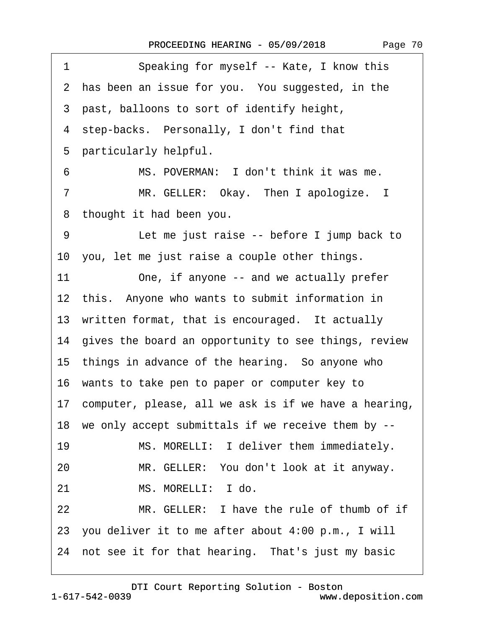| Speaking for myself -- Kate, I know this<br>1            |
|----------------------------------------------------------|
| 2 has been an issue for you. You suggested, in the       |
| 3 past, balloons to sort of identify height,             |
| 4 step-backs. Personally, I don't find that              |
| 5 particularly helpful.                                  |
| 6<br>MS. POVERMAN: I don't think it was me.              |
| MR. GELLER: Okay. Then I apologize. I<br>$\overline{7}$  |
| 8 thought it had been you.                               |
| Let me just raise -- before I jump back to<br>9          |
| 10 you, let me just raise a couple other things.         |
| 11<br>One, if anyone -- and we actually prefer           |
| 12 this. Anyone who wants to submit information in       |
| 13 written format, that is encouraged. It actually       |
| 14 gives the board an opportunity to see things, review  |
| 15 things in advance of the hearing. So anyone who       |
| 16 wants to take pen to paper or computer key to         |
| 17 computer, please, all we ask is if we have a hearing, |
| 18 we only accept submittals if we receive them by --    |
| MS. MORELLI: I deliver them immediately.<br>19           |
| MR. GELLER: You don't look at it anyway.<br>20           |
| MS. MORELLI: I do.<br>21                                 |
| 22<br>MR. GELLER: I have the rule of thumb of if         |
| 23 you deliver it to me after about 4:00 p.m., I will    |
| 24 not see it for that hearing. That's just my basic     |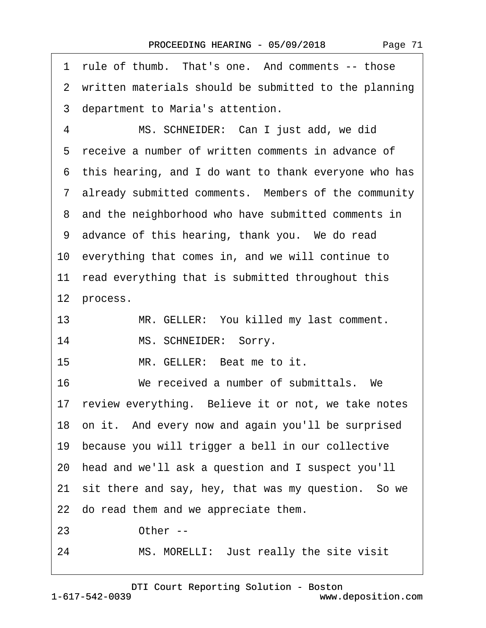| rule of thumb. That's one. And comments -- those<br>1   |
|---------------------------------------------------------|
| 2 written materials should be submitted to the planning |
| 3 department to Maria's attention.                      |
| MS. SCHNEIDER: Can I just add, we did<br>4              |
| 5 receive a number of written comments in advance of    |
| 6 this hearing, and I do want to thank everyone who has |
| 7 already submitted comments. Members of the community  |
| 8 and the neighborhood who have submitted comments in   |
| 9 advance of this hearing, thank you. We do read        |
| 10 everything that comes in, and we will continue to    |
| 11 read everything that is submitted throughout this    |
| 12 process.                                             |
| MR. GELLER: You killed my last comment.<br>13           |
| MS. SCHNEIDER: Sorry.<br>14                             |
| MR. GELLER: Beat me to it.<br>15                        |
| 16<br>We received a number of submittals. We            |
| 17 review everything. Believe it or not, we take notes  |
| 18 on it. And every now and again you'll be surprised   |
| 19 because you will trigger a bell in our collective    |
| 20 head and we'll ask a question and I suspect you'll   |
| 21 sit there and say, hey, that was my question. So we  |
| 22 do read them and we appreciate them.                 |
| 23<br>Other--                                           |
| MS. MORELLI: Just really the site visit<br>24           |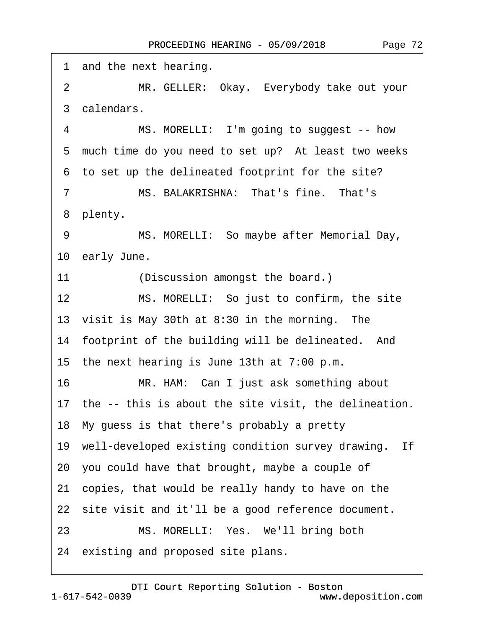| 1 and the next hearing.                                     |
|-------------------------------------------------------------|
| MR. GELLER: Okay. Everybody take out your<br>$\overline{2}$ |
| 3 calendars.                                                |
| 4<br>MS. MORELLI: I'm going to suggest -- how               |
| 5 much time do you need to set up? At least two weeks       |
| 6 to set up the delineated footprint for the site?          |
| MS. BALAKRISHNA: That's fine. That's<br>7                   |
| 8 plenty.                                                   |
| 9<br>MS. MORELLI: So maybe after Memorial Day,              |
| 10 early June.                                              |
| (Discussion amongst the board.)<br>11                       |
| 12<br>MS. MORELLI: So just to confirm, the site             |
| 13 visit is May 30th at 8:30 in the morning. The            |
| 14 footprint of the building will be delineated. And        |
| 15 the next hearing is June 13th at 7:00 p.m.               |
| 16<br>MR. HAM: Can I just ask something about               |
| 17 the -- this is about the site visit, the delineation.    |
| 18 My guess is that there's probably a pretty               |
| 19 well-developed existing condition survey drawing. If     |
| 20 you could have that brought, maybe a couple of           |
| 21 copies, that would be really handy to have on the        |
| 22 site visit and it'll be a good reference document.       |
| MS. MORELLI: Yes. We'll bring both<br>23                    |
| 24 existing and proposed site plans.                        |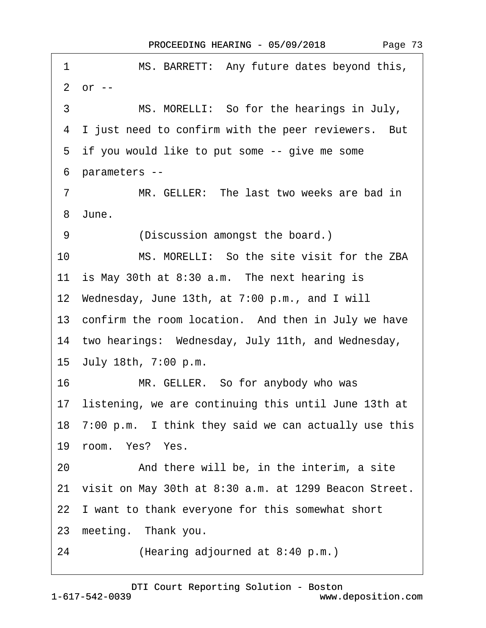<span id="page-72-0"></span>

|                                                          | MS. BARRETT: Any future dates beyond this,<br>1             |  |  |
|----------------------------------------------------------|-------------------------------------------------------------|--|--|
|                                                          | $2$ or $-$                                                  |  |  |
|                                                          | 3<br>MS. MORELLI: So for the hearings in July,              |  |  |
| 4 I just need to confirm with the peer reviewers. But    |                                                             |  |  |
| 5 if you would like to put some -- give me some          |                                                             |  |  |
| 6 parameters --                                          |                                                             |  |  |
|                                                          | MR. GELLER: The last two weeks are bad in<br>$\overline{7}$ |  |  |
| 8 June.                                                  |                                                             |  |  |
|                                                          | (Discussion amongst the board.)<br>9                        |  |  |
|                                                          | 10<br>MS. MORELLI: So the site visit for the ZBA            |  |  |
| 11 is May 30th at 8:30 a.m. The next hearing is          |                                                             |  |  |
| 12 Wednesday, June 13th, at 7:00 p.m., and I will        |                                                             |  |  |
| 13 confirm the room location. And then in July we have   |                                                             |  |  |
|                                                          | 14 two hearings: Wednesday, July 11th, and Wednesday,       |  |  |
|                                                          | 15 July 18th, 7:00 p.m.                                     |  |  |
|                                                          | 16<br>MR. GELLER. So for anybody who was                    |  |  |
|                                                          | 17 listening, we are continuing this until June 13th at     |  |  |
|                                                          | 18 7:00 p.m. I think they said we can actually use this     |  |  |
|                                                          | 19 room. Yes? Yes.                                          |  |  |
|                                                          | And there will be, in the interim, a site<br>20             |  |  |
| 21 visit on May 30th at 8:30 a.m. at 1299 Beacon Street. |                                                             |  |  |
|                                                          | 22 I want to thank everyone for this somewhat short         |  |  |
|                                                          | 23 meeting. Thank you.                                      |  |  |
|                                                          | 24<br>(Hearing adjourned at 8:40 p.m.)                      |  |  |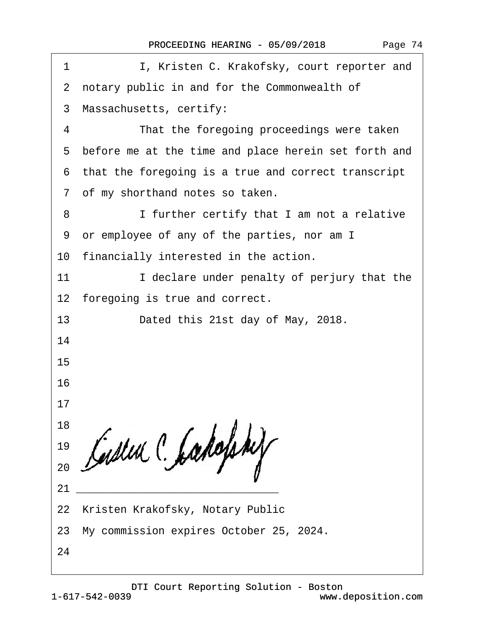|  | Page 74 |  |
|--|---------|--|
|--|---------|--|

| I, Kristen C. Krakofsky, court reporter and<br>1       |
|--------------------------------------------------------|
| 2 notary public in and for the Commonwealth of         |
| 3 Massachusetts, certify:                              |
| That the foregoing proceedings were taken<br>4         |
| 5 before me at the time and place herein set forth and |
| 6 that the foregoing is a true and correct transcript  |
| 7 of my shorthand notes so taken.                      |
| I further certify that I am not a relative<br>8        |
| 9 or employee of any of the parties, nor am I          |
| 10 financially interested in the action.               |
| I declare under penalty of perjury that the<br>11      |
| 12 foregoing is true and correct.                      |
| 13<br>Dated this 21st day of May, 2018.                |
| 14                                                     |
| 15                                                     |
| 16                                                     |
| 17                                                     |
| 18                                                     |
| 19                                                     |
| 20                                                     |
| 21                                                     |
| 22 Kristen Krakofsky, Notary Public                    |
| 23 My commission expires October 25, 2024.             |
| 24                                                     |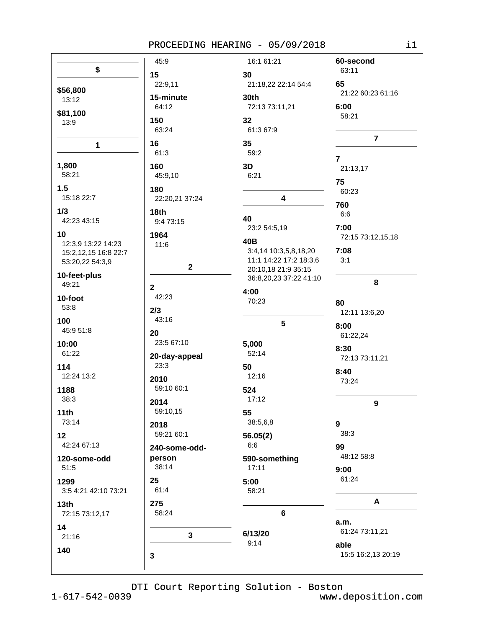|                                            | 45:9              | 16:1 61:21              | 60-second              |
|--------------------------------------------|-------------------|-------------------------|------------------------|
| \$                                         | 15                | 30                      | 63:11                  |
|                                            | 22:9,11           | 21:18,22 22:14 54:4     | 65                     |
| \$56,800                                   | 15-minute         | 30th                    | 21:22 60:23 61:16      |
| 13:12                                      | 64:12             | 72:13 73:11,21          | 6:00                   |
| \$81,100                                   |                   |                         | 58:21                  |
| 13:9                                       | 150               | 32                      |                        |
|                                            | 63:24             | 61:3 67:9               | $\overline{7}$         |
| $\mathbf{1}$                               | 16                | 35                      |                        |
|                                            | 61:3              | 59:2                    | $\overline{7}$         |
| 1,800                                      | 160               | 3D                      | 21:13,17               |
| 58:21                                      | 45:9,10           | 6:21                    |                        |
| 1.5                                        | 180               |                         | 75                     |
| 15:18 22:7                                 | 22:20,21 37:24    | $\overline{\mathbf{4}}$ | 60:23                  |
| 1/3                                        |                   |                         | 760                    |
| 42:23 43:15                                | 18th<br>9:4 73:15 | 40                      | 6:6                    |
|                                            |                   | 23:2 54:5,19            | 7:00                   |
| 10                                         | 1964              | 40B                     | 72:15 73:12,15,18      |
| 12:3,9 13:22 14:23<br>15:2,12,15 16:8 22:7 | 11:6              | 3:4,14 10:3,5,8,18,20   | 7:08                   |
| 53:20,22 54:3,9                            |                   | 11:1 14:22 17:2 18:3,6  | 3:1                    |
|                                            | $\mathbf{2}$      | 20:10,18 21:9 35:15     |                        |
| 10-feet-plus                               |                   | 36:8,20,23 37:22 41:10  | 8                      |
| 49:21                                      | $\mathbf{2}$      | 4:00                    |                        |
| 10-foot                                    | 42:23             | 70:23                   | 80                     |
| 53:8                                       | 2/3               |                         | 12:11 13:6,20          |
| 100                                        | 43:16             | 5                       |                        |
| 45:9 51:8                                  | 20                |                         | 8:00<br>61:22,24       |
| 10:00                                      | 23:5 67:10        | 5,000                   |                        |
| 61:22                                      | 20-day-appeal     | 52:14                   | 8:30                   |
| 114                                        | 23:3              | 50                      | 72:13 73:11,21         |
| 12:24 13:2                                 |                   | 12:16                   | 8:40                   |
|                                            | 2010              |                         | 73:24                  |
| 1188                                       | 59:10 60:1        | 524                     |                        |
| 38:3                                       | 2014              | 17:12                   | 9                      |
| 11th                                       | 59:10,15          | 55                      |                        |
| 73:14                                      | 2018              | 38:5,6,8                | 9                      |
| 12                                         | 59:21 60:1        | 56.05(2)                | 38:3                   |
| 42:24 67:13                                | 240-some-odd-     | 6:6                     | 99                     |
| 120-some-odd                               | person            | 590-something           | 48:12 58:8             |
| 51:5                                       | 38:14             | 17:11                   | 9:00                   |
| 1299                                       | 25                | 5:00                    | 61:24                  |
| 3:5 4:21 42:10 73:21                       | 61:4              | 58:21                   |                        |
|                                            |                   |                         |                        |
| 13th                                       | 275               |                         | A                      |
| 72:15 73:12,17                             | 58:24             | 6                       |                        |
| 14                                         |                   |                         | a.m.<br>61:24 73:11,21 |
| 21:16                                      | $\mathbf{3}$      | 6/13/20                 |                        |
| 140                                        |                   | 9:14                    | able                   |
|                                            | 3                 |                         | 15:5 16:2,13 20:19     |
|                                            |                   |                         |                        |

DTI Court Reporting Solution - Boston

 $1 - 617 - 542 - 0039$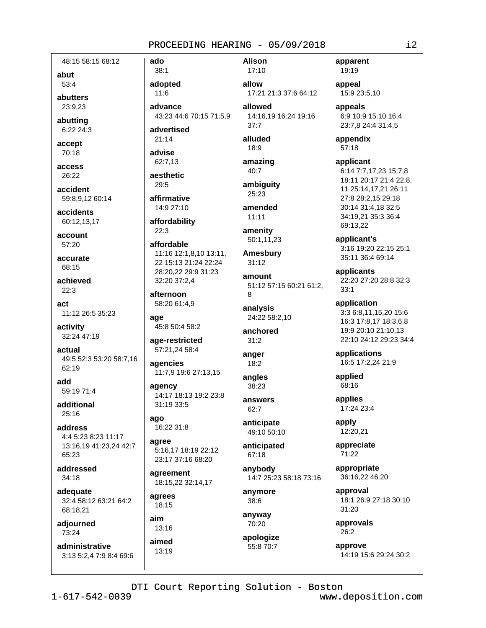**Alison** 

48:15 58:15 68:12

abut 53:4

abutters

23:9.23

abutting 6:22 24:3

accept 70:18

access 26:22

accident 59:8.9.12 60:14

accidents 60:12,13,17

account 57:20

accurate 68:15

achieved  $22:3$ 

 $act$ 11:12 26:5 35:23

activity 32:24 47:19

actual 49:5 52:3 53:20 58:7,16 62:19

add 59:19 71:4

additional  $25:16$ 

address 4:4 5:23 8:23 11:17 13:16.19 41:23.24 42:7 65:23

addressed  $34:18$ 

adequate 32:4 58:12 63:21 64:2 68:18,21

adjourned  $73.24$ 

administrative 3:13 5:2.4 7:9 8:4 69:6

 $38:1$ adopted  $11:6$ advance

43:23 44:6 70:15 71:5,9 advertised

 $21:14$ 

ado

advise 62:7,13 aesthetic

29:5

affirmative 14:9 27:10

affordability

 $22:3$ affordable

11:16 12:1,8,10 13:11, 22 15:13 21:24 22:24 28:20,22 29:9 31:23 32:20 37:2,4

afternoon 58:20 61:4.9

age 45:8 50:4 58:2

age-restricted 57:21,24 58:4

agencies 11:7,9 19:6 27:13,15

agency 14:17 18:13 19:2 23:8 31:19 33:5

ago 16:22 31:8

agree 5:16,17 18:19 22:12 23:17 37:16 68:20

agreement 18:15,22 32:14,17

agrees 18:15

aim  $13:16$ aimed 13:19

17:10 allow 17:21 21:3 37:6 64:12 allowed

14:16,19 16:24 19:16  $37:7$ 

alluded 18:9

amazing 40:7

ambiguity 25:23

amended  $11:11$ 

amenity  $50:1,11,23$ 

**Amesbury**  $31:12$ 

amount 51:12 57:15 60:21 61:2, 8

analysis 24:22 58:2,10

anchored  $31:2$ 

anger  $18:2$ 

angles 38:23

answers  $62:7$ 

anticipate 49:10 50:10

anticipated 67:18

anybody 14:7 25:23 58:18 73:16

anymore 38:6

anyway 70:20

apologize 55:8 70:7

apparent 19:19

appeal 15:9 23:5,10

appeals 6:9 10:9 15:10 16:4 23:7,8 24:4 31:4,5

appendix  $57:18$ 

applicant 6:14 7:7,17,23 15:7,8 18:11 20:17 21:4 22:8. 11 25:14,17,21 26:11 27:8 28:2,15 29:18 30:14 31:4.18 32:5 34:19.21 35:3 36:4 69:13,22

applicant's 3:16 19:20 22:15 25:1 35:11 36:4 69:14

applicants 22:20 27:20 28:8 32:3  $33:1$ 

application 3:3 6:8,11,15,20 15:6 16:3 17:8,17 18:3,6,8 19:9 20:10 21:10,13 22:10 24:12 29:23 34:4

applications 16:5 17:2,24 21:9

applied 68:16

applies 17:24 23:4

apply 12:20,21

appreciate 71:22

appropriate 36:16,22 46:20

approval 18:1 26:9 27:18 30:10  $31:20$ 

approvals  $26:2$ 

approve 14:19 15:6 29:24 30:2

DTI Court Reporting Solution - Boston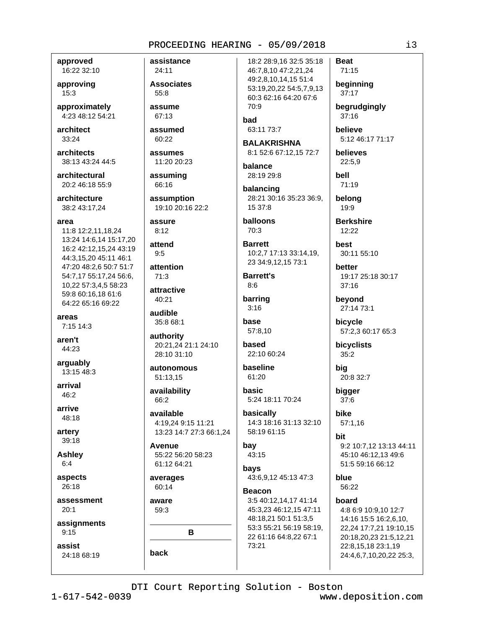approved 16:22 32:10

approving  $15:3$ 

approximately 4:23 48:12 54:21

architect  $33:24$ 

architects 38:13 43:24 44:5

architectural 20:2 46:18 55:9

architecture 38:2 43:17,24

area

11:8 12:2,11,18,24 13:24 14:6,14 15:17,20 16:2 42:12,15,24 43:19 44:3,15,20 45:11 46:1 47:20 48:2,6 50:7 51:7 54:7,17 55:17,24 56:6, 10,22 57:3,4,5 58:23 59:8 60:16,18 61:6 64:22 65:16 69:22

areas  $7:15$  14:3

aren't 44:23

arguably 13:15 48:3

arrival 46:2

arrive 48:18

artery 39:18

**Ashley**  $6:4$ 

aspects 26:18

assessment  $20:1$ 

assignments  $9:15$ 

assist 24:18 68:19 assistance 24:11

**Associates**  $55:8$ 

assume 67:13

assumed

assumes

 $60:22$ 

11:20 20:23 assuming

66:16 assumption

19:10 20:16 22:2 assure

 $8:12$ 

attend  $9:5$ 

attention  $71:3$ 

attractive

40:21 audible

35:8 68:1

authority 20:21,24 21:1 24:10 28:10 31:10

autonomous 51:13.15

availability 66:2

available 4:19,24 9:15 11:21 13:23 14:7 27:3 66:1,24

Avenue 55:22 56:20 58:23 61:12 64:21

averages 60:14

aware 59:3

B

back

18:2 28:9,16 32:5 35:18 46:7,8,10 47:2,21,24 49:2,8,10,14,15 51:4 53:19,20,22 54:5,7,9,13 60:3 62:16 64:20 67:6 70:9

bad 63:11 73:7

**BALAKRISHNA** 8:1 52:6 67:12,15 72:7

halance 28:19 29:8

balancing 28:21 30:16 35:23 36:9, 15 37:8

**balloons** 70:3

**Barrett** 10:2,7 17:13 33:14,19, 23 34:9,12,15 73:1

**Barrett's**  $8:6$ 

barring  $3:16$ 

base 57:8.10

based 22:10 60:24

baseline 61:20

basic 5:24 18:11 70:24

basically 14:3 18:16 31:13 32:10 58:19 61:15

bay 43:15

bavs 43:6.9.12 45:13 47:3

**Beacon** 3:5 40:12.14.17 41:14 45:3,23 46:12,15 47:11 48:18,21 50:1 51:3,5 53:3 55:21 56:19 58:19, 22 61:16 64:8,22 67:1 73:21

 $71:15$ beginning  $37:17$ 

**Beat** 

begrudgingly 37:16

believe 5:12 46:17 71:17

believes 22:5,9

bell 71:19 belona

19:9

**Berkshire** 12:22

best 30:11 55:10

better 19:17 25:18 30:17  $37:16$ 

beyond 27:14 73:1

bicycle 57:2,3 60:17 65:3

bicyclists 35:2

big 20:8 32:7

bigger  $37:6$ 

bike  $57:1,16$ 

hit 9:2 10:7,12 13:13 44:11 45:10 46:12.13 49:6 51:5 59:16 66:12

blue 56:22

board

4:8 6:9 10:9,10 12:7 14:16 15:5 16:2,6,10, 22,24 17:7,21 19:10,15 20:18,20,23 21:5,12,21 22:8,15,18 23:1,19 24:4,6,7,10,20,22 25:3,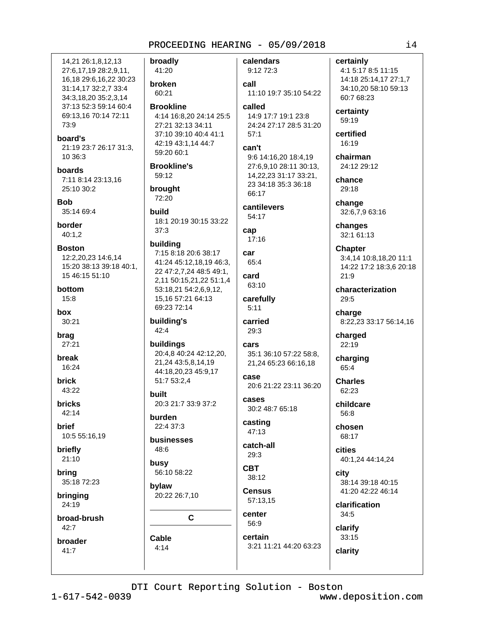broadly 14.21 26:1.8.12.13 27:6,17,19 28:2,9,11, 41:20 16,18 29:6,16,22 30:23 broken 31:14,17 32:2,7 33:4 60:21 34:3,18,20 35:2,3,14 37:13 52:3 59:14 60:4 **Brookline** 69:13.16 70:14 72:11 4:14 16:8,20 24:14 25:5 73:9 27:21 32:13 34:11 37:10 39:10 40:4 41:1 board's 42:19 43:1,14 44:7 21:19 23:7 26:17 31:3, 59:20 60:1 10 36:3 **Brookline's** hoards 59:12 7:11 8:14 23:13,16 25:10 30:2 brought 72:20 **Bob** 35:14 69:4 build 18:1 20:19 30:15 33:22 **border**  $37:3$  $40:1,2$ building **Boston** 7:15 8:18 20:6 38:17 12:2,20,23 14:6,14 41:24 45:12,18,19 46:3, 15:20 38:13 39:18 40:1, 22 47:2,7,24 48:5 49:1, 15 46:15 51:10 2.11 50:15.21.22 51:1.4 bottom 53:18,21 54:2,6,9,12,  $15:8$ 15,16 57:21 64:13 69:23 72:14 box 30:21 building's 42:4 brag  $27:21$ buildings 20:4,8 40:24 42:12,20, break 21.24 43:5.8.14.19 16:24 44:18,20,23 45:9,17 51:7 53:2,4 **brick** 43:22 built **bricks** 20:3 21:7 33:9 37:2  $42:14$ **burden brief** 22:4 37:3 10:5 55:16,19 businesses 48:6 briefly  $21:10$ busy 56:10 58:22 brina 35:18 72:23 bylaw 20:22 26:7,10 bringing 24:19 broad-brush  $\mathbf{C}$ 42:7 Cable broader  $4:14$  $41:7$ 

calendars 9:12 72:3 call 11:10 19:7 35:10 54:22 called 14:9 17:7 19:1 23:8 24:24 27:17 28:5 31:20  $57:1$ can't 9:6 14:16,20 18:4,19 27:6,9,10 28:11 30:13, 14, 22, 23 31: 17 33: 21, 23 34:18 35:3 36:18 66:17 cantilevers  $54.17$ cap  $17:16$ car 65:4 card 63:10 carefully  $5:11$ carried 29:3 cars 35:1 36:10 57:22 58:8, 21,24 65:23 66:16,18 case 20:6 21:22 23:11 36:20 cases 30:2 48:7 65:18 casting  $47:13$ catch-all  $29:3$ **CBT** 38:12 **Census** 57:13,15 center 56:9

60:7 68:23 certainty 59:19 certified  $16.19$ chairman chance 29:18 change changes 32:1 61:13 **Chapter** 21:9 29:5 charge charged 22:19 charging 65:4 **Charles** 62:23 childcare 56:8 chosen 68:17 **cities** 

city 41:20 42:22 46:14

34:5 clarify

33:15 3:21 11:21 44:20 63:23 clarity

certainly 4:1 5:17 8:5 11:15 14:18 25:14,17 27:1,7 34:10,20 58:10 59:13

24:12 29:12

32:6,7,9 63:16

3:4,14 10:8,18,20 11:1 14:22 17:2 18:3,6 20:18

characterization

8:22,23 33:17 56:14,16

40:1,24 44:14,24

38:14 39:18 40:15

clarification

DTI Court Reporting Solution - Boston

certain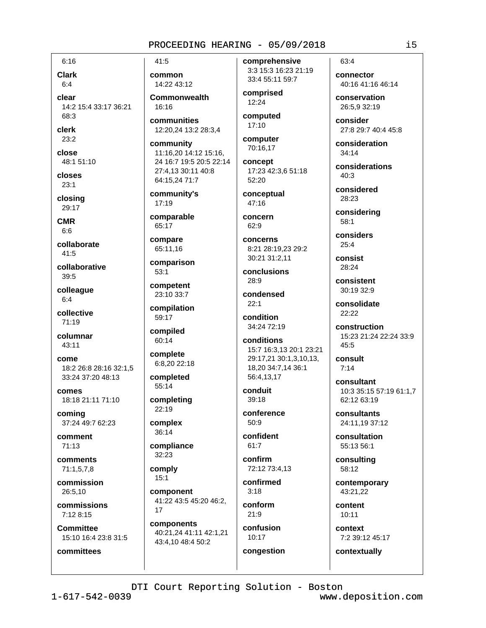$6:16$ 

**Clark**  $6:4$ 

clear 14:2 15:4 33:17 36:21 68:3

clerk  $23:2$ 

close 48:1 51:10

closes  $23:1$ 

closing 29:17

**CMR** 

 $6:6$ 

collaborate  $41:5$ 

collaborative  $39:5$ 

colleague  $6:4$ 

collective 71:19

columnar 43:11

come 18:2 26:8 28:16 32:1.5 33:24 37:20 48:13

comes 18:18 21:11 71:10

coming 37:24 49:7 62:23

comment  $71:13$ 

comments 71:1,5,7,8

commission 26:5.10

commissions 7:12 8:15

**Committee** 15:10 16:4 23:8 31:5

committees

 $41:5$ common 14:22 43:12

**Commonwealth**  $16.16$ 

communities 12:20,24 13:2 28:3,4

community 11:16,20 14:12 15:16, 24 16:7 19:5 20:5 22:14 27:4,13 30:11 40:8 64:15,24 71:7

community's 17:19

comparable 65:17

compare 65:11,16

comparison  $53:1$ 

competent 23:10 33:7 compilation

59:17 compiled

60:14 complete

6:8,20 22:18

completed  $55:14$ 

completing  $22:19$ 

complex 36:14

compliance  $32:23$ 

comply  $15:1$ 

component 41:22 43:5 45:20 46:2,  $17$ 

components 40:21,24 41:11 42:1,21 43:4,10 48:4 50:2

comprehensive 3:3 15:3 16:23 21:19 33:4 55:11 59:7

comprised  $12:24$ 

computed 17:10

computer 70:16,17

concept 17:23 42:3,6 51:18 52:20

conceptual 47:16

concern 62:9

concerns 8:21 28:19,23 29:2 30:21 31:2,11

conclusions 28:9

condensed  $22:1$ 

condition 34:24 72:19

conditions 15:7 16:3,13 20:1 23:21 29:17.21 30:1.3.10.13. 18,20 34:7,14 36:1 56:4.13.17

conduit  $39:18$ 

conference  $50.9$ 

confident  $61:7$ 

confirm 72:12 73:4,13

confirmed  $3:18$ 

conform  $21:9$ 

confusion 10:17 congestion

63:4 connector

40:16 41:16 46:14

conservation 26:5.9 32:19

consider 27:8 29:7 40:4 45:8

consideration  $34:14$ 

considerations  $40:3$ 

considered 28:23

considering  $58:1$ 

considers  $25:4$ 

consist 28:24

consistent 30:19 32:9

consolidate  $22.22$ 

construction 15:23 21:24 22:24 33:9 45:5

consult  $7:14$ 

consultant 10:3 35:15 57:19 61:1,7 62:12 63:19

consultants 24:11,19 37:12

consultation 55:13 56:1

consulting 58:12

contemporary 43:21,22

content  $10:11$ 

context 7:2 39:12 45:17

contextually

DTI Court Reporting Solution - Boston

 $1 - 617 - 542 - 0039$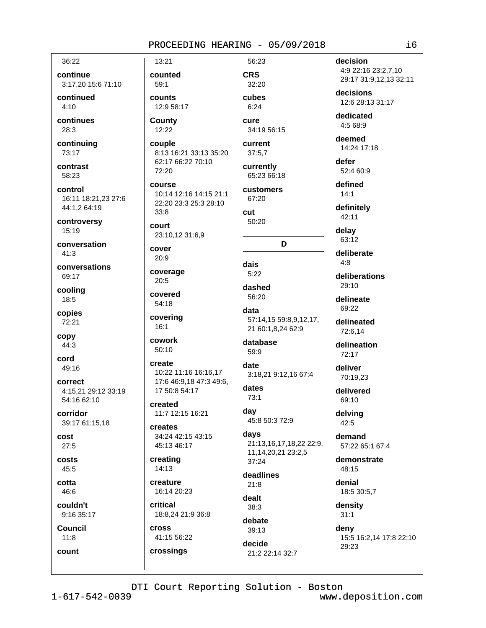36:22

continue 3:17,20 15:6 71:10

continued  $4:10$ 

continues  $28:3$ 

continuing 73:17

contrast 58:23

control 16:11 18:21,23 27:6 44:1,2 64:19

controversy 15:19

conversation  $41:3$ 

conversations 69:17

cooling 18:5

copies 72:21

copy 44:3

cord 49:16

correct 4:15,21 29:12 33:19 54:16 62:10

corridor 39:17 61:15,18

cost  $27:5$ 

costs 45:5

cotta 46:6

couldn't 9:16 35:17

**Council**  $11:8$ 

count

counted 59:1 counts

13:21

12:9 58:17 County 12:22

couple 8:13 16:21 33:13 35:20 62:17 66:22 70:10 72:20

course 10:14 12:16 14:15 21:1 22:20 23:3 25:3 28:10  $33:8$ 

court 23:10,12 31:6,9

cover  $20:9$ 

coverage  $20:5$ 

covered 54:18

covering  $16:1$ 

cowork 50:10

create 10:22 11:16 16:16,17 17:6 46:9.18 47:3 49:6. 17 50:8 54:17

created 11:7 12:15 16:21

creates 34:24 42:15 43:15 45:13 46:17

creating 14:13

creature 16:14 20:23

critical 18:8,24 21:9 36:8

**Cross** 41:15 56:22

crossings

32:20 cubes  $6.24$ 

56:23

**CRS** 

cure 34:19 56:15

current  $37:5.7$ 

currently 65:23 66:18

customers 67:20

**cut** 50:20

D

dais  $5:22$ 

dashed 56:20

data 57:14,15 59:8,9,12,17, 21 60:1.8.24 62:9

database 59:9

date 3:18,21 9:12,16 67:4

dates  $73:1$ 

day 45:8 50:3 72:9

days 21:13,16,17,18,22 22:9, 11, 14, 20, 21 23: 2, 5  $37.24$ 

deadlines  $21:8$ dealt

38:3 debate

 $39:13$ decide 21:2 22:14 32:7 decision 4:9 22:16 23:2,7,10

29:17 31:9,12,13 32:11

decisions 12:6 28:13 31:17

dedicated 4:5 68:9

deemed 14:24 17:18

defer 52:4 60:9

defined  $14:1$ 

definitely 42:11

delav  $63:12$ 

deliberate  $4:8$ 

deliberations 29:10

delineate 69:22

delineated 72:6,14

delineation 72:17

deliver 70:19,23

> delivered 69:10

delving 42:5

demand 57:22 65:1 67:4

demonstrate 48:15

denial 18:5 30:5,7

density  $31:1$ 

deny

15:5 16:2,14 17:8 22:10 29:23

DTI Court Reporting Solution - Boston

 $1 - 617 - 542 - 0039$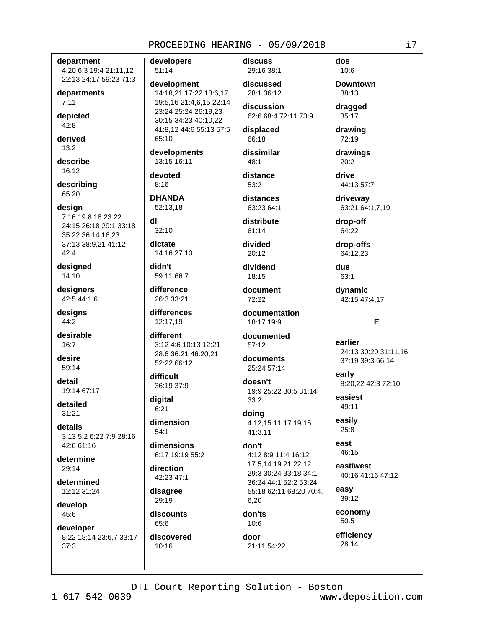department 4:20 6:3 19:4 21:11,12 22:13 24:17 59:23 71:3

departments  $7:11$ 

depicted  $42:8$ 

derived  $13:2$ 

describe 16:12

describing 65:20

design 7:16,19 8:18 23:22 24:15 26:18 29:1 33:18 35:22 36:14.16.23 37:13 38:9,21 41:12 42:4

designed 14:10

designers 42:5 44:1,6

designs 44:2

desirable  $16:7$ 

desire 59:14

detail 19:14 67:17

detailed  $31:21$ 

details 3:13 5:2 6:22 7:9 28:16 42:6 61:16

determine 29:14

determined 12:12 31:24

develop 45:6

developer 8:22 18:14 23:6,7 33:17  $37:3$ 

developers 51:14

development 14:18,21 17:22 18:6,17 19:5,16 21:4,6,15 22:14 23:24 25:24 26:19,23 30:15 34:23 40:10,22 41:8,12 44:6 55:13 57:5 65:10

developments 13:15 16:11

devoted  $8:16$ 

**DHANDA** 52:13.18

di  $32:10$ 

dictate 14:16 27:10

didn't 59:11 66:7

difference 26:3 33:21

differences 12:17,19

different 3:12 4:6 10:13 12:21 28:6 36:21 46:20,21 52:22 66:12

difficult 36:19 37:9

digital  $6:21$ 

dimension  $54:1$ 

dimensions 6:17 19:19 55:2

direction 42:23 47:1

disagree 29:19

discounts 65:6

discovered  $10:16$ 

discuss 29:16 38:1

discussed 28:1 36:12

discussion 62:6 68:4 72:11 73:9

displaced 66:18

dissimilar  $48:1$ distance

 $53:2$ distances 63:23 64:1

distribute  $61:14$ 

divided 20:12

dividend 18:15

document 72:22

documentation 18:17 19:9

documented  $57:12$ 

documents 25:24 57:14 doesn't

19:9 25:22 30:5 31:14  $33:2$ doing

4:12,15 11:17 19:15 41:3.11

### don't 4:12 8:9 11:4 16:12 17:5.14 19:21 22:12 29:3 30:24 33:18 34:1 36:24 44:1 52:2 53:24 55:18 62:11 68:20 70:4,

6,20 don'ts  $10:6$ door

21:11 54:22

dos  $10:6$ 

**Downtown** 38:13

dragged 35:17

drawing 72:19

drawings 20:2

drive 44:13 57:7

driveway 63:21 64:1,7,19

drop-off 64:22

drop-offs 64:12,23

due  $63:1$ 

dynamic 42:15 47:4,17

# E

earlier 24:13 30:20 31:11.16 37:19 39:3 56:14

early 8:20,22 42:3 72:10

easiest 49:11

easily  $25:8$ 

east 46:15

east/west 40:16 41:16 47:12

easy 39:12

economy 50:5

efficiency 28:14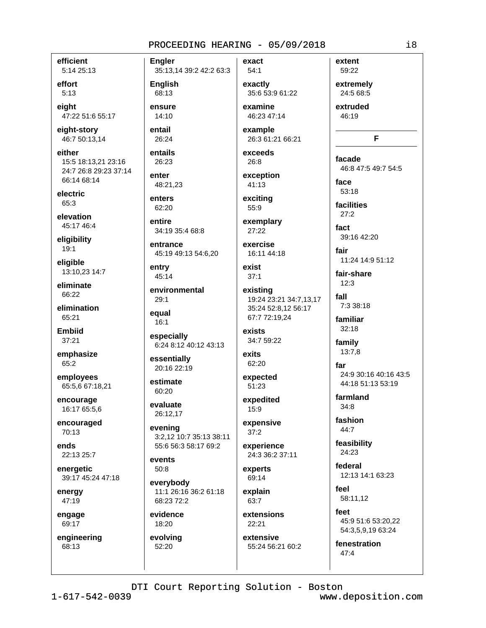efficient 5:14 25:13

effort  $5:13$ 

eiaht 47:22 51:6 55:17

eight-story 46:7 50:13,14

either 15:5 18:13,21 23:16 24:7 26:8 29:23 37:14 66:14 68:14

electric 65:3

elevation 45:17 46:4

eligibility 19:1

eligible 13:10,23 14:7

eliminate 66:22

elimination 65:21

**Embiid**  $37:21$ 

emphasize 65:2

employees 65:5,6 67:18,21

encourage 16:17 65:5,6

encouraged 70:13

ends 22:13 25:7

energetic 39:17 45:24 47:18

energy 47:19

engage 69:17

engineering 68:13

Engler 35:13,14 39:2 42:2 63:3

**English** 68:13

ensure 14:10

entail 26:24

entails 26:23

enter 48:21.23

enters 62:20

entire 34:19 35:4 68:8

entrance 45:19 49:13 54:6,20

entry 45:14

environmental 29:1

equal  $16:1$ 

especially 6:24 8:12 40:12 43:13

essentially 20:16 22:19

estimate 60:20

evaluate 26:12,17

evening 3:2,12 10:7 35:13 38:11 55:6 56:3 58:17 69:2

events  $50:8$ 

everybody 11:1 26:16 36:2 61:18 68:23 72:2

evidence 18:20

evolving 52:20

exactly 35:6 53:9 61:22 examine

exact

 $54:1$ 

46:23 47:14

example 26:3 61:21 66:21

exceeds 26:8

exception 41:13

exciting 55:9

exemplary  $27:22$ 

exercise 16:11 44:18

exist  $37:1$ 

existing 19:24 23:21 34:7,13,17 35:24 52:8.12 56:17 67:7 72:19,24

exists 34:7 59:22

exits 62:20

expected 51:23

expedited  $15:9$ 

expensive  $37:2$ 

experience 24:3 36:2 37:11

experts 69:14 explain

63:7 extensions

22:21 extensive

55:24 56:21 60:2

59:22 extremely 24:5 68:5

extent

extruded 46:19

# F

facade 46:8 47:5 49:7 54:5

face 53:18

facilities  $27:2$ 

fact 39:16 42:20

fair

11:24 14:9 51:12

fair-share  $12:3$ 

fall 7:3 38:18

familiar  $32:18$ 

family 13:7,8

far 24:9 30:16 40:16 43:5 44:18 51:13 53:19

farmland  $34:8$ 

fashion 44:7

feasibility 24:23

federal 12:13 14:1 63:23

feel 58:11,12

feet 45:9 51:6 53:20,22 54:3,5,9,19 63:24

fenestration  $47:4$ 

DTI Court Reporting Solution - Boston

 $1 - 617 - 542 - 0039$ 

www.deposition.com

 $i8$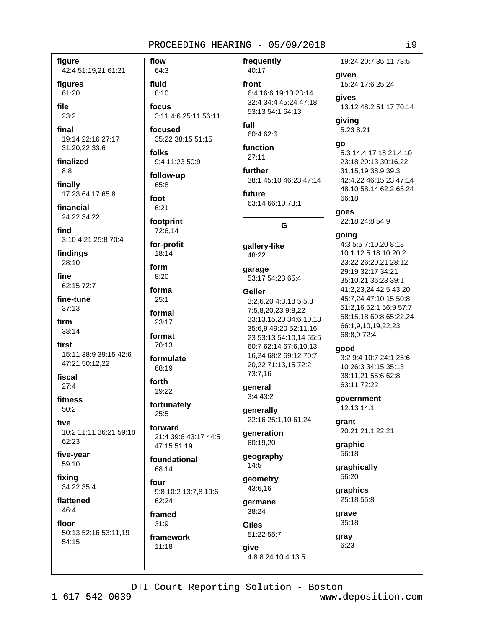frequently

60:4 62:6

6:4 16:6 19:10 23:14

53:13 54:1 64:13

32:4 34:4 45:24 47:18

40:17

front

full

figure 42:4 51:19,21 61:21

figures

61:20

file 23:2

final 19:14 22:16 27:17 31:20,22 33:6

finalized  $8:8$ 

finally 17:23 64:17 65:8

financial 24:22 34:22

find 3:10 4:21 25:8 70:4

findings 28:10

fine 62:15 72:7

fine-tune  $37:13$ 

firm  $38:14$ 

first 15:11 38:9 39:15 42:6 47:21 50:12,22

fiscal  $27:4$ 

fitness  $50.2$ 

five 10:2 11:11 36:21 59:18 62:23

five-year 59:10

fixing 34:22 35:4

flattened 46:4

floor 50:13 52:16 53:11,19

54:15

64:3 fluid  $8:10$ focus 3:11 4:6 25:11 56:11

focused 35:22 38:15 51:15

folks 9:4 11:23 50:9

flow

follow-up 65:8

foot  $6:21$ 

footprint 72:6.14

for-profit 18:14

form  $8:20$ 

forma  $25:1$ 

formal  $23:17$ 

format 70:13

formulate

68:19 forth 19:22

fortunately  $25:5$ 

forward 21:4 39:6 43:17 44:5 47:15 51:19

foundational 68:14

four 9:8 10:2 13:7,8 19:6 62:24

framed

 $31:9$ framework  $11:18$ 

function  $27:11$ further 38:1 45:10 46:23 47:14 future 63:14 66:10 73:1 G qallery-like 48:22 garage 53:17 54:23 65:4 Geller 3:2,6,20 4:3,18 5:5,8

7:5,8,20,23 9:8,22 33:13,15,20 34:6,10,13 35:6,9 49:20 52:11,16, 23 53:13 54:10,14 55:5 60:7 62:14 67:6,10,13, 16,24 68:2 69:12 70:7, 20.22 71:13.15 72:2 73:7,16

general 3:4 43:2

generally 22:16 25:1,10 61:24

**generation** 60:19.20

geography  $14:5$ 

geometry 43:6,16

germane 38:24

**Giles** 51:22 55:7

give 4:8 8:24 10:4 13:5

19:24 20:7 35:11 73:5 qiven

15:24 17:6 25:24

aives 13:12 48:2 51:17 70:14

giving 5:23 8:21

qo

5:3 14:4 17:18 21:4,10 23:18 29:13 30:16,22 31:15,19 38:9 39:3 42:4,22 46:15,23 47:14 48:10 58:14 62:2 65:24 66:18

goes

22:18 24:8 54:9

#### qoinq

4:3 5:5 7:10,20 8:18 10:1 12:5 18:10 20:2 23:22 26:20.21 28:12 29:19 32:17 34:21 35:10,21 36:23 39:1 41:2,23,24 42:5 43:20 45:7,24 47:10,15 50:8 51:2,16 52:1 56:9 57:7 58:15,18 60:8 65:22,24 66:1,9,10,19,22,23 68:8,972:4

#### good

3:2 9:4 10:7 24:1 25:6, 10 26:3 34:15 35:13 38:11,21 55:6 62:8 63:11 72:22

government 12:13 14:1

arant 20:21 21:1 22:21

graphic 56:18

graphically 56:20

graphics 25:18 55:8

grave 35:18

gray  $6:23$ 

DTI Court Reporting Solution - Boston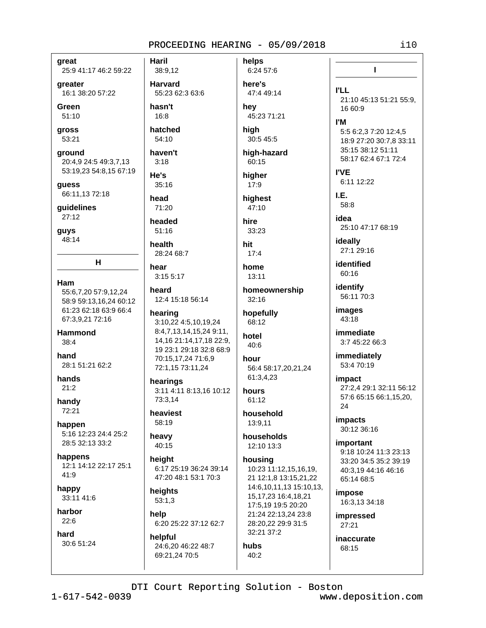areat

25:9 41:17 46:2 59:22

greater 16:1 38:20 57:22

Green  $51:10$ 

gross 53:21

ground 20:4,9 24:5 49:3,7,13 53:19,23 54:8,15 67:19

guess 66:11,13 72:18

guidelines  $27:12$ 

guys  $48:14$ 

Ham

55:6,7,20 57:9,12,24 58:9 59:13,16,24 60:12 61:23 62:18 63:9 66:4 67:3,9,21 72:16

н

**Hammond**  $38:4$ 

hand 28:1.51:21.62:2

hands  $21:2$ 

handy 72:21

happen 5:16 12:23 24:4 25:2 28:5 32:13 33:2

happens 12:1 14:12 22:17 25:1 41:9

happy 33:11 41:6

harbor  $22:6$ 

hard 30:6 51:24 **Haril** 38:9,12 **Harvard** 55:23 62:3 63:6

hasn't 16:8

hatched  $54:10$ 

haven't  $3:18$ He's  $35:16$ 

head 71:20

headed  $51:16$ 

health 28:24 68:7

hear  $3:15.5:17$ 

heard 12:4 15:18 56:14

# hearing

3:10,22 4:5,10,19,24 8:4,7,13,14,15,24 9:11, 14, 16 21: 14, 17, 18 22: 9, 19 23:1 29:18 32:8 68:9 70:15,17,24 71:6,9 72:1,15 73:11,24

hearings 3:11 4:11 8:13,16 10:12 73:3.14

heaviest 58:19

heavy

40:15 height 6:17 25:19 36:24 39:14 47:20 48:1 53:1 70:3

heights  $53:1,3$ 

help 6:20 25:22 37:12 62:7

helpful 24:6.20 46:22 48:7 69:21.24 70:5

6:24 57:6 here's 47:4 49:14 hev

helps

45:23 71:21 hiah

30:5 45:5 high-hazard

60:15

hiaher  $17:9$ highest

47:10

hire 33:23

hit  $17:4$ 

home  $13:11$ 

homeownership  $32:16$ 

hopefully 68:12

hotel 40:6

hour 56:4 58:17,20,21,24 61:3,4,23

hours

household 13:9,11

61:12

households

12:10 13:3 housing 10:23 11:12.15.16.19.

21 12:1,8 13:15,21,22 14:6,10,11,13 15:10,13, 15, 17, 23 16: 4, 18, 21 17:5,19 19:5 20:20 21:24 22:13,24 23:8 28:20,22 29:9 31:5 32:21 37:2

hubs  $40:2$ 

**I'LL** 21:10 45:13 51:21 55:9, 16 60:9 **I'M** 5:5 6:2,3 7:20 12:4,5 18:9 27:20 30:7.8 33:11 35:15 38:12 51:11 58:17 62:4 67:1 72:4 **I'VE** 6:11 12:22 LE. 58:8 idea 25:10 47:17 68:19 ideally 27:1 29:16 identified 60:16 identify 56:11 70:3 images 43:18

 $\mathbf{I}$ 

immediate 3:7 45:22 66:3

immediately 53:4 70:19

impact 27:2,4 29:1 32:11 56:12 57:6 65:15 66:1,15,20, 24

*impacts* 30:12 36:16

*important* 9:18 10:24 11:3 23:13 33:20 34:5 35:2 39:19 40:3,19 44:16 46:16 65:14 68:5

impose 16:3,13 34:18

**impressed**  $27:21$ 

inaccurate 68:15

DTI Court Reporting Solution - Boston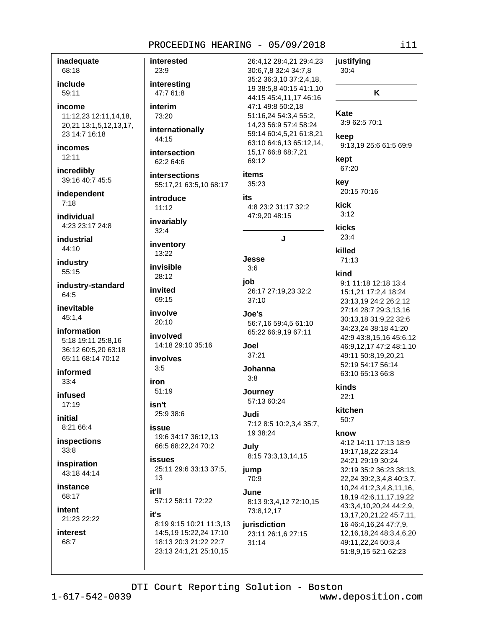inadequate 68:18

include 59:11

income 11:12,23 12:11,14,18, 20,21 13:1,5,12,13,17, 23 14:7 16:18

*incomes*  $12:11$ 

incredibly 39:16 40:7 45:5

independent  $7:18$ 

individual 4:23 23:17 24:8

industrial 44:10

industry 55:15

industry-standard 64:5

inevitable  $45:1,4$ 

information 5:18 19:11 25:8,16 36:12 60:5,20 63:18 65:11 68:14 70:12

informed  $33:4$ 

infused  $17:19$ 

initial 8:21 66:4

inspections  $33:8$ 

inspiration 43:18 44:14

it'll

it's

23:13 24:1,21 25:10,15

instance 68:17

intent 21:23 22:22

interest 68:7

interested 23:9 interesting 47:7 61:8 interim 73:20 internationally 44:15 intersection 69:12 62:2 64:6 **items** intersections 35:23 55:17,21 63:5,10 68:17 introduce its  $11:12$ invariably  $32:4$ inventory 13:22 Jesse invisible  $3:6$ 28:12 job invited 69:15  $37:10$ involve Joe's  $20:10$ involved 14:18 29:10 35:16 اءما. 37:21 *involves*  $3:5$  $3:8$ iron  $51:19$ isn't 25:9 38:6 Judi issue 19:6 34:17 36:12,13 66:5 68:22,24 70:2 July *issues* 25:11 29:6 33:13 37:5, jump  $13$ 70:9 June. 57:12 58:11 72:22 8:19 9:15 10:21 11:3.13 14:5,19 15:22,24 17:10 18:13 20:3 21:22 22:7

26:4,12 28:4,21 29:4,23 30:6,7,8 32:4 34:7,8 35:2 36:3,10 37:2,4,18, 19 38:5,8 40:15 41:1,10 44:15 45:4,11,17 46:16 47:1 49:8 50:2,18 51:16,24 54:3,4 55:2, 14,23 56:9 57:4 58:24 59:14 60:4,5,21 61:8,21 63:10 64:6,13 65:12,14, 15,17 66:8 68:7,21 4:8 23:2 31:17 32:2 47:9.20 48:15 J 26:17 27:19,23 32:2 56:7,16 59:4,5 61:10 65:22 66:9,19 67:11 Johanna Journey 57:13 60:24 7:12 8:5 10:2,3,4 35:7, 19 38:24 8:15 73:3,13,14,15 8:13 9:3,4,12 72:10,15 73:8,12,17 jurisdiction 23:11 26:1.6 27:15  $31:14$ 

justifying  $30:4$ K **Kate** 3:9 62:5 70:1 keep 9:13,19 25:6 61:5 69:9 kept 67:20 kev 20:15 70:16 kick  $3:12$ kicks  $23:4$ killed  $71:13$ kind 9:1 11:18 12:18 13:4 15:1,21 17:2,4 18:24 23:13,19 24:2 26:2,12 27:14 28:7 29:3,13,16 30:13,18 31:9,22 32:6 34:23,24 38:18 41:20 42:9 43:8,15,16 45:6,12 46:9,12,17 47:2 48:1,10 49:11 50:8.19.20.21 52:19 54:17 56:14 63:10 65:13 66:8 kinds  $22.1$ kitchen  $50:7$ know 4:12 14:11 17:13 18:9 19:17,18,22 23:14 24:21 29:19 30:24 32:19 35:2 36:23 38:13, 22,24 39:2,3,4,8 40:3,7, 10,24 41:2,3,4,8,11,16, 18, 19 42: 6, 11, 17, 19, 22 43:3,4,10,20,24 44:2,9, 13, 17, 20, 21, 22 45: 7, 11, 16 46:4, 16, 24 47: 7, 9,

 $i11$ 

DTI Court Reporting Solution - Boston

www.deposition.com

12, 16, 18, 24 48: 3, 4, 6, 20

49:11.22.24 50:3.4

51:8,9,15 52:1 62:23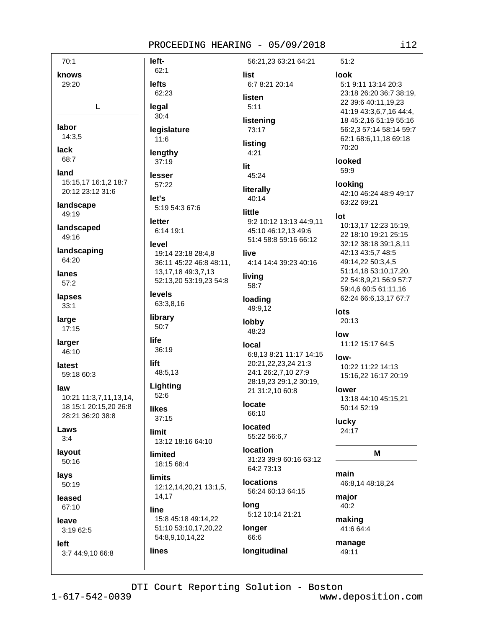$70:1$ left- $62:1$ knows **lefts** 29:20 62:23 L legal  $30:4$ labor 14:3.5  $11:6$ lack lengthy 68:7 37:19 land lesser 15:15.17 16:1.2 18:7 57:22 20:12 23:12 31:6 let's landscape 49:19 letter landscaped 49:16 level landscaping 64:20 lanes  $57:2$ **levels** lapses  $33:1$ library large 50:7  $17:15$ life larger 36:19 46:10 lift latest 48:5,13 59:18 60:3 Lighting law  $52:6$ 10:21 11:3,7,11,13,14, 18 15:1 20:15.20 26:8 likes 28:21 36:20 38:8  $37:15$ Laws limit  $3:4$ lavout limited 50:16 lays **limits** 50:19 14,17 leased 67:10 line leave  $3:1962:5$ left lines 3:7 44:9,10 66:8

56:21.23 63:21 64:21 list 6:7 8:21 20:14 listen  $5:11$ listening legislature 73:17 listing  $4:21$ lit 45:24 literally  $40:14$ 5:19 54:3 67:6 little 9:2 10:12 13:13 44:9,11 6:14 19:1 45:10 46:12.13 49:6 51:4 58:8 59:16 66:12 19:14 23:18 28:4.8 live 4:14 14:4 39:23 40:16 36:11 45:22 46:8 48:11, 13, 17, 18 49: 3, 7, 13 livina 52:13,20 53:19,23 54:8 58:7 loading 63:3.8.16 49:9,12 lobby 48:23 local 6:8.13 8:21 11:17 14:15 20:21,22,23,24 21:3 24:1 26:2,7,10 27:9 28:19.23 29:1.2 30:19. 21 31:2,10 60:8 locate 66:10 located 55:22 56:6,7 13:12 18:16 64:10 **location** 31:23 39:9 60:16 63:12 18:15 68:4 64:2 73:13 **Incations** 12:12,14,20,21 13:1,5, 56:24 60:13 64:15 long 5:12 10:14 21:21 15:8 45:18 49:14,22 51:10 53:10,17,20,22 longer 54:8,9,10,14,22 66:6 longitudinal

 $51:2$ **look** 5:1 9:11 13:14 20:3 23:18 26:20 36:7 38:19, 22 39:6 40:11,19,23 41:19 43:3,6,7,16 44:4, 18 45:2,16 51:19 55:16 56:2,3 57:14 58:14 59:7 62:1 68:6,11,18 69:18 70:20 looked 59:9 looking 42:10 46:24 48:9 49:17 63:22 69:21 lot 10:13,17 12:23 15:19, 22 18:10 19:21 25:15 32:12 38:18 39:1,8,11 42:13 43:5,7 48:5 49:14,22 50:3,4,5 51:14,18 53:10,17,20, 22 54:8,9,21 56:9 57:7 59:4,6 60:5 61:11,16 62:24 66:6,13,17 67:7 lots  $20:13$  $low$ 11:12 15:17 64:5 low-10:22 11:22 14:13 15:16,22 16:17 20:19 lower 13:18 44:10 45:15.21 50:14 52:19 lucky 24:17 M main 46:8,14 48:18,24 major 40:2 making 41:6 64:4

manage 49:11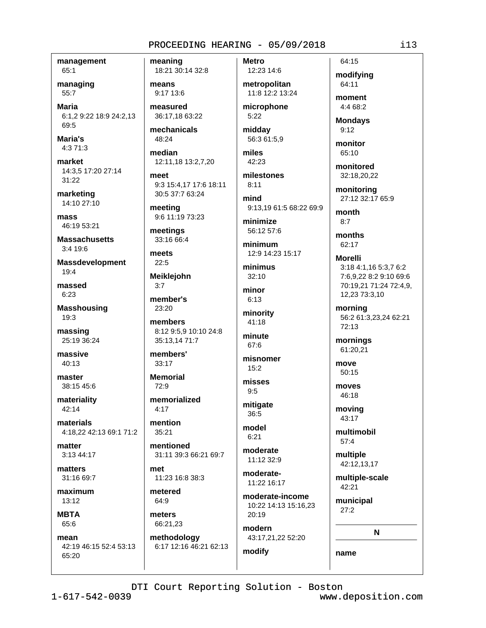management  $65:1$ 

managing 55:7

**Maria** 6:1,2 9:22 18:9 24:2,13 69:5

Maria's  $4:371:3$ 

market 14:3,5 17:20 27:14 31:22

marketing 14:10 27:10

mass 46:19 53:21

**Massachusetts**  $3:4$  19:6

**Massdevelopment**  $19:4$ 

massed 6:23

**Masshousing** 19:3

massing 25:19 36:24

massive  $40.13$ 

master 38:15 45:6

materiality  $42:14$ 

materials 4:18.22 42:13 69:1 71:2

matter 3:13 44:17

matters  $31:1669:7$ 

maximum 13:12

**MBTA** 65:6

mean 42:19 46:15 52:4 53:13  $65:20$ 

meaning 18:21 30:14 32:8

means 9:17 13:6

measured 36:17,18 63:22

mechanicals 48:24

median 12:11,18 13:2,7,20

meet 9:3 15:4.17 17:6 18:11 30:5 37:7 63:24

meeting 9:6 11:19 73:23

meetings 33:16 66:4

meets  $22:5$ 

**Meiklejohn**  $3:7$ 

member's  $23:20$ 

members 8:12 9:5,9 10:10 24:8 35:13,14 71:7

members'  $33.17$ 

**Memorial**  $72:9$ 

memorialized  $4.17$ 

mention  $35:21$ 

mentioned 31:11 39:3 66:21 69:7

met 11:23 16:8 38:3

metered 64:9

meters 66:21.23

methodology 6:17 12:16 46:21 62:13 **Metro** 12:23 14:6

metropolitan 11:8 12:2 13:24 microphone

 $5:22$ 

midday 56:3 61:5,9

miles 42:23

milestones

 $8:11$ mind

9:13,19 61:5 68:22 69:9

minimize 56:12 57:6

minimum 12:9 14:23 15:17

minimus  $32:10$ 

minor  $6:13$ 

minority  $41:18$ 

minute 67:6

misnomer

 $15:2$ misses  $9:5$ 

mitigate  $36:5$ 

model  $6:21$ 

moderate 11:12 32:9

moderate-11:22 16:17

moderate-income 10:22 14:13 15:16,23 20:19

modern 43:17,21,22 52:20

modify

modifying 64:11 moment

64:15

4:4 68:2

**Mondays**  $9:12$ 

monitor 65:10

monitored 32:18.20.22

monitoring 27:12 32:17 65:9

month  $8:7$ 

months 62:17

**Morelli** 3:18 4:1.16 5:3.7 6:2 7:6.9.22 8:2 9:10 69:6 70:19,21 71:24 72:4,9,

morning 56:2 61:3,23,24 62:21 72:13

12,23 73:3,10

mornings 61:20,21

50:15 moves 46:18

move

movina 43:17

multimobil  $57:4$ 

multiple 42:12,13,17

multiple-scale 42:21

municipal  $27:2$ 

N

name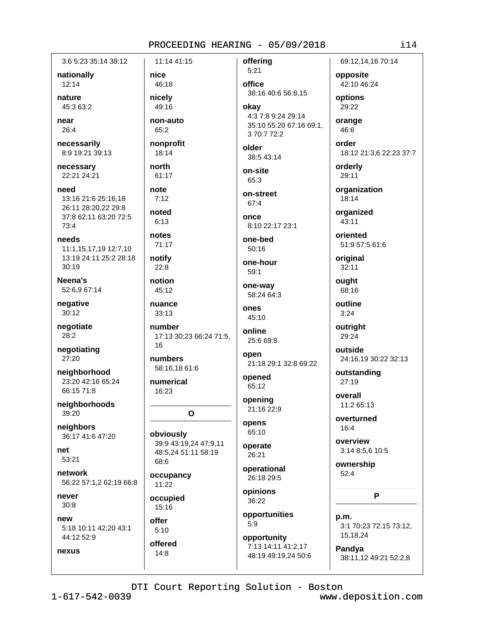3:6 5:23 35:14 38:12 nationally

12:14

nature 45:3 63:2

near 26:4

necessarily 8:9 19:21 39:13

necessary 22:21 24:21

need 13:16 21:6 25:16.18 26:11 28:20,22 29:8 37:8 62:11 63:20 72:5 73:4

needs 11:1,15,17,19 12:7,10 13:19 24:11 25:2 28:18  $30:19$ 

Neena's 52:6,9 67:14

negative  $30:12$ 

negotiate  $28:2$ 

negotiating 27:20

neighborhood 23:20 42:16 65:24 66:15 71:8

neighborhoods 39:20

neighbors 36:17 41:6 47:20

net 53:21

network 56:22 57:1,2 62:19 66:8

never  $30:8$ 

nexus

new 5:18 10:11 42:20 43:1 44:12 52:9

11:14 41:15 nice 46:18 nicely 49:16 non-auto 65:2 nonprofit 18:14 north 61:17 note  $7:12$ noted  $6:13$ notes 71:17 notify  $22:8$ notion 45:12 nuance  $33:13$ number 17:13 30:23 66:24 71:5, 16 numbers 58:16,18 61:6 numerical 16:23  $\Omega$ obviously 39:9 43:19,24 47:9,11 48:5.24 51:11 58:19

68:6 occupancy

11:22 occupied

 $15:16$ 

offer  $5:10$ offered  $14:8$ 

 $5:21$ office 38:16 40:6 56:8,15 okav

4:3 7:8 9:24 29:14 35:10 55:20 67:16 69:1, 3 70:7 72:2

older 38:5 43:14

offering

on-site 65:3

on-street 67:4

once 8:10 22:17 23:1

one-bed  $50:16$ 

one-hour  $59:1$ 

one-way 58:24 64:3

ones 45:10

online 25:6 69:8

open 21:18 29:1 32:8 69:22

opened 65:12

opening 21:16 22:9

opens 65:10

operate  $26:21$ 

operational 26:18 29:5

opinions 36:22

opportunities  $5:9$ 

opportunity 7:13 14:11 41:2,17 48:19 49:19,24 50:6 69:12,14,16 70:14

opposite 42:10 46:24

options 29:22

orange 46:6

order 18:12 21:3,6 22:23 37:7

orderly 29:11

organization  $18:14$ 

organized 43:11

oriented 51:9 57:5 61:6

original  $32:11$ ought

68:16

outline  $3:24$ 

outright 29:24

outside 24:16,19 30:22 32:13

outstanding 27:19

overall 11:2 65:13

overturned 16:4

overview 3:14 8:5,6 10:5

ownership  $52:4$ 

P

 $n.m.$ 3:1 70:23 72:15 73:12, 15,18,24

Pandya 38:11,12 49:21 52:2,8

DTI Court Reporting Solution - Boston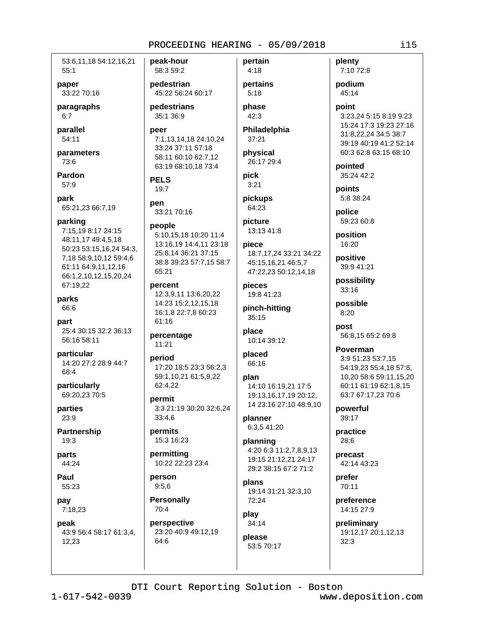53:6,11,18 54:12,16,21  $55:1$ 

paper 33:22 70:16

paragraphs  $6:7$ 

parallel 54:11

parameters 73:6

Pardon 57:9

park 65:21,23 66:7,19

parking 7:15.19 8:17 24:15 48:11,17 49:4,5,18 50:23 53:15,16,24 54:3, 7,18 58:9,10,12 59:4,6 61:11 64:9,11,12,16 66:1,2,10,12,15,20,24 67:19,22

parks 66:6

part 25:4 30:15 32:2 36:13 56:16 58:11

particular 14:20 27:2 28:9 44:7 68:4

particularly 69:20,23 70:5

parties  $23:9$ 

**Partnership** 19:3

parts 44:24

Paul 55:23

pay 7:18,23

peak

43:9 56:4 58:17 61:3,4, 12,23

peak-hour 58:3 59:2

pedestrian 45:22 56:24 60:17

pedestrians 35:1 36:9

peer 7:1,13,14,18 24:10,24 33:24 37:11 57:18 58:11 60:10 62:7,12 63:19 68:10,18 73:4

**PELS**  $19:7$ 

pen 33:21 70:16

# people

5:10,15,18 10:20 11:4 13:16,19 14:4,11 23:18 25:8,14 36:21 37:15 38:8 39:23 57:7,15 58:7 65:21

percent 12:3,9,11 13:6,20,22 14:23 15:2,12,15,18 16:1,8 22:7,8 60:23 61:16

percentage  $11:21$ 

period 17:20 18:5 23:3 56:2,3 59:1,10,21 61:5,9,22 62:4.22

permit 3:3 21:19 30:20 32:6,24 33:4,6

permits 15:3 16:23

permitting 10:22 22:23 23:4

person  $9:5,6$ 

**Personally**  $70:4$ 

perspective 23:20 40:9 49:12.19 64:6

pertains  $5:18$ phase

pertain

 $4:18$ 

42:3 Philadelphia

37:21 physical

26:17 29:4 pick

 $3:21$ 

pickups 64:23

picture 13:13 41:8

niece 18:7.17.24 33:21 34:22

45:15,16,21 46:5,7 47:22,23 50:12,14,18

pieces 19:8 41:23

pinch-hitting  $35:15$ 

place 10:14 39:12

placed 66:16

plan 14:10 16:19,21 17:5 19:13,16,17,19 20:12, 14 23:16 27:10 48:9.10

planner 6:3,5 41:20

planning 4:20 6:3 11:2,7,8,9,13 19:15 21:12.21 24:17 29:2 38:15 67:2 71:2

plans 19:14 31:21 32:3,10 72:24

play  $34:14$ 

please 53:5 70:17 plenty 7:10 72:8

podium 45:14

point 3:23,24 5:15 8:19 9:23 15:24 17:3 19:23 27:16 31:8.22.24 34:5 38:7 39:19 40:19 41:2 52:14 60:3 62:8 63:15 68:10

pointed 35:24 42:2

points 5:8 38:24

police 59:23 60:8

position 16:20

positive 39:9 41:21

possibility 33:16

possible  $8:20$ 

post 56:8,15 65:2 69:8

Poverman 3:9 51:23 53:7,15 54:19,23 55:4,18 57:8, 10.20 58:6 59:11.15.20 60:11 61:19 62:1,8,15 63:7 67:17,23 70:6

powerful 39:17

practice  $28:6$ 

precast 42:14 43:23

prefer 70:11

preference 14:15 27:9

preliminary 19:12,17 20:1,12,13  $32:3$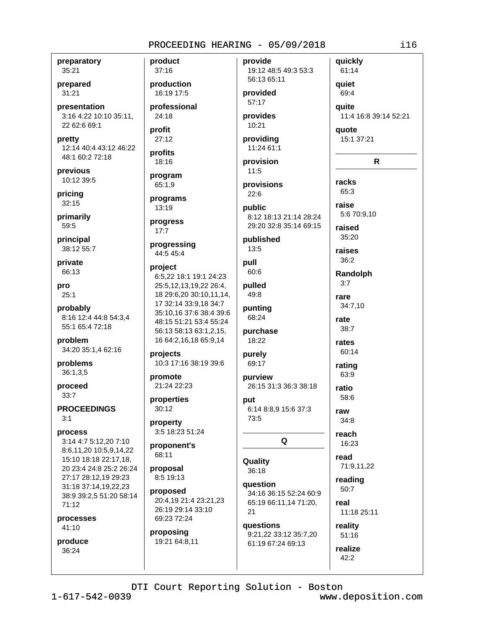preparatory 35:21

prepared  $31:21$ 

presentation 3:16 4:22 10:10 35:11, 22 62:6 69:1

pretty 12:14 40:4 43:12 46:22 48:1 60:2 72:18

previous 10:12 39:5

pricing  $32:15$ 

primarily 59:5

principal 38:12 55:7

private 66:13

pro  $25:1$ 

probably 8:16 12:4 44:8 54:3.4 55:1 65:4 72:18

problem 34:20 35:1,4 62:16

problems  $36:1,3.5$ 

proceed  $33:7$ 

**PROCEEDINGS**  $3:1$ 

process

3:14 4:7 5:12,20 7:10 8:6,11,20 10:5,9,14,22 15:10 18:18 22:17.18. 20 23:4 24:8 25:2 26:24 27:17 28:12.19 29:23 31:18 37:14,19,22,23 38:9 39:2,5 51:20 58:14  $71:12$ 

processes 41:10

produce 36:24

product  $37:16$ 

production 16:19 17:5

professional 24:18

profit  $27:12$ 

profits 18:16

program 65:1,9

# programs 13:19

progress  $17:7$ 

progressing 44:5 45:4

#### project

6:5.22 18:1 19:1 24:23 25:5, 12, 13, 19, 22 26: 4, 18 29:6,20 30:10,11,14, 17 32:14 33:9.18 34:7 35:10,16 37:6 38:4 39:6 48:15 51:21 53:4 55:24 56:13 58:13 63:1,2,15, 16 64:2, 16, 18 65:9, 14

projects 10:3 17:16 38:19 39:6

promote 21:24 22:23

properties  $30:12$ 

property 3:5 18:23 51:24

proponent's 68:11

proposal 8:5 19:13

proposed 20:4.19 21:4 23:21.23 26:19 29:14 33:10 69:23 72:24

proposing 19:21 64:8,11 provide 19:12 48:5 49:3 53:3 56:13 65:11

# provided  $57:17$

provides 10:21

providing 11:24 61:1

provision  $11:5$ 

provisions  $22:6$ 

public 8:12 18:13 21:14 28:24 29:20 32:8 35:14 69:15

#### published  $13:5$

pull 60:6

pulled 49:8 punting

68:24 purchase

purely

purview 26:15 31:3 36:3 38:18

put 6:14 8:8,9 15:6 37:3 73:5

Q

# Quality 36:18

question 34:16 36:15 52:24 60:9 65:19 66:11,14 71:20, 21

**auestions** 9:21,22 33:12 35:7,20 61:19 67:24 69:13

quickly 61:14 quiet 69:4 quite 11:4 16:8 39:14 52:21 quote 15:1 37:21  $\mathbf R$ 

racks 65:3 raise 5:6 70:9,10

raised 35:20 raises

36:2

Randolph  $3:7$ 

 $34:7,10$ 

rare

rate

 $38:7$ 

rates

60:14

rating

63:9

58:6

 $34:8$ 

reach

read

16:23

ratio

raw

18:22

69:17

reading 50:7

> real 11:18 25:11

71:9,11,22

reality

 $51:16$ realize 42:2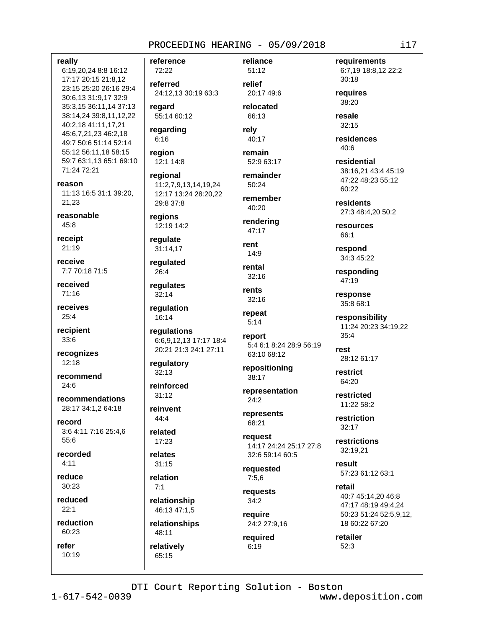really

6:19,20,24 8:8 16:12 17:17 20:15 21:8,12 23:15 25:20 26:16 29:4 30:6,13 31:9,17 32:9 35:3,15 36:11,14 37:13 38:14,24 39:8,11,12,22 40:2,18 41:11,17,21 45:6,7,21,23 46:2,18 49:7 50:6 51:14 52:14 55:12 56:11,18 58:15 59:7 63:1,13 65:1 69:10 71:24 72:21

reason 11:13 16:5 31:1 39:20. 21.23

reasonable  $45:8$ 

receipt  $21:19$ 

receive 7:7 70:18 71:5

received  $71:16$ 

receives  $25:4$ 

recipient  $33:6$ 

recognizes  $12:18$ 

recommend  $24:6$ 

recommendations 28:17 34:1.2 64:18

record 3:6 4:11 7:16 25:4,6 55:6

recorded  $4:11$ 

reduce  $30:23$ 

reduced  $22.1$ 

reduction 60:23

refer  $10:19$  reference 72:22

referred 24:12.13 30:19 63:3

regard 55:14 60:12

regarding  $6:16$ 

region

12:1 14:8 regional 11:2.7.9.13.14.19.24 12:17 13:24 28:20.22 29:8 37:8

regions 12:19 14:2

requlate 31:14,17

regulated  $26:4$ 

regulates  $32:14$ 

regulation 16:14

regulations 6:6,9,12,13 17:17 18:4 20:21 21:3 24:1 27:11

requlatory 32:13

reinforced

 $31:12$ reinvent

44:4

related  $17:23$ 

relates  $31:15$ 

relation  $7:1$ 

relationship 46:13 47:1,5

relationships 48:11

relatively

65:15

51:12 relief 20:17 49:6

reliance

relocated 66:13

relv 40:17

remain 52:9 63:17

remainder 50:24

remember 40:20

rendering 47:17

rent  $14:9$ 

rental  $32:16$ 

rents  $32:16$ 

repeat  $5:14$ 

> report 5:4 6:1 8:24 28:9 56:19 63:10 68:12

repositioning  $38:17$ 

representation  $24:2$ represents

68:21 request

14:17 24:24 25:17 27:8 32:6 59:14 60:5

requested  $7:5,6$ 

requests  $34:2$ require

24:2 27:9,16 required

 $6:19$ 

requirements 6:7,19 18:8,12 22:2  $30:18$ 

requires 38:20

resale  $32:15$ 

residences  $40:6$ 

residential 38:16,21 43:4 45:19 47:22 48:23 55:12 60:22

residents 27:3 48:4.20 50:2

resources 66:1

respond 34:3 45:22

responding 47:19

response 35:8 68:1

responsibility 11:24 20:23 34:19,22  $35:4$ 

rest 28:12 61:17

restrict 64:20

restricted 11:22 58:2

restriction  $32:17$ 

restrictions 32:19,21

result 57:23 61:12 63:1

retail 40:7 45:14,20 46:8 47:17 48:19 49:4,24 50:23 51:24 52:5,9,12, 18 60:22 67:20

retailer  $52:3$ 

 $117$ 

DTI Court Reporting Solution - Boston

 $1 - 617 - 542 - 0039$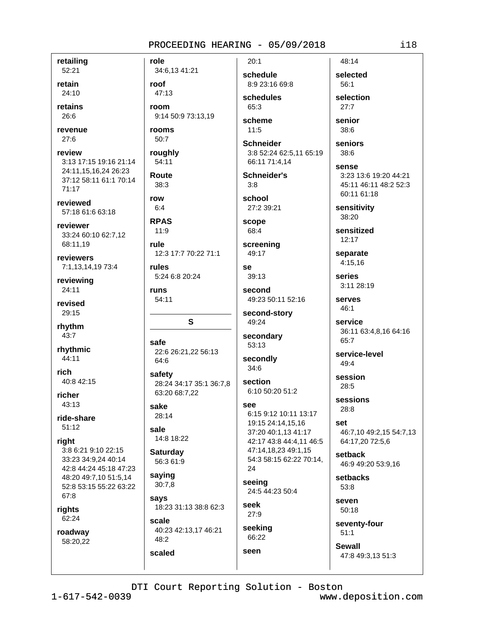$20:1$ 

retailing 52:21

retain 24:10

retains 26:6

revenue  $27:6$ 

review 3:13 17:15 19:16 21:14 24:11,15,16,24 26:23 37:12 58:11 61:1 70:14  $71:17$ 

reviewed 57:18 61:6 63:18

reviewer 33:24 60:10 62:7,12 68:11,19

reviewers 7:1,13,14,19 73:4

reviewing 24:11

revised 29:15

rhythm 43:7

rhythmic 44:11

rich 40:8 42:15

richer  $43:13$ 

ride-share  $51:12$ 

right

3:8 6:21 9:10 22:15 33:23 34:9.24 40:14 42:8 44:24 45:18 47:23 48:20 49:7.10 51:5.14 52:8 53:15 55:22 63:22 67:8

rights 62:24

roadway 58:20,22

34:6,13 41:21 roof 47:13 room 9:14 50:9 73:13,19 rooms

50:7

role

roughly 54:11

Route  $38:3$ 

row  $6.4$ 

**RPAS**  $11:9$ 

rule 12:3 17:7 70:22 71:1

rules 5:24 6:8 20:24

runs 54:11

S

safe 22:6 26:21,22 56:13 64:6

safety 28:24 34:17 35:1 36:7,8 63:20 68:7,22

sake  $28:14$ 

sale 14:8 18:22

**Saturday** 56:3 61:9

saying  $30:7,8$ 

scaled

says 18:23 31:13 38:8 62:3

scale 40:23 42:13,17 46:21 48:2

schedule 8:9 23:16 69:8 schedules

 $65.3$ scheme  $11:5$ 

**Schneider** 3:8 52:24 62:5,11 65:19 66:11 71:4,14

**Schneider's**  $3:8$ 

school 27:2 39:21

scope 68:4

screening 49:17

se  $39:13$ 

second 49:23 50:11 52:16

second-story 49:24

secondary 53:13

secondly  $34:6$ 

section 6:10 50:20 51:2

See

6:15 9:12 10:11 13:17 19:15 24:14,15,16 37:20 40:1,13 41:17 42:17 43:8 44:4,11 46:5 47:14,18,23 49:1,15 54:3 58:15 62:22 70:14, 24

seeing 24:5 44:23 50:4

seek 27:9 seeking

66:22 seen

selected 56:1 selection

48:14

 $27.7$ 

senior 38:6

> seniors  $38:6$

sense 3:23 13:6 19:20 44:21 45:11 46:11 48:2 52:3 60:11 61:18

sensitivity 38:20

sensitized  $12.17$ 

separate 4:15.16

series 3:11 28:19

serves  $46:1$ 

service 36:11 63:4,8,16 64:16 65:7

service-level  $49.4$ 

session 28:5

sessions  $28:8$ 

set 46:7,10 49:2,15 54:7,13 64:17,20 72:5,6

setback 46:9 49:20 53:9,16

setbacks 53:8

seven 50:18

seventy-four  $51:1$ 

**Sewall** 47:8 49:3,13 51:3

DTI Court Reporting Solution - Boston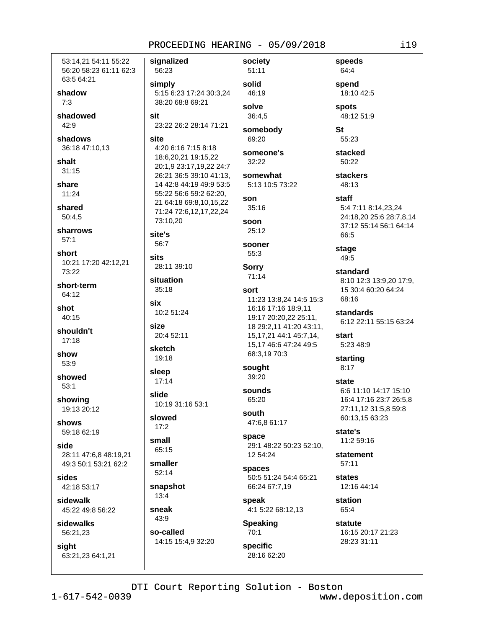53:14.21 54:11 55:22 56:20 58:23 61:11 62:3 63:5 64:21

shadow  $7:3$ 

shadowed 42:9

shadows 36:18 47:10.13

shalt  $31:15$ 

share  $11:24$ 

shared 50:4,5

sharrows  $57:1$ 

short 10:21 17:20 42:12,21 73:22

short-term 64:12

shot  $40:15$ 

shouldn't  $17:18$ 

show 53:9

showed  $53:1$ 

showing 19:13 20:12

shows 59:18 62:19

side 28:11 47:6.8 48:19.21 49:3 50:1 53:21 62:2

sides 42:18 53:17

sidewalk 45:22 49:8 56:22

sidewalks 56:21,23

sight 63:21,23 64:1,21 signalized society 56:23 simply 5:15 6:23 17:24 30:3,24 38:20 68:8 69:21 sit 23:22 26:2 28:14 71:21 site 4:20 6:16 7:15 8:18 18:6,20,21 19:15,22 20:1,9 23:17,19,22 24:7 26:21 36:5 39:10 41:13, 14 42:8 44:19 49:9 53:5 55:22 56:6 59:2 62:20, 21 64:18 69:8,10,15,22 71:24 72:6,12,17,22,24 73:10.20 site's  $56:7$ **sits** 28:11 39:10 situation  $35:18$ six 10:2 51:24 size 20:4 52:11 sketch 19:18 sleep  $17:14$ slide 10:19 31:16 53:1 slowed

 $17:2$ small

65:15 smaller

 $52:14$ snapshot  $13:4$ 

sneak 43:9

so-called 14:15 15:4,9 32:20

51:11 solid 46:19 solve  $36:4,5$ 

somebody 69:20

someone's  $32:22$ 

somewhat 5:13 10:5 73:22

#### son 35:16

soon  $25:12$ 

sooner  $55:3$ 

**Sorry** 

 $71:14$ 

### sort

11:23 13:8,24 14:5 15:3 16:16 17:16 18:9.11 19:17 20:20,22 25:11, 18 29:2,11 41:20 43:11, 15, 17, 21 44: 1 45: 7, 14, 15,17 46:6 47:24 49:5 68:3,19 70:3

sought 39:20

sounds 65:20

south 47:6,8 61:17

space 29:1 48:22 50:23 52:10, 12 54:24

spaces 50:5 51:24 54:4 65:21 66:24 67:7,19

speak 4:1 5:22 68:12,13

#### **Speaking** 70:1

**specific** 28:16 62:20

64:4 spend 18:10 42:5 **spots** 

speeds

48:12 51:9

**St** 55:23

stacked 50:22

**stackers** 48:13

# staff 5:4 7:11 8:14,23,24 24:18,20 25:6 28:7,8,14 37:12 55:14 56:1 64:14 66:5

stage 49:5

standard 8:10 12:3 13:9,20 17:9, 15 30:4 60:20 64:24

68:16 standards 6:12 22:11 55:15 63:24

start 5:23 48:9

starting  $8:17$ 

state 6:6 11:10 14:17 15:10 16:4 17:16 23:7 26:5,8 27:11,12 31:5,8 59:8 60:13,15 63:23

state's 11:2 59:16

statement  $57:11$ 

states 12:16 44:14

station 65:4

statute 16:15 20:17 21:23 28:23 31:11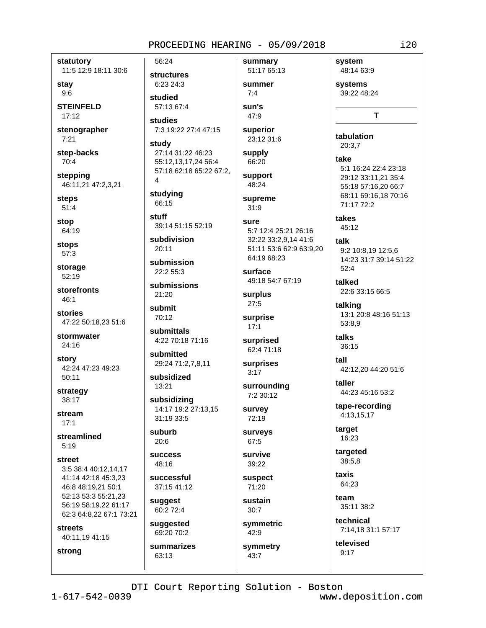statutory 11:5 12:9 18:11 30:6

stay  $9:6$ 

**STEINFELD**  $17:12$ 

stenographer  $7:21$ 

step-backs 70:4

stepping 46:11,21 47:2,3,21

**steps** 

stop

stops

storage  $52:19$ 

storefronts 46:1

stories

24:16

42:24 47:23 49:23  $50:11$ 

strategy 38:17

 $17:1$ 

 $5:19$ 

street

46:8 48:19,21 50:1 52:13 53:3 55:21,23 56:19 58:19,22 61:17 62:3 64:8,22 67:1 73:21

**streets** 

 $51:4$ 

64:19

57:3

47:22 50:18,23 51:6

stormwater

story

stream

streamlined

3:5 38:4 40:12.14.17 41:14 42:18 45:3.23

40:11,19 41:15

strong

56:24 **structures** 6:23 24:3

studied 57:13 67:4

studies 7:3 19:22 27:4 47:15

study 27:14 31:22 46:23 55:12,13,17,24 56:4 57:18 62:18 65:22 67:2,  $\overline{4}$ 

studying 66:15

stuff 39:14 51:15 52:19

subdivision  $20:11$ 

submission 22:2 55:3

submissions 21:20

submit 70:12

submittals 4:22 70:18 71:16

submitted 29:24 71:2,7,8,11

subsidized 13:21

subsidizing 14:17 19:2 27:13.15 31:19 33:5

suburb  $20:6$ 

**success**  $48:16$ 

successful 37:15 41:12

suggest 60:2 72:4

suggested 69:20 70:2

summarizes  $63:13$ 

51:17 65:13 summer  $7:4$ 

summary

sun's 47:9 superior

23:12 31:6 supply

66:20 support

48:24

supreme  $31:9$ 

sure

5:7 12:4 25:21 26:16 32:22 33:2,9,14 41:6 51:11 53:6 62:9 63:9,20 64:19 68:23

surface 49:18 54:7 67:19

surplus  $27:5$ 

surprise  $17:1$ 

```
surprised
62:4 71:18
```
surprises

 $3:17$ 

surrounding 7:2 30:12

survey 72:19

surveys 67:5

survive 39:22

**suspect** 71:20

sustain  $30:7$ symmetric

 $42:9$ symmetry

 $43:7$ 

system 48:14 63:9 systems

39:22 48:24

T

 $i20$ 

tabulation 20:3.7

take 5:1 16:24 22:4 23:18 29:12 33:11,21 35:4 55:18 57:16.20 66:7 68:11 69:16,18 70:16 71:17 72:2

takes 45:12

> talk 9:2 10:8,19 12:5,6 14:23 31:7 39:14 51:22  $52:4$

talked 22:6 33:15 66:5

talking 13:1 20:8 48:16 51:13 53:8.9

talks 36:15

tall 42:12,20 44:20 51:6

taller 44:23 45:16 53:2

tape-recording 4:13,15,17

target 16:23

targeted 38:5.8

taxis 64:23

 $f$  $\rho$ am 35:11 38:2

technical 7:14.18 31:1 57:17

televised  $9:17$ 

DTI Court Reporting Solution - Boston  $1 - 617 - 542 - 0039$ www.deposition.com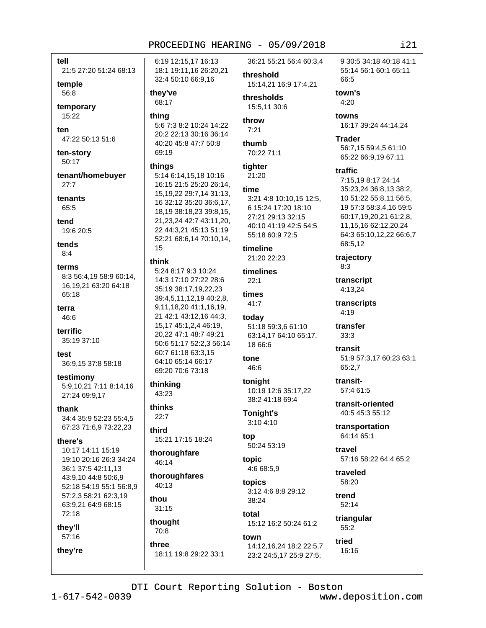tell

21:5 27:20 51:24 68:13

temple 56:8

temporary 15:22

ten 47:22 50:13 51:6

ten-story 50:17

tenant/homebuyer  $27:7$ 

tenants 65:5

tend 19:6 20:5

tends  $8:4$ 

terms 8:3 56:4.19 58:9 60:14. 16, 19, 21 63: 20 64: 18 65:18

terra 46:6

terrific 35:19 37:10

test 36:9,15 37:8 58:18

testimony 5:9,10,21 7:11 8:14,16 27:24 69:9,17

thank 34:4 35:9 52:23 55:4,5 67:23 71:6,9 73:22,23

there's

10:17 14:11 15:19 19:10 20:16 26:3 34:24 36:1 37:5 42:11.13 43:9.10 44:8 50:6.9 52:18 54:19 55:1 56:8,9 57:2,3 58:21 62:3,19 63:9.21 64:9 68:15 72:18

they'll 57:16

they're

6:19 12:15.17 16:13 18:1 19:11,16 26:20,21 32:4 50:10 66:9,16

they've 68:17

## thing

5:6 7:3 8:2 10:24 14:22 20:2 22:13 30:16 36:14 40:20 45:8 47:7 50:8 69:19

#### things

5:14 6:14,15,18 10:16 16:15 21:5 25:20 26:14, 15, 19, 22 29: 7, 14 31: 13, 16 32:12 35:20 36:6,17, 18.19 38:18.23 39:8.15. 21, 23, 24 42: 7 43: 11, 20, 22 44:3,21 45:13 51:19 52:21 68:6.14 70:10.14. 15

# think

5:24 8:17 9:3 10:24 14:3 17:10 27:22 28:6 35:19 38:17,19,22,23 39:4,5,11,12,19 40:2,8, 9,11,18,20 41:1,16,19, 21 42:1 43:12.16 44:3. 15,17 45:1,2,4 46:19, 20,22 47:1 48:7 49:21 50:6 51:17 52:2.3 56:14 60:7 61:18 63:3.15 64:10 65:14 66:17 69:20 70:6 73:18

thinking 43:23

thinks  $22:7$ 

# third

15:21 17:15 18:24

thoroughfare 46:14

thoroughfares 40:13

thou  $31:15$ 

thought

# 70:8 three

18:11 19:8 29:22 33:1

36:21 55:21 56:4 60:3.4 threshold

15:14,21 16:9 17:4,21

thresholds 15:5.11 30:6

throw  $7:21$ 

thumb 70:22 71:1

tighter 21:20

#### time

3:21 4:8 10:10.15 12:5, 6 15:24 17:20 18:10 27:21 29:13 32:15 40:10 41:19 42:5 54:5 55:18 60:9 72:5

timeline 21:20 22:23

timelines  $22:1$ 

times  $41:7$ 

today 51:18 59:3,6 61:10 63:14,17 64:10 65:17,

# 18 66:6 tone 46:6

toniaht 10:19 12:6 35:17,22

38:2 41:18 69:4

Tonight's 3:10 4:10

top 50:24 53:19

topic 4:6 68:5,9

topics 3:12 4:6 8:8 29:12 38:24

total 15:12 16:2 50:24 61:2

town 14:12,16,24 18:2 22:5,7 23:2 24:5,17 25:9 27:5,

9 30:5 34:18 40:18 41:1 55:14 56:1 60:1 65:11 66:5

town's  $4:20$ 

> towns 16:17 39:24 44:14,24

**Trader** 56:7,15 59:4,5 61:10 65:22 66:9,19 67:11

traffic

7:15,19 8:17 24:14 35:23,24 36:8,13 38:2, 10 51:22 55:8,11 56:5, 19 57:3 58:3.4.16 59:5 60:17,19,20,21 61:2,8, 11, 15, 16 62: 12, 20, 24 64:3 65:10,12,22 66:6,7 68:5,12

trajectory  $8:3$ 

transcript 4:13.24

transcripts  $4.19$ 

transfer  $33:3$ 

transit 51:9 57:3,17 60:23 63:1 65:2,7

transit-57:4 61:5

transit-oriented 40:5 45:3 55:12

transportation 64:14 65:1

travel 57:16 58:22 64:4 65:2

traveled 58:20

trend  $52:14$ 

triangular 55:2

tried 16:16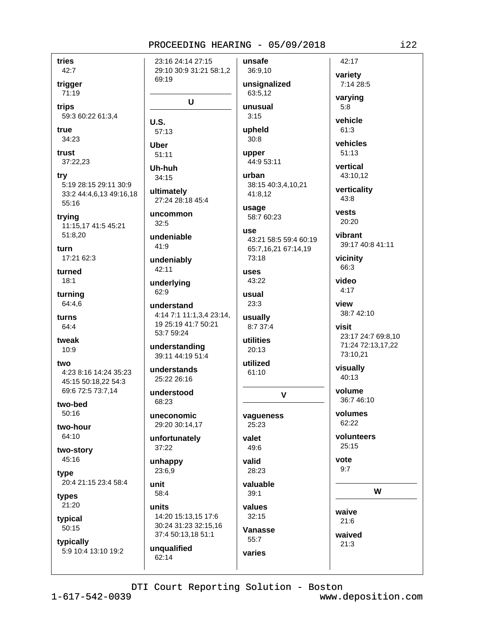tries 42:7 trigger 71:19

trips 59:3 60:22 61:3,4

 $U.S.$ 

**Uber** 

 $32:5$ 

 $41:9$ 

62:9

unit

58:4

units

true 34:23

trust 37:22,23

trv 5:19 28:15 29:11 30:9 33:2 44:4,6,13 49:16,18 55:16

trying 11:15,17 41:5 45:21 51:8.20

turn 17:21 62:3

turned  $18:1$ 

turning 64:4,6

turns 64:4

tweak  $10:9$ 

two 4:23 8:16 14:24 35:23 45:15 50:18.22 54:3

69:6 72:5 73:7,14 two-bed

50:16

two-hour 64:10

two-story 45:16

tvpe 20:4 21:15 23:4 58:4

types 21:20

typical 50:15

typically 5:9 10:4 13:10 19:2

23:16 24:14 27:15 unsafe 29:10 30:9 31:21 58:1,2 36:9,10 69:19 unsignalized 63:5.12  $\mathbf U$ unusual  $3:15$ upheld 57:13  $30:8$ upper  $51:11$ 44:9 53:11 Uh-huh urban  $34:15$ 38:15 40:3,4,10,21 ultimately 41:8,12 27:24 28:18 45:4 usage uncommon 58:7 60:23 1194 undeniable 43:21 58:5 59:4 60:19 65:7,16,21 67:14,19 73:18 undeniably 42:11 uses 43:22 underlying usual  $23:3$ understand 4:14 7:1 11:1,3,4 23:14, usually 19 25:19 41:7 50:21 8:7 37:4 53:7 59:24 utilities understanding  $20:13$ 39:11 44:19 51:4 utilized understands  $61:10$ 25:22 26:16 understood  $\mathbf{V}$ 68:23 uneconomic vaqueness 29:20 30:14,17 25:23 unfortunately valet 37:22 49:6 valid unhappy 23:6,9 28:23 valuable  $39:1$ values 14:20 15:13,15 17:6  $32:15$ 30:24 31:23 32:15.16 Vanasse 37:4 50:13,18 51:1  $55:7$ unqualified varies 62:14

7:14 28:5 varying  $5:8$ vehicle  $61:3$ vehicles  $51:13$ vertical 43:10.12 verticality  $43:8$ vests 20:20 vibrant vicinity 66:3 video  $4:17$ view 38:7 42:10 visit 23:17 24:7 69:8,10 73:10,21 visually  $40:13$ volume 36:7 46:10 volumes 62:22 volunteers  $25:15$ vote  $9:7$ W

42:17

variety

39:17 40:8 41:11

71:24 72:13,17,22

waive  $21:6$ 

waived  $21:3$